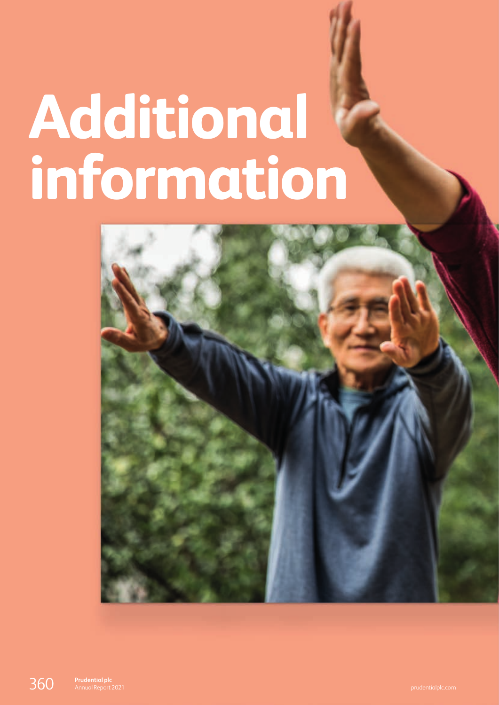# <span id="page-0-0"></span>**Additional information**

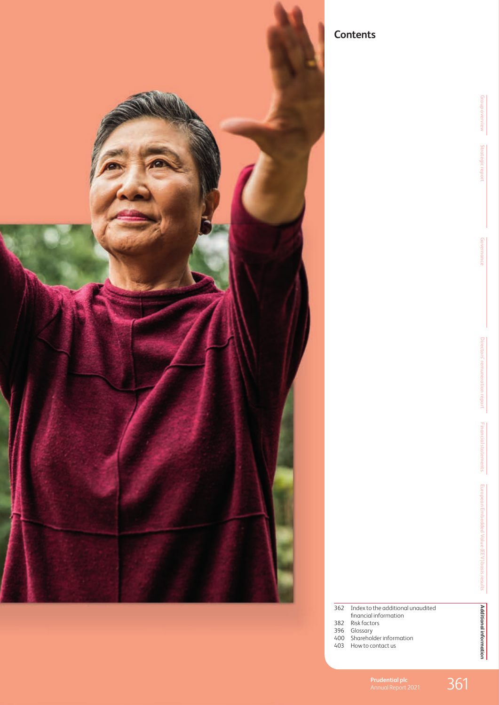

# **Contents**

| 362 Index to the additional unaudited |
|---------------------------------------|
| financial information                 |
| $\sim$ $\sim$ $\sim$ $\sim$ $\sim$    |

- 382 [Risk factors](#page-22-0)
- 396 [Glossary](#page-36-0)
- 400 [Shareholder information](#page-40-0)
- 403 [How to contact us](#page-43-0)
	- **Prudential plc**<br>Annual Report 2021 361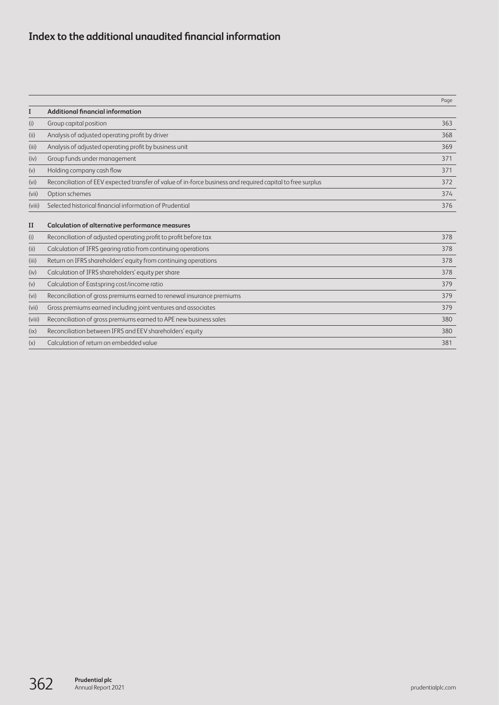# **Index to the additional unaudited financial information**

|                   |                                                                                                            | Page |
|-------------------|------------------------------------------------------------------------------------------------------------|------|
| I                 | <b>Additional financial information</b>                                                                    |      |
| (i)               | Group capital position                                                                                     | 363  |
| (ii)              | Analysis of adjusted operating profit by driver                                                            | 368  |
| (iii)             | Analysis of adjusted operating profit by business unit                                                     | 369  |
| (iv)              | Group funds under management                                                                               | 371  |
| (v)               | Holding company cash flow                                                                                  | 371  |
| (vi)              | Reconciliation of EEV expected transfer of value of in-force business and required capital to free surplus | 372  |
| (vii)             | Option schemes                                                                                             | 374  |
| (viii)            | Selected historical financial information of Prudential                                                    | 376  |
| $_{II}$           | Calculation of alternative performance measures                                                            |      |
| (i)               | Reconciliation of adjusted operating profit to profit before tax                                           | 378  |
| (ii)              | Calculation of IFRS gearing ratio from continuing operations                                               | 378  |
| (iii)             | Return on IFRS shareholders' equity from continuing operations                                             | 378  |
| (iv)              | Calculation of IFRS shareholders' equity per share                                                         | 378  |
| (v)               | Calculation of Eastspring cost/income ratio                                                                | 379  |
| (v <sub>i</sub> ) | Reconciliation of gross premiums earned to renewal insurance premiums                                      | 379  |
| (vii)             | Gross premiums earned including joint ventures and associates                                              | 379  |
| (viii)            | Reconciliation of gross premiums earned to APE new business sales                                          | 380  |
| (ix)              | Reconciliation between IFRS and EEV shareholders' equity                                                   | 380  |
| (x)               | Calculation of return on embedded value                                                                    | 381  |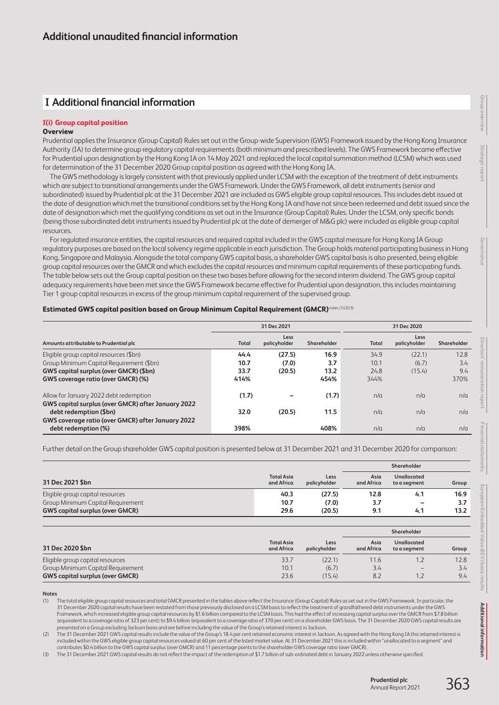# **I Additional financial information**

## **I(i) Group capital position**

## **Overview**

Prudential applies the Insurance (Group Capital) Rules set out in the Group-wide Supervision (GWS) Framework issued by the Hong Kong Insurance Authority (IA) to determine group regulatory capital requirements (both minimum and prescribed levels). The GWS Framework became effective for Prudential upon designation by the Hong Kong IA on 14 May 2021 and replaced the local capital summation method (LCSM) which was used for determination of the 31 December 2020 Group capital position as agreed with the Hong Kong IA.

The GWS methodology is largely consistent with that previously applied under LCSM with the exception of the treatment of debt instruments which are subject to transitional arrangements under the GWS Framework. Under the GWS Framework, all debt instruments (senior and subordinated) issued by Prudential plc at the 31 December 2021 are included as GWS eligible group capital resources. This includes debt issued at the date of designation which met the transitional conditions set by the Hong Kong IA and have not since been redeemed and debt issued since the date of designation which met the qualifying conditions as set out in the Insurance (Group Capital) Rules. Under the LCSM, only specific bonds (being those subordinated debt instruments issued by Prudential plc at the date of demerger of M&G plc) were included as eligible group capital resources.

For regulated insurance entities, the capital resources and required capital included in the GWS capital measure for Hong Kong IA Group regulatory purposes are based on the local solvency regime applicable in each jurisdiction. The Group holds material participating business in Hong Kong, Singapore and Malaysia. Alongside the total company GWS capital basis, a shareholder GWS capital basis is also presented, being eligible group capital resources over the GMCR and which excludes the capital resources and minimum capital requirements of these participating funds. The table below sets out the Group capital position on these two bases before allowing for the second interim dividend. The GWS group capital adequacy requirements have been met since the GWS Framework became effective for Prudential upon designation, this includes maintaining Tier 1 group capital resources in excess of the group minimum capital requirement of the supervised group.

## **Estimated GWS capital position based on Group Minimum Capital Requirement (GMCR)**notes (1)(2)(3)

|                                                                                              |              | 31 Dec 2021          |             | 31 Dec 2020 |                      |             |  |
|----------------------------------------------------------------------------------------------|--------------|----------------------|-------------|-------------|----------------------|-------------|--|
| Amounts attributable to Prudential plc                                                       | <b>Total</b> | Less<br>policyholder | Shareholder | Total       | Less<br>policyholder | Shareholder |  |
| Eligible group capital resources (\$bn)                                                      | 44.4         | (27.5)               | 16.9        | 34.9        | (22.1)               | 12.8        |  |
| Group Minimum Capital Requirement (\$bn)                                                     | 10.7         | (7.0)                | 3.7         | 10.1        | (6.7)                | 3.4         |  |
| GWS capital surplus (over GMCR) (\$bn)                                                       | 33.7         | (20.5)               | 13.2        | 24.8        | (15.4)               | 9.4         |  |
| GWS coverage ratio (over GMCR) (%)                                                           | 414%         |                      | 454%        | 344%        |                      | 370%        |  |
| Allow for January 2022 debt redemption<br>GWS capital surplus (over GMCR) after January 2022 | (1.7)        |                      | (1.7)       | n/a         | n/a                  | n/a         |  |
| debt redemption (\$bn)<br>GWS coverage ratio (over GMCR) after January 2022                  | 32.0         | (20.5)               | 11.5        | n/a         | n/a                  | n/a         |  |
| debt redemption (%)                                                                          | 398%         |                      | 408%        | n/a         | n/a                  | n/a         |  |

Further detail on the Group shareholder GWS capital position is presented below at 31 December 2021 and 31 December 2020 for comparison:

|                                        |                                 |                      |                    | Shareholder                 |       |  |
|----------------------------------------|---------------------------------|----------------------|--------------------|-----------------------------|-------|--|
| 31 Dec 2021 \$bn                       | <b>Total Asia</b><br>and Africa | Less<br>policyholder | Asia<br>and Africa | Unallocated<br>to a segment | Group |  |
| Eligible group capital resources       | 40.3                            | (27.5)               | 12.8               | 4.1                         | 16.9  |  |
| Group Minimum Capital Requirement      | 10.7                            | (7.0)                | 3.7                |                             | 3.7   |  |
| <b>GWS capital surplus (over GMCR)</b> | 29.6                            | (20.5)               | 9.1                | 4.1                         | 13.2  |  |
|                                        |                                 |                      |                    | Shareholder                 |       |  |
| 31 Dec 2020 \$bn                       | <b>Total Asia</b><br>and Africa | Less<br>policyholder | Asia<br>and Africa | Unallocated<br>to a segment | Group |  |
| Eligible group capital resources       | 33.7                            | (22.1)               | 11.6               | 1.2                         | 12.8  |  |
| Group Minimum Capital Requirement      | 10.1                            | (6.7)                | 3.4                |                             | 3.4   |  |
| <b>GWS capital surplus (over GMCR)</b> | 23.6                            | (15.4)               | 8.2                | 1.2                         | 9.4   |  |

**Notes**

(1) The total eligible group capital resources and total GMCR presented in the tables above reflect the Insurance (Group Capital) Rules as set out in the GWS Framework. In particular, the 31 December 2020 capital results have been restated from those previously disclosed on a LCSM basis to reflect the treatment of grandfathered debt instruments under the GWS Framework, which increased eligible group capital resources by \$1.6 billion compared to the LCSM basis. This had the effect of increasing capital surplus over the GMCR from \$7.8 billion (equivalent to a coverage ratio of 323 per cent) to \$9.4 billion (equivalent to a coverage ratio of 370 per cent) on a shareholder GWS basis. The 31 December 2020 GWS capital results are presented on a Group excluding Jackson basis and are before including the value of the Group's retained interest in Jackson.

The 31 December 2021 GWS capital results include the value of the Group's 18.4 per cent retained economic interest in Jackson. As agreed with the Hong Kong IA this retained interest is included within the GWS eligible group capital resources valued at 60 per cent of the listed market value. At 31 December 2021 this is included within "unallocated to a segment" and contributes \$0.4 billion to the GWS capital surplus (over GMCR) and 11 percentage points to the shareholder GWS coverage ratio (over GMCR).

(3) The 31 December 2021 GWS capital results do not reflect the impact of the redemption of \$1.7 billion of sub-ordinated debt in January 2022 unless otherwise specified.

**[Additional information](#page-0-0)**

Additional informatior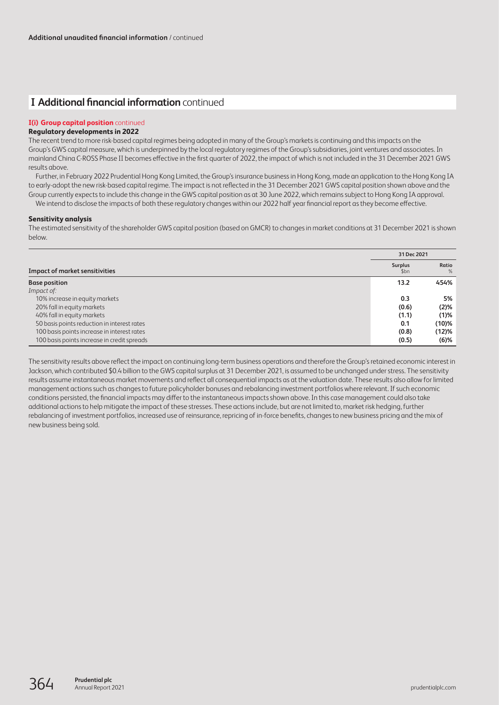# **I Additional financial information** continued

## **I(i) Group capital position** continued

## **Regulatory developments in 2022**

The recent trend to more risk-based capital regimes being adopted in many of the Group's markets is continuing and this impacts on the Group's GWS capital measure, which is underpinned by the local regulatory regimes of the Group's subsidiaries, joint ventures and associates. In mainland China C-ROSS Phase II becomes effective in the first quarter of 2022, the impact of which is not included in the 31 December 2021 GWS results above.

Further, in February 2022 Prudential Hong Kong Limited, the Group's insurance business in Hong Kong, made an application to the Hong Kong IA to early-adopt the new risk-based capital regime. The impact is not reflected in the 31 December 2021 GWS capital position shown above and the Group currently expects to include this change in the GWS capital position as at 30 June 2022, which remains subject to Hong Kong IA approval.

We intend to disclose the impacts of both these regulatory changes within our 2022 half year financial report as they become effective.

## **Sensitivity analysis**

The estimated sensitivity of the shareholder GWS capital position (based on GMCR) to changes in market conditions at 31 December 2021 is shown below.

|                                             | 31 Dec 2021            |               |  |
|---------------------------------------------|------------------------|---------------|--|
| <b>Impact of market sensitivities</b>       | <b>Surplus</b><br>\$bn | Ratio<br>$\%$ |  |
| <b>Base position</b>                        | 13.2                   | 454%          |  |
| Impact of:                                  |                        |               |  |
| 10% increase in equity markets              | 0.3                    | 5%            |  |
| 20% fall in equity markets                  | (0.6)                  | (2)%          |  |
| 40% fall in equity markets                  | (1.1)                  | (1)%          |  |
| 50 basis points reduction in interest rates | 0.1                    | $(10)\%$      |  |
| 100 basis points increase in interest rates | (0.8)                  | (12)%         |  |
| 100 basis points increase in credit spreads | (0.5)                  | $(6)$ %       |  |

The sensitivity results above reflect the impact on continuing long-term business operations and therefore the Group's retained economic interest in Jackson, which contributed \$0.4 billion to the GWS capital surplus at 31 December 2021, is assumed to be unchanged under stress. The sensitivity results assume instantaneous market movements and reflect all consequential impacts as at the valuation date. These results also allow for limited management actions such as changes to future policyholder bonuses and rebalancing investment portfolios where relevant. If such economic conditions persisted, the financial impacts may differ to the instantaneous impacts shown above. In this case management could also take additional actions to help mitigate the impact of these stresses. These actions include, but are not limited to, market risk hedging, further rebalancing of investment portfolios, increased use of reinsurance, repricing of in-force benefits, changes to new business pricing and the mix of new business being sold.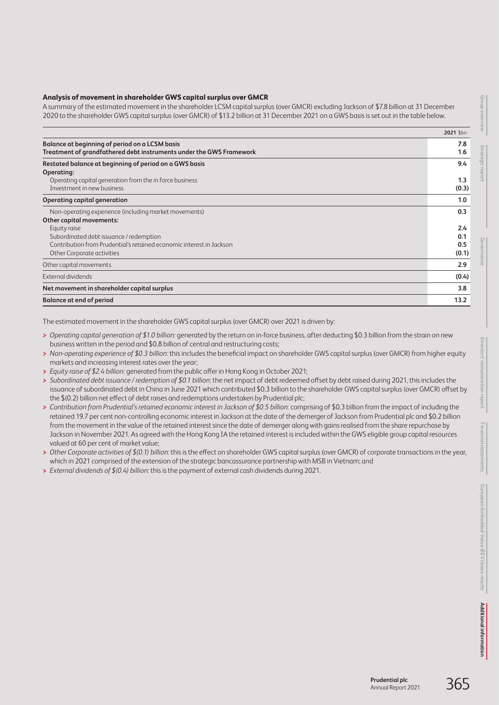## **Analysis of movement in shareholder GWS capital surplus over GMCR**

A summary of the estimated movement in the shareholder LCSM capital surplus (over GMCR) excluding Jackson of \$7.8 billion at 31 December 2020 to the shareholder GWS capital surplus (over GMCR) of \$13.2 billion at 31 December 2021 on a GWS basis is set out in the table below.

|                                                                      | 2021 \$bn |
|----------------------------------------------------------------------|-----------|
| Balance at beginning of period on a LCSM basis                       | 7.8       |
| Treatment of grandfathered debt instruments under the GWS Framework  | 1.6       |
| Restated balance at beginning of period on a GWS basis               | 9.4       |
| Operating:                                                           |           |
| Operating capital generation from the in force business              | 1.3       |
| Investment in new business                                           | (0.3)     |
| Operating capital generation                                         | 1.0       |
| Non-operating experience (including market movements)                | 0.3       |
| Other capital movements:                                             |           |
| Equity raise                                                         | 2.4       |
| Subordinated debt issuance / redemption                              | 0.1       |
| Contribution from Prudential's retained economic interest in Jackson | 0.5       |
| Other Corporate activities                                           | (0.1)     |
| Other capital movements                                              | 2.9       |
| External dividends                                                   | (0.4)     |
| Net movement in shareholder capital surplus                          | 3.8       |
| <b>Balance at end of period</b>                                      | 13.2      |

The estimated movement in the shareholder GWS capital surplus (over GMCR) over 2021 is driven by:

- **>** *Operating capital generation of \$1.0 billion:* generated by the return on in-force business, after deducting \$0.3 billion from the strain on new business written in the period and \$0.8 billion of central and restructuring costs;
- **>** *Non-operating experience of \$0.3 billion:* this includes the beneficial impact on shareholder GWS capital surplus (over GMCR) from higher equity markets and increasing interest rates over the year;
- **>** *Equity raise of \$2.4 billion:* generated from the public offer in Hong Kong in October 2021;
- **>** *Subordinated debt issuance / redemption of \$0.1 billion:* the net impact of debt redeemed offset by debt raised during 2021, this includes the issuance of subordinated debt in China in June 2021 which contributed \$0.3 billion to the shareholder GWS capital surplus (over GMCR) offset by the \$(0.2) billion net effect of debt raises and redemptions undertaken by Prudential plc;
- **>** *Contribution from Prudential's retained economic interest in Jackson of \$0.5 billion:* comprising of \$0.3 billion from the impact of including the retained 19.7 per cent non-controlling economic interest in Jackson at the date of the demerger of Jackson from Prudential plc and \$0.2 billion from the movement in the value of the retained interest since the date of demerger along with gains realised from the share repurchase by Jackson in November 2021. As agreed with the Hong Kong IA the retained interest is included within the GWS eligible group capital resources valued at 60 per cent of market value;
- **>** *Other Corporate activities of \$(0.1) billion:* this is the effect on shareholder GWS capital surplus (over GMCR) of corporate transactions in the year, which in 2021 comprised of the extension of the strategic bancassurance partnership with MSB in Vietnam; and
- **>** *External dividends of \$(0.4) billion:* this is the payment of external cash dividends during 2021.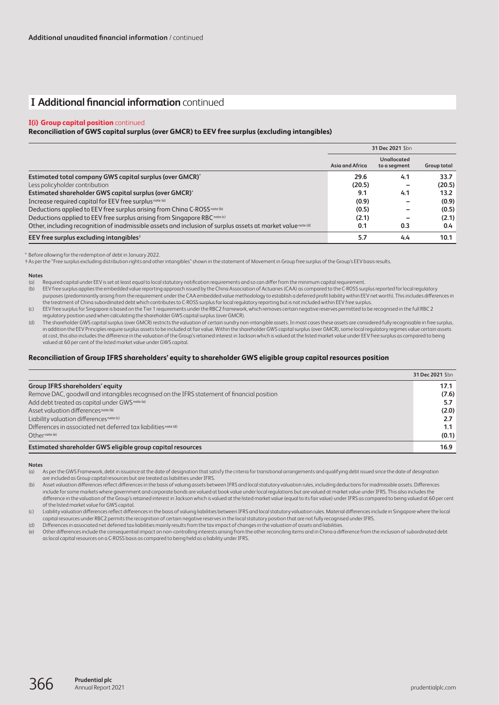# **I Additional financial information** continued

#### **I(i) Group capital position** continued

#### **Reconciliation of GWS capital surplus (over GMCR) to EEV free surplus (excluding intangibles)**

|                                                                                                              |                 | 31 Dec 2021 \$bn                   |                    |
|--------------------------------------------------------------------------------------------------------------|-----------------|------------------------------------|--------------------|
|                                                                                                              | Asia and Africa | <b>Unallocated</b><br>to a segment | <b>Group total</b> |
| Estimated total company GWS capital surplus (over GMCR)*                                                     | 29.6            | 4.1                                | 33.7               |
| Less policyholder contribution                                                                               | (20.5)          | -                                  | (20.5)             |
| Estimated shareholder GWS capital surplus (over GMCR)*                                                       | 9.1             | 4.1                                | 13.2               |
| Increase required capital for EEV free surplus note (a)                                                      | (0.9)           |                                    | (0.9)              |
| Deductions applied to EEV free surplus arising from China C-ROSS note (b)                                    | (0.5)           |                                    | (0.5)              |
| Deductions applied to EEV free surplus arising from Singapore RBC note (c)                                   | (2.1)           |                                    | (2.1)              |
| Other, including recognition of inadmissible assets and inclusion of surplus assets at market value note (d) | 0.1             | 0.3                                | 0.4                |
| EEV free surplus excluding intangibles <sup>+</sup>                                                          | 5.7             | 4.4                                | 10.1               |

\* Before allowing for the redemption of debt in January 2022.

†As per the "Free surplus excluding distribution rights and other intangibles" shown in the statement of Movement in Group free surplus of the Group's EEV basis results.

#### **Notes**

(a) Required capital under EEV is set at least equal to local statutory notification requirements and so can differ from the minimum capital requirement.<br>(b) EEV free surplus applies the embedded value reportina approach i

EEV free surplus applies the embedded value reporting approach issued by the China Association of Actuaries (CAA) as compared to the C-ROSS surplus reported for local regulatory purposes (predominantly arising from the requirement under the CAA embedded value methodology to establish a deferred profit liability within EEV net worth). This includes differences in the treatment of China subordinated debt which contributes to C-ROSS surplus for local regulatory reporting but is not included within EEV free surplus.

(c) EEV free surplus for Singapore is based on the Tier 1 requirements under the RBC2 framework, which removes certain negative reserves permitted to be recognised in the full RBC 2 regulatory position used when calculating the shareholder GWS capital surplus (over GMCR).

(d) The shareholder GWS capital surplus (over GMCR) restricts the valuation of certain sundry non-intangible assets. In most cases these assets are considered fully recognisable in free surplus, in addition the EEV Principles require surplus assets to be included at fair value. Within the shareholder GWS capital surplus (over GMCR), some local requlatory regimes value certain assets at cost, this also includes the difference in the valuation of the Group's retained interest in Jackson which is valued at the listed market value under EEV free surplus as compared to being valued at 60 per cent of the listed market value under GWS capital.

#### **Reconciliation of Group IFRS shareholders' equity to shareholder GWS eligible group capital resources position**

|                                                                                             | 31 Dec 2021 \$bn |
|---------------------------------------------------------------------------------------------|------------------|
| <b>Group IFRS shareholders' equity</b>                                                      | 17.1             |
| Remove DAC, goodwill and intangibles recognised on the IFRS statement of financial position | (7.6)            |
| Add debt treated as capital under GWS <sup>note (a)</sup>                                   | 5.7              |
| Asset valuation differences <sup>note (b)</sup>                                             | (2.0)            |
| Liability valuation differences note (c)                                                    | 2.7              |
| Differences in associated net deferred tax liabilities note (d)                             | 1.1              |
| $Oth$ ernote(e)                                                                             | (0.1)            |
| Estimated shareholder GWS eligible group capital resources                                  | 16.9             |

#### **Notes**

(a) As per the GWS Framework, debt in issuance at the date of designation that satisfy the criteria for transitional arrangements and qualifying debt issued since the date of designation are included as Group capital resources but are treated as liabilities under IFRS.

(b) Asset valuation differences reflect differences in the basis of valuing assets between IFRS and local statutory valuation rules, including deductions for inadmissible assets. Differences include for some markets where government and corporate bonds are valued at book value under local regulations but are valued at market value under IFRS. This also includes the difference in the valuation of the Group's retained interest in Jackson which is valued at the listed market value (equal to its fair value) under IFRS as compared to being valued at 60 per cent of the listed market value for GWS capital.

(c) Liability valuation differences reflect differences in the basis of valuing liabilities between IFRS and local statutory valuation rules. Material differences include in Singapore where the local capital resources under RBC2 permits the recognition of certain negative reserves in the local statutory position that are not fully recognised under IFRS.

(d) Differences in associated net deferred tax liabilities mainly results from the tax impact of changes in the valuation of assets and liabilities.

(e) Other differences include the consequential impact on non-controlling interests arising from the other reconciling items and in China a difference from the inclusion of subordinated debt aslocal capital resources on a C-ROSS basis as compared to being held as a liability under IFRS.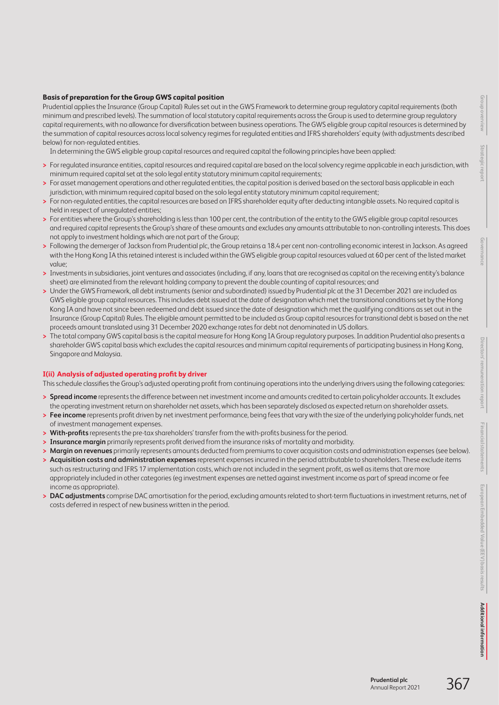# **Basis of preparation for the Group GWS capital position**

Prudential applies the Insurance (Group Capital) Rules set out in the GWS Framework to determine group regulatory capital requirements (both minimum and prescribed levels). The summation of local statutory capital requirements across the Group is used to determine group regulatory capital requirements, with no allowance for diversification between business operations. The GWS eligible group capital resources is determined by the summation of capital resources across local solvency regimes for regulated entities and IFRS shareholders' equity (with adjustments described below) for non-regulated entities.

In determining the GWS eligible group capital resources and required capital the following principles have been applied:

- **>** For regulated insurance entities, capital resources and required capital are based on the local solvency regime applicable in each jurisdiction, with minimum required capital set at the solo legal entity statutory minimum capital requirements;
- **>** For asset management operations and other regulated entities, the capital position is derived based on the sectoral basis applicable in each jurisdiction, with minimum required capital based on the solo legal entity statutory minimum capital requirement;
- **>** For non-regulated entities, the capital resources are based on IFRS shareholder equity after deducting intangible assets. No required capital is held in respect of unregulated entities;
- **>** For entities where the Group's shareholding is less than 100 per cent, the contribution of the entity to the GWS eligible group capital resources and required capital represents the Group's share of these amounts and excludes any amounts attributable to non-controlling interests. This does not apply to investment holdings which are not part of the Group;
- **>** Following the demerger of Jackson from Prudential plc, the Group retains a 18.4 per cent non-controlling economic interest in Jackson. As agreed with the Hong Kong IA this retained interest is included within the GWS eligible group capital resources valued at 60 per cent of the listed market value;
- **>** Investments in subsidiaries, joint ventures and associates (including, if any, loans that are recognised as capital on the receiving entity's balance sheet) are eliminated from the relevant holding company to prevent the double counting of capital resources; and
- **>** Under the GWS Framework, all debt instruments (senior and subordinated) issued by Prudential plc at the 31 December 2021 are included as GWS eligible group capital resources. This includes debt issued at the date of designation which met the transitional conditions set by the Hong Kong IA and have not since been redeemed and debt issued since the date of designation which met the qualifying conditions as set out in the Insurance (Group Capital) Rules. The eligible amount permitted to be included as Group capital resources for transitional debt is based on the net proceeds amount translated using 31 December 2020 exchange rates for debt not denominated in US dollars.
- **>** The total company GWS capital basis is the capital measure for Hong Kong IA Group regulatory purposes. In addition Prudential also presents a shareholder GWS capital basis which excludes the capital resources and minimum capital requirements of participating business in Hong Kong, Singapore and Malaysia.

## **I(ii) Analysis of adjusted operating profit by driver**

This schedule classifies the Group's adjusted operating profit from continuing operations into the underlying drivers using the following categories:

- **> Spread income** represents the difference between net investment income and amounts credited to certain policyholder accounts. It excludes the operating investment return on shareholder net assets, which has been separately disclosed as expected return on shareholder assets.
- **> Fee income** represents profit driven by net investment performance, being fees that vary with the size of the underlying policyholder funds, net of investment management expenses.
- **> With-profits** represents the pre-tax shareholders' transfer from the with-profits business for the period.
- **> Insurance margin** primarily represents profit derived from the insurance risks of mortality and morbidity.
- **> Margin on revenues** primarily represents amounts deducted from premiums to cover acquisition costs and administration expenses (see below).
- **> Acquisition costs and administration expenses** represent expenses incurred in the period attributable to shareholders. These exclude items such as restructuring and IFRS 17 implementation costs, which are not included in the segment profit, as well as items that are more appropriately included in other categories (eg investment expenses are netted against investment income as part of spread income or fee income as appropriate).
- **> DAC adjustments** comprise DAC amortisation for the period, excluding amounts related to short-term fluctuations in investment returns, net of costs deferred in respect of new business written in the period.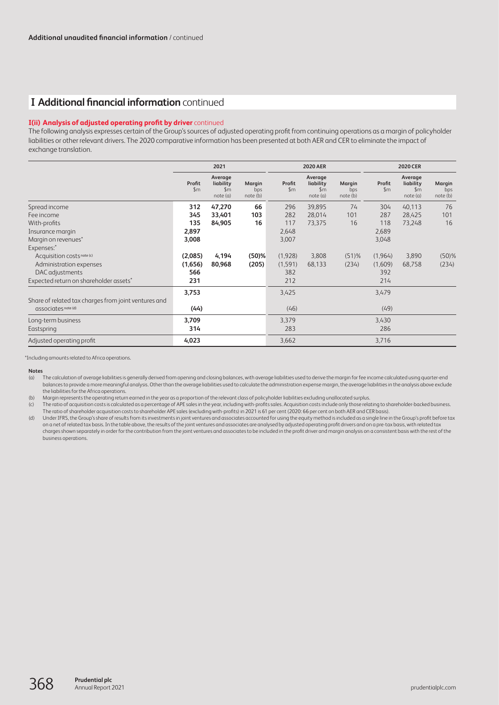# **I Additional financial information** continued

## **I(ii) Analysis of adjusted operating profit by driver** continued

The following analysis expresses certain of the Group's sources of adjusted operating profit from continuing operations as a margin of policyholder liabilities or other relevant drivers. The 2020 comparative information has been presented at both AER and CER to eliminate the impact of exchange translation.

|                                                      | 2021                    |                                                  |                           | <b>2020 AER</b>         |                                                  |                           | <b>2020 CER</b>         |                                                  |                           |
|------------------------------------------------------|-------------------------|--------------------------------------------------|---------------------------|-------------------------|--------------------------------------------------|---------------------------|-------------------------|--------------------------------------------------|---------------------------|
|                                                      | Profit<br>$\mathsf{Sm}$ | Average<br>liability<br>$\mathsf{Sm}$<br>note(a) | Margin<br>bps<br>note (b) | Profit<br>$\mathsf{Sm}$ | Average<br>liability<br>$\mathsf{Sm}$<br>note(a) | Margin<br>bps<br>note (b) | Profit<br>$\mathsf{Sm}$ | Average<br>liability<br>$\mathsf{Sm}$<br>note(a) | Margin<br>bps<br>note (b) |
| Spread income                                        | 312                     | 47,270                                           | 66                        | 296                     | 39,895                                           | 74                        | 304                     | 40,113                                           | 76                        |
| Fee income                                           | 345                     | 33,401                                           | 103                       | 282                     | 28,014                                           | 101                       | 287                     | 28,425                                           | 101                       |
| With-profits                                         | 135                     | 84,905                                           | 16                        | 117                     | 73,375                                           | 16                        | 118                     | 73,248                                           | 16                        |
| Insurance margin                                     | 2,897                   |                                                  |                           | 2,648                   |                                                  |                           | 2,689                   |                                                  |                           |
| Margin on revenues*                                  | 3,008                   |                                                  |                           | 3,007                   |                                                  |                           | 3,048                   |                                                  |                           |
| Expenses:*                                           |                         |                                                  |                           |                         |                                                  |                           |                         |                                                  |                           |
| Acquisition costs note (c)                           | (2,085)                 | 4,194                                            | (50)%                     | (1,928)                 | 3,808                                            | $(51)$ %                  | (1,964)                 | 3,890                                            | $(50)$ %                  |
| Administration expenses                              | (1,656)                 | 80,968                                           | (205)                     | (1,591)                 | 68,133                                           | (234)                     | (1,609)                 | 68,758                                           | (234)                     |
| DAC adjustments                                      | 566                     |                                                  |                           | 382                     |                                                  |                           | 392                     |                                                  |                           |
| Expected return on shareholder assets*               | 231                     |                                                  |                           | 212                     |                                                  |                           | 214                     |                                                  |                           |
| Share of related tax charges from joint ventures and | 3,753                   |                                                  |                           | 3,425                   |                                                  |                           | 3,479                   |                                                  |                           |
| associates note (d)                                  | (44)                    |                                                  |                           | (46)                    |                                                  |                           | (49)                    |                                                  |                           |
| Long-term business                                   | 3,709                   |                                                  |                           | 3,379                   |                                                  |                           | 3,430                   |                                                  |                           |
| Eastspring                                           | 314                     |                                                  |                           | 283                     |                                                  |                           | 286                     |                                                  |                           |
| Adjusted operating profit                            | 4,023                   |                                                  |                           | 3,662                   |                                                  |                           | 3,716                   |                                                  |                           |

\*Including amounts related to Africa operations.

#### **Notes**

(a) The calculation of average liabilities is generally derived from opening and closing balances, with average liabilities used to derive the margin for fee income calculated using quarter-end balances to provide a more meaningful analysis. Other than the average liabilities used to calculate the administration expense margin, the average liabilities in the analysis above exclude the liabilities for the Africa operations.

(b) Margin represents the operating return earned in the year as a proportion of the relevant class of policyholder liabilities excluding unallocated surplus.

(c) The ratio of acquisition costs is calculated as a percentage of APE sales in the year, including with-profits sales. Acquisition costs include only those relating to shareholder-backed business. The ratio of shareholder acquisition costs to shareholder APE sales (excluding with-profits) in 2021 is 61 per cent (2020: 66 per cent on both AER and CER basis).

(d) Under IFRS, the Group's share of results from its investments in joint ventures and associates accounted for using the equity method is included as a single line in the Group's profit before tax on a net of related tax basis. In the table above, the results of the joint ventures and associates are analysed by adjusted operating profit drivers and on a pre-tax basis, with related tax charges shown separately in order for the contribution from the joint ventures and associates to be included in the profit driver and margin analysis on a consistent basis with the rest of the business operations.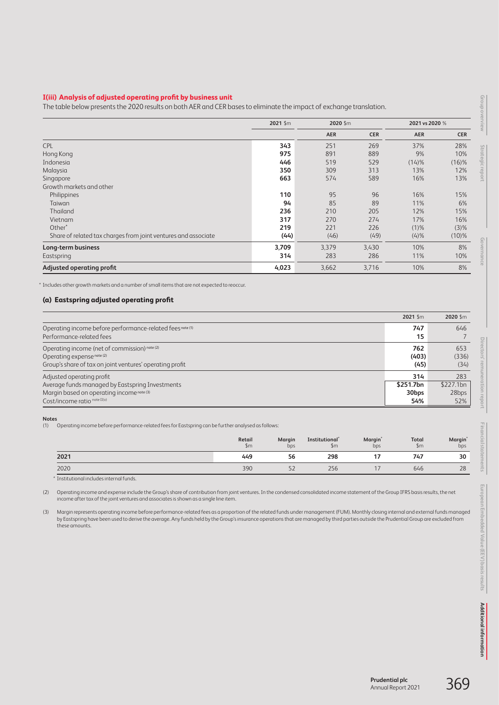## **I(iii) Analysis of adjusted operating profit by business unit**

|                                                                | 2021 \$m |            | 2020 \$m   |            | 2021 vs 2020 % |
|----------------------------------------------------------------|----------|------------|------------|------------|----------------|
|                                                                |          | <b>AER</b> | <b>CER</b> | <b>AER</b> | <b>CER</b>     |
| <b>CPL</b>                                                     | 343      | 251        | 269        | 37%        | 28%            |
| Hong Kong                                                      | 975      | 891        | 889        | 9%         | 10%            |
| Indonesia                                                      | 446      | 519        | 529        | (14)%      | $(16)$ %       |
| Malaysia                                                       | 350      | 309        | 313        | 13%        | 12%            |
| Singapore                                                      | 663      | 574        | 589        | 16%        | 13%            |
| Growth markets and other                                       |          |            |            |            |                |
| Philippines                                                    | 110      | 95         | 96         | 16%        | 15%            |
| Taiwan                                                         | 94       | 85         | 89         | 11%        | 6%             |
| Thailand                                                       | 236      | 210        | 205        | 12%        | 15%            |
| Vietnam                                                        | 317      | 270        | 274        | 17%        | 16%            |
| Other <sup>*</sup>                                             | 219      | 221        | 226        | $(1)\%$    | (3)%           |
| Share of related tax charges from joint ventures and associate | (44)     | (46)       | (49)       | (4)%       | $(10)\%$       |
| Long-term business                                             | 3,709    | 3,379      | 3,430      | 10%        | 8%             |
| Eastspring                                                     | 314      | 283        | 286        | 11%        | 10%            |
| Adjusted operating profit                                      | 4,023    | 3,662      | 3,716      | 10%        | 8%             |

\* Includes other growth markets and a number of small items that are not expected to reoccur.

#### **(a) Eastspring adjusted operating profit**

|                                                                                       | 2021 Sm           | 2020 Sm   |
|---------------------------------------------------------------------------------------|-------------------|-----------|
| Operating income before performance-related fees note (1)<br>Performance-related fees | 747<br>15         | 646       |
| Operating income (net of commission) note (2)                                         | 762               | 653       |
| Operating expense note (2)                                                            | (403)             | (336)     |
| Group's share of tax on joint ventures' operating profit                              | (45)              | (34)      |
| Adjusted operating profit                                                             | 314               | 283       |
| Average funds managed by Eastspring Investments                                       | \$251.7bn         | \$227.1bn |
| Margin based on operating income note (3)                                             | 30 <sub>bps</sub> | 28bps     |
| $Cost/income rationote II(v)$                                                         | 54%               | 52%       |

#### **Notes**

(1) Operating income before performance-related fees for Eastspring can be further analysed as follows:

| Retail<br>$\mathsf{Sm}$ | Margin<br>bps | Institutional <sup>*</sup><br>$\mathsf{S}$ m | <b>Margin</b> <sup>*</sup><br>bps | Total<br>$\mathsf{Sm}$ | Margin<br>bps |
|-------------------------|---------------|----------------------------------------------|-----------------------------------|------------------------|---------------|
| 449                     | 56            | 298                                          | 17                                | 747                    | 30            |
| 390                     | 52            | 256                                          |                                   | 646                    | 28            |
|                         |               |                                              |                                   |                        |               |

\* Institutional includes internal funds.

(2) Operating income and expense include the Group's share of contribution from joint ventures. In the condensed consolidated income statement of the Group IFRS basis results, the net income after tax of the joint ventures and associates is shown as a single line item.

(3) Margin represents operating income before performance-related fees as a proportion of the related funds under management (FUM). Monthly closing internal and external funds managed by Eastspring have been used to derive the average. Any funds held by the Group's insurance operations that are managed by third parties outside the Prudential Group are excluded from these amounts.

Group overview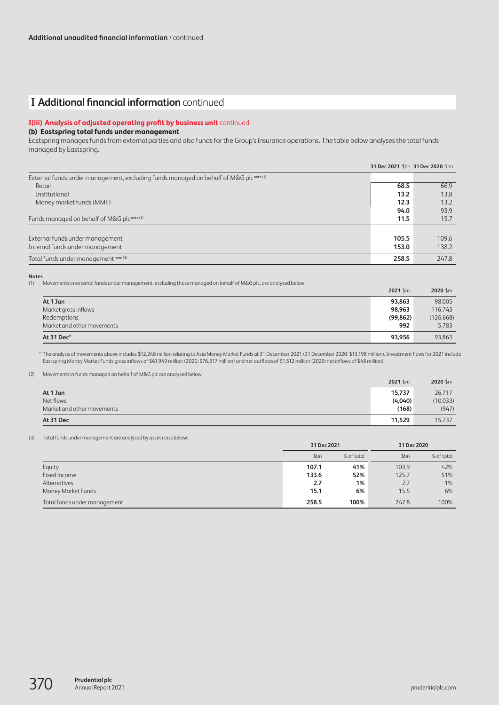# **I Additional financial information** continued

## **I(iii) Analysis of adjusted operating profit by business unit** continued

#### **(b) Eastspring total funds under management**

Eastspring manages funds from external parties and also funds for the Group's insurance operations. The table below analyses the total funds managed by Eastspring.

|                                                                                                  | 31 Dec 2021 \$bn 31 Dec 2020 \$bn |       |
|--------------------------------------------------------------------------------------------------|-----------------------------------|-------|
| External funds under management, excluding funds managed on behalf of M&G plc <sup>note(1)</sup> |                                   |       |
| Retail                                                                                           | 68.5                              | 66.9  |
| Institutional                                                                                    | 13.2                              | 13.8  |
| Money market funds (MMF)                                                                         | 12.3                              | 13.2  |
|                                                                                                  | 94.0                              | 93.9  |
| Funds managed on behalf of M&G plcnote (2)                                                       | 11.5                              | 15.7  |
|                                                                                                  |                                   |       |
| External funds under management                                                                  | 105.5                             | 109.6 |
| Internal funds under management                                                                  | 153.0                             | 138.2 |
| Total funds under management note (3)                                                            | 258.5                             | 247.8 |

#### **Notes**

(1) Movements in external funds under management, excluding those managed on behalf of M&G plc, are analysed below:

|                            | $2021$ \$m | 2020 \$m   |
|----------------------------|------------|------------|
| At 1 Jan                   | 93,863     | 98,005     |
| Market gross inflows       | 98.963     | 116.743    |
| Redemptions                | (99, 862)  | (126, 668) |
| Market and other movements | 992        | 5,783      |
| At 31 Dec*                 | 93,956     | 93,863     |

\* The analysis of movements above includes \$12,248 million relating to Asia Money Market Funds at 31 December 2021 (31 December 2020: \$13,198 million). Investment flows for 2021 include Eastspring Money Market Funds gross inflows of \$61,949 million (2020: \$76,317 million) and net outflows of \$1,512 million (2020: net inflows of \$48 million).

(2) Movements in funds managed on behalf of M&G plc are analysed below:

|                            | 2021 Sm | 2020 Sm  |
|----------------------------|---------|----------|
| At 1 Jan                   | 15,737  | 26,717   |
| Net flows                  | (4,040) | (10,033) |
| Market and other movements | (168)   | (947)    |
| At 31 Dec                  | 11,529  | 15,737   |

(3) Total funds under management are analysed by asset class below:

|                              | 31 Dec 2021 |            |       | 31 Dec 2020 |
|------------------------------|-------------|------------|-------|-------------|
|                              | \$bn        | % of total | \$bn  | % of total  |
| Equity                       | 107.1       | 41%        | 103.9 | 42%         |
| Fixed income                 | 133.6       | 52%        | 125.7 | 51%         |
| Alternatives                 | 2.7         | 1%         | 2.7   | $1\%$       |
| Money Market Funds           | 15.1        | 6%         | 15.5  | 6%          |
| Total funds under management | 258.5       | 100%       | 247.8 | 100%        |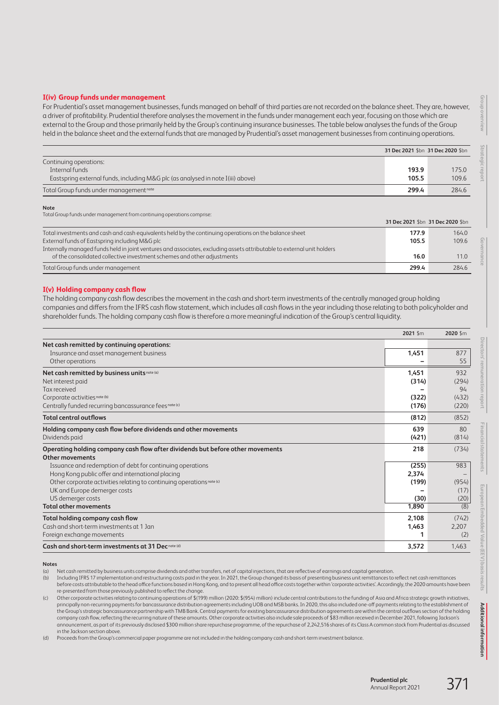#### **I(iv) Group funds under management**

For Prudential's asset management businesses, funds managed on behalf of third parties are not recorded on the balance sheet. They are, however, a driver of profitability. Prudential therefore analyses the movement in the funds under management each year, focusing on those which are external to the Group and those primarily held by the Group's continuing insurance businesses. The table below analyses the funds of the Group held in the balance sheet and the external funds that are managed by Prudential's asset management businesses from continuing operations.

|                                                                                 | 31 Dec 2021 \$bn 31 Dec 2020 \$bn |       |  |
|---------------------------------------------------------------------------------|-----------------------------------|-------|--|
| Continuing operations:                                                          |                                   |       |  |
| Internal funds                                                                  | 193.9                             | 175.0 |  |
| Eastspring external funds, including M&G plc (as analysed in note I(iii) above) | 105.5                             | 109.6 |  |
| Total Group funds under management note                                         | 299.4                             | 284.6 |  |

**Note**

Total Group funds under management from continuing operations comprise:

|                                                                                                                        | 31 Dec 2021 \$bn 31 Dec 2020 \$bn |       |
|------------------------------------------------------------------------------------------------------------------------|-----------------------------------|-------|
| Total investments and cash and cash equivalents held by the continuing operations on the balance sheet                 | 177.9                             | 164.0 |
| External funds of Eastspring including M&G plc                                                                         | 105.5                             | 109.6 |
| Internally managed funds held in joint ventures and associates, excluding assets attributable to external unit holders |                                   |       |
| of the consolidated collective investment schemes and other adjustments                                                | 16.0                              | 11.0  |
| Total Group funds under management                                                                                     | 299.4                             | 284.6 |

#### **I(v) Holding company cash flow**

The holding company cash flow describes the movement in the cash and short-term investments of the centrally managed group holding companies and differs from the IFRS cash flow statement, which includes all cash flows in the year including those relating to both policyholder and shareholder funds. The holding company cash flow is therefore a more meaningful indication of the Group's central liquidity.

|                                                                                | 2021 \$m | 2020 \$m          |
|--------------------------------------------------------------------------------|----------|-------------------|
| Net cash remitted by continuing operations:                                    |          |                   |
| Insurance and asset management business                                        | 1,451    | 877               |
| Other operations                                                               |          | 55                |
| Net cash remitted by business units note (a)                                   | 1,451    | 932               |
| Net interest paid                                                              | (314)    | (294)             |
| Tax received                                                                   |          | 94                |
| Corporate activities note (b)                                                  | (322)    | (432)             |
| Centrally funded recurring bancassurance fees note (c)                         | (176)    | (220)             |
| <b>Total central outflows</b>                                                  | (812)    | (852)             |
| Holding company cash flow before dividends and other movements                 | 639      | 80                |
| Dividends paid                                                                 | (421)    | (814)             |
| Operating holding company cash flow after dividends but before other movements | 218      | (734)             |
| <b>Other movements</b>                                                         |          |                   |
| Issuance and redemption of debt for continuing operations                      | (255)    | 983               |
| Hong Kong public offer and international placing                               | 2,374    | $\qquad \qquad -$ |
| Other corporate activities relating to continuing operations note (c)          | (199)    | (954)             |
| UK and Europe demerger costs                                                   |          | (17)              |
| US demerger costs                                                              | (30)     | (20)              |
| <b>Total other movements</b>                                                   | 1,890    | (8)               |
| Total holding company cash flow                                                | 2,108    | (742)             |
| Cash and short-term investments at 1 Jan                                       | 1,463    | 2,207             |
| Foreign exchange movements                                                     |          | (2)               |
| Cash and short-term investments at 31 Dec <sup>note (d)</sup>                  | 3,572    | 1,463             |

**Notes**

(a) Net cash remitted by business units comprise dividends and other transfers, net of capital injections, that are reflective of earnings and capital generation.<br>(b) Including IFRS 17 implementation and restructuring cost

Including IFRS 17 implementation and restructuring costs paid in the year. In 2021, the Group changed its basis of presenting business unit remittances to reflect net cash remittances before costs attributable to the head office functions based in Hong Kong, and to present all head office costs together within 'corporate activities'. Accordingly, the 2020 amounts have been re-presented from those previously published to reflect the change.

(c) Other corporate activities relating to continuing operations of \$(199) million (2020: \$(954) million) include central contributions to the funding of Asia and Africa strategic growth initiatives, principally non-recurring payments for bancassurance distribution agreements including UOB and MSB banks. In 2020, this also included one-off payments relating to the establishment of the Group's strategic bancassurance partnership with TMB Bank. Central payments for existing bancassurance distribution agreements are within the central outflows section of the holding company cash flow, reflecting the recurring nature of these amounts. Other corporate activities also include sale proceeds of \$83 million received in December 2021, following Jackson's announcement, as part of its previously disclosed \$300 million share repurchase programme, of the repurchase of 2,242,516 shares of its Class A common stock from Prudential as discussed in the Jackson section above.

(d) Proceeds from the Group's commercial paper programme are not included in the holding company cash and short-term investment balance.

**Governance**

ancial statem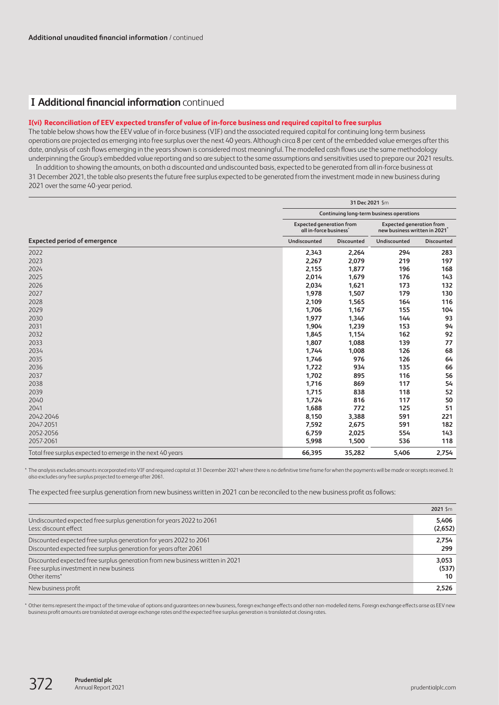# **I Additional financial information** continued

## **I(vi) Reconciliation of EEV expected transfer of value of in-force business and required capital to free surplus**

The table below shows how the EEV value of in-force business (VIF) and the associated required capital for continuing long-term business operations are projected as emerging into free surplus over the next 40 years. Although circa 8 per cent of the embedded value emerges after this date, analysis of cash flows emerging in the years shown is considered most meaningful. The modelled cash flows use the same methodology underpinning the Group's embedded value reporting and so are subject to the same assumptions and sensitivities used to prepare our 2021 results. In addition to showing the amounts, on both a discounted and undiscounted basis, expected to be generated from all in-force business at

31 December 2021, the table also presents the future free surplus expected to be generated from the investment made in new business during 2021 over the same 40-year period.

|                                                            | 31 Dec 2021 \$m                                                       |            |              |                                                                              |  |  |
|------------------------------------------------------------|-----------------------------------------------------------------------|------------|--------------|------------------------------------------------------------------------------|--|--|
|                                                            | <b>Continuing long-term business operations</b>                       |            |              |                                                                              |  |  |
|                                                            | <b>Expected generation from</b><br>all in-force business <sup>*</sup> |            |              | <b>Expected generation from</b><br>new business written in 2021 <sup>*</sup> |  |  |
| <b>Expected period of emergence</b>                        | Undiscounted                                                          | Discounted | Undiscounted | <b>Discounted</b>                                                            |  |  |
| 2022                                                       | 2,343                                                                 | 2,264      | 294          | 283                                                                          |  |  |
| 2023                                                       | 2,267                                                                 | 2,079      | 219          | 197                                                                          |  |  |
| 2024                                                       | 2,155                                                                 | 1,877      | 196          | 168                                                                          |  |  |
| 2025                                                       | 2,014                                                                 | 1,679      | 176          | 143                                                                          |  |  |
| 2026                                                       | 2,034                                                                 | 1,621      | 173          | 132                                                                          |  |  |
| 2027                                                       | 1,978                                                                 | 1,507      | 179          | 130                                                                          |  |  |
| 2028                                                       | 2,109                                                                 | 1,565      | 164          | 116                                                                          |  |  |
| 2029                                                       | 1,706                                                                 | 1,167      | 155          | 104                                                                          |  |  |
| 2030                                                       | 1,977                                                                 | 1,346      | 144          | 93                                                                           |  |  |
| 2031                                                       | 1,904                                                                 | 1,239      | 153          | 94                                                                           |  |  |
| 2032                                                       | 1,845                                                                 | 1,154      | 162          | 92                                                                           |  |  |
| 2033                                                       | 1,807                                                                 | 1,088      | 139          | 77                                                                           |  |  |
| 2034                                                       | 1,744                                                                 | 1,008      | 126          | 68                                                                           |  |  |
| 2035                                                       | 1,746                                                                 | 976        | 126          | 64                                                                           |  |  |
| 2036                                                       | 1,722                                                                 | 934        | 135          | 66                                                                           |  |  |
| 2037                                                       | 1,702                                                                 | 895        | 116          | 56                                                                           |  |  |
| 2038                                                       | 1,716                                                                 | 869        | 117          | 54                                                                           |  |  |
| 2039                                                       | 1,715                                                                 | 838        | 118          | 52                                                                           |  |  |
| 2040                                                       | 1,724                                                                 | 816        | 117          | 50                                                                           |  |  |
| 2041                                                       | 1,688                                                                 | 772        | 125          | 51                                                                           |  |  |
| 2042-2046                                                  | 8,150                                                                 | 3,388      | 591          | 221                                                                          |  |  |
| 2047-2051                                                  | 7,592                                                                 | 2,675      | 591          | 182                                                                          |  |  |
| 2052-2056                                                  | 6,759                                                                 | 2,025      | 554          | 143                                                                          |  |  |
| 2057-2061                                                  | 5,998                                                                 | 1,500      | 536          | 118                                                                          |  |  |
| Total free surplus expected to emerge in the next 40 years | 66,395                                                                | 35,282     | 5.406        | 2,754                                                                        |  |  |

\* The analysis excludes amounts incorporated into VIF and required capital at 31 December 2021 where there is no definitive time frame for when the payments will be made or receipts received. It also excludes any free surplus projected to emerge after 2061.

The expected free surplus generation from new business written in 2021 can be reconciled to the new business profit as follows:

|                                                                               | 2021 Sm |
|-------------------------------------------------------------------------------|---------|
| Undiscounted expected free surplus generation for years 2022 to 2061          | 5.406   |
| Less: discount effect                                                         | (2,652) |
| Discounted expected free surplus generation for years 2022 to 2061            | 2.754   |
| Discounted expected free surplus generation for years after 2061              | 299     |
| Discounted expected free surplus generation from new business written in 2021 | 3,053   |
| Free surplus investment in new business                                       | (537)   |
| Other items <sup>*</sup>                                                      | 10      |
| New business profit                                                           | 2,526   |

\* Other items represent the impact of the time value of options and guarantees on new business, foreign exchange effects and other non-modelled items. Foreign exchange effects arise as EEV new business profit amounts are translated at average exchange rates and the expected free surplus generation is translated at closing rates.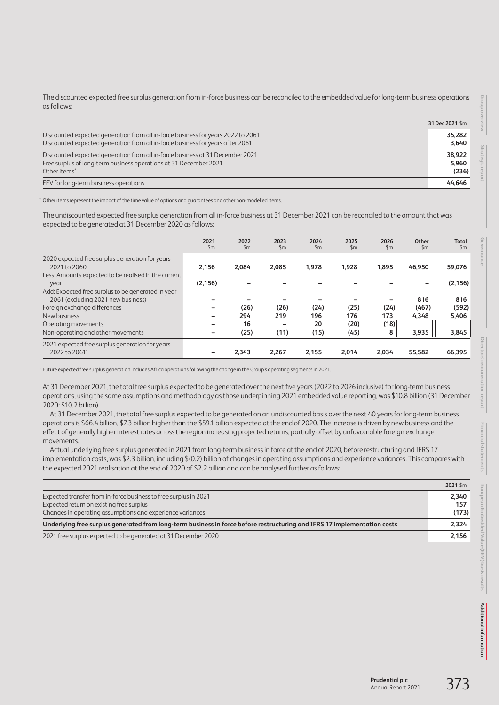The discounted expected free surplus generation from in-force business can be reconciled to the embedded value for long-term business operations as follows:

|                                                                                  | 31 Dec 2021 \$m |
|----------------------------------------------------------------------------------|-----------------|
| Discounted expected generation from all in-force business for years 2022 to 2061 | 35.282          |
| Discounted expected generation from all in-force business for years after 2061   | 3,640           |
| Discounted expected generation from all in-force business at 31 December 2021    | 38.922          |
| Free surplus of long-term business operations at 31 December 2021                | 5.960           |
| Other items*                                                                     | (236)           |
| EEV for long-term business operations                                            | 44.646          |

\* Other items represent the impact of the time value of options and guarantees and other non-modelled items.

The undiscounted expected free surplus generation from all in-force business at 31 December 2021 can be reconciled to the amount that was expected to be generated at 31 December 2020 as follows:

|                                                                    | 2021<br>$\mathsf{Sm}$ | 2022<br>$\mathsf{Sm}$ | 2023<br>$\mathsf{Sm}$ | 2024<br>$\mathsf{Sm}$ | 2025<br>$\mathsf{Sm}$ | 2026<br>$\mathsf{Sm}$            | Other<br>$\mathsf{Sm}$ | <b>Total</b><br>$\mathsf{Sm}$ |
|--------------------------------------------------------------------|-----------------------|-----------------------|-----------------------|-----------------------|-----------------------|----------------------------------|------------------------|-------------------------------|
| 2020 expected free surplus generation for years<br>2021 to 2060    | 2.156                 | 2,084                 | 2,085                 | 1,978                 | 1,928                 | 1,895                            | 46,950                 | 59,076                        |
| Less: Amounts expected to be realised in the current<br>year       | (2, 156)              |                       |                       |                       |                       |                                  |                        | (2, 156)                      |
| Add: Expected free surplus to be generated in year                 |                       |                       |                       |                       |                       |                                  | 816                    | 816                           |
| 2061 (excluding 2021 new business)<br>Foreign exchange differences |                       | (26)                  | (26)                  | (24)                  | (25)                  | $\overline{\phantom{0}}$<br>(24) | (467)                  | (592)                         |
| New business                                                       |                       | 294                   | 219                   | 196                   | 176                   | 173                              | 4.348                  | 5,406                         |
| Operating movements                                                |                       | 16                    |                       | 20                    | (20)                  | (18)                             |                        |                               |
| Non-operating and other movements                                  |                       | (25)                  | (11)                  | (15)                  | (45)                  | 8                                | 3,935                  | 3,845                         |
| 2021 expected free surplus generation for years                    |                       |                       |                       |                       |                       |                                  |                        |                               |
| 2022 to 2061*                                                      |                       | 2.343                 | 2,267                 | 2.155                 | 2.014                 | 2.034                            | 55.582                 | 66,395                        |

\* Future expected free surplus generation includes Africa operations following the change in the Group's operating segments in 2021.

At 31 December 2021, the total free surplus expected to be generated over the next five years (2022 to 2026 inclusive) for long-term business operations, using the same assumptions and methodology as those underpinning 2021 embedded value reporting, was \$10.8 billion (31 December 2020: \$10.2 billion).

At 31 December 2021, the total free surplus expected to be generated on an undiscounted basis over the next 40 years for long-term business operations is \$66.4 billion, \$7.3 billion higher than the \$59.1 billion expected at the end of 2020. The increase is driven by new business and the effect of generally higher interest rates across the region increasing projected returns, partially offset by unfavourable foreign exchange movements.

Actual underlying free surplus generated in 2021 from long-term business in force at the end of 2020, before restructuring and IFRS 17 implementation costs, was \$2.3 billion, including \$(0.2) billion of changes in operating assumptions and experience variances. This compares with the expected 2021 realisation at the end of 2020 of \$2.2 billion and can be analysed further as follows:

| Expected transfer from in-force business to free surplus in 2021                                                         | 2,340 |
|--------------------------------------------------------------------------------------------------------------------------|-------|
| Expected return on existing free surplus                                                                                 | 157   |
| Changes in operating assumptions and experience variances                                                                | (173) |
| Underlying free surplus generated from long-term business in force before restructuring and IFRS 17 implementation costs | 2,324 |
| 2021 free surplus expected to be generated at 31 December 2020                                                           | 2.156 |
|                                                                                                                          |       |

**Group overview**

Group overview

**Strategic report**

**Financial statements**

Financial statements

**2021** \$m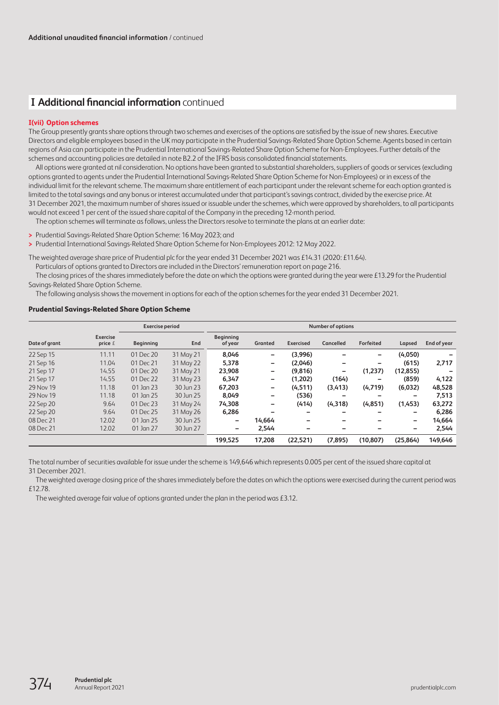# **I Additional financial information** continued

## **I(vii) Option schemes**

The Group presently grants share options through two schemes and exercises of the options are satisfied by the issue of new shares. Executive Directors and eligible employees based in the UK may participate in the Prudential Savings-Related Share Option Scheme. Agents based in certain regions of Asia can participate in the Prudential International Savings-Related Share Option Scheme for Non-Employees. Further details of the schemes and accounting policies are detailed in note B2.2 of the IFRS basis consolidated financial statements.

All options were granted at nil consideration. No options have been granted to substantial shareholders, suppliers of goods or services (excluding options granted to agents under the Prudential International Savings-Related Share Option Scheme for Non-Employees) or in excess of the individual limit for the relevant scheme. The maximum share entitlement of each participant under the relevant scheme for each option granted is limited to the total savings and any bonus or interest accumulated under that participant's savings contract, divided by the exercise price. At 31 December 2021, the maximum number of shares issued or issuable under the schemes, which were approved by shareholders, to all participants would not exceed 1 per cent of the issued share capital of the Company in the preceding 12-month period.

The option schemes will terminate as follows, unless the Directors resolve to terminate the plans at an earlier date:

- **>** Prudential Savings-Related Share Option Scheme: 16 May 2023; and
- **>** Prudential International Savings-Related Share Option Scheme for Non-Employees 2012: 12 May 2022.

The weighted average share price of Prudential plc for the year ended 31 December 2021 was £14.31 (2020: £11.64).

Particulars of options granted to Directors are included in the Directors' remuneration report on page 216.

The closing prices of the shares immediately before the date on which the options were granted during the year were £13.29 for the Prudential Savings-Related Share Option Scheme.

The following analysis shows the movement in options for each of the option schemes for the year ended 31 December 2021.

## **Prudential Savings-Related Share Option Scheme**

|               |                              | <b>Exercise period</b> |           | <b>Number of options</b>    |         |                  |                  |           |                          |             |
|---------------|------------------------------|------------------------|-----------|-----------------------------|---------|------------------|------------------|-----------|--------------------------|-------------|
| Date of grant | <b>Exercise</b><br>price $E$ | <b>Beginning</b>       | End       | <b>Beginning</b><br>of year | Granted | <b>Exercised</b> | <b>Cancelled</b> | Forfeited | Lapsed                   | End of year |
| 22 Sep 15     | 11.11                        | 01 Dec 20              | 31 May 21 | 8,046                       | -       | (3,996)          |                  | -         | (4,050)                  |             |
| 21 Sep 16     | 11.04                        | 01 Dec 21              | 31 May 22 | 5,378                       | -       | (2,046)          | -                | -         | (615)                    | 2,717       |
| 21 Sep 17     | 14.55                        | 01 Dec 20              | 31 May 21 | 23,908                      | -       | (9.816)          | -                | (1.237)   | (12, 855)                |             |
| 21 Sep 17     | 14.55                        | 01 Dec 22              | 31 May 23 | 6,347                       | -       | (1.202)          | (164)            | -         | (859)                    | 4,122       |
| 29 Nov 19     | 11.18                        | 01 Jan 23              | 30 Jun 23 | 67,203                      | -       | (4, 511)         | (3,413)          | (4,719)   | (6,032)                  | 48,528      |
| 29 Nov 19     | 11.18                        | 01 Jan 25              | 30 Jun 25 | 8,049                       | -       | (536)            | -                | -         | -                        | 7,513       |
| 22 Sep 20     | 9.64                         | 01 Dec 23              | 31 May 24 | 74,308                      | -       | (414)            | (4, 318)         | (4,851)   | (1,453)                  | 63,272      |
| 22 Sep 20     | 9.64                         | 01 Dec 25              | 31 May 26 | 6,286                       |         |                  | -                | -         | -                        | 6,286       |
| 08 Dec 21     | 12.02                        | 01 Jan 25              | 30 Jun 25 | -                           | 14,664  |                  |                  |           | $\overline{\phantom{0}}$ | 14,664      |
| 08 Dec 21     | 12.02                        | 01 Jan 27              | 30 Jun 27 | -                           | 2,544   |                  |                  |           | -                        | 2,544       |
|               |                              |                        |           | 199.525                     | 17,208  | (22.521)         | (7.895)          | (10.807)  | (25, 864)                | 149,646     |

The total number of securities available for issue under the scheme is 149,646 which represents 0.005 per cent of the issued share capital at 31 December 2021.

The weighted average closing price of the shares immediately before the dates on which the options were exercised during the current period was £12.78.

The weighted average fair value of options granted under the plan in the period was £3.12.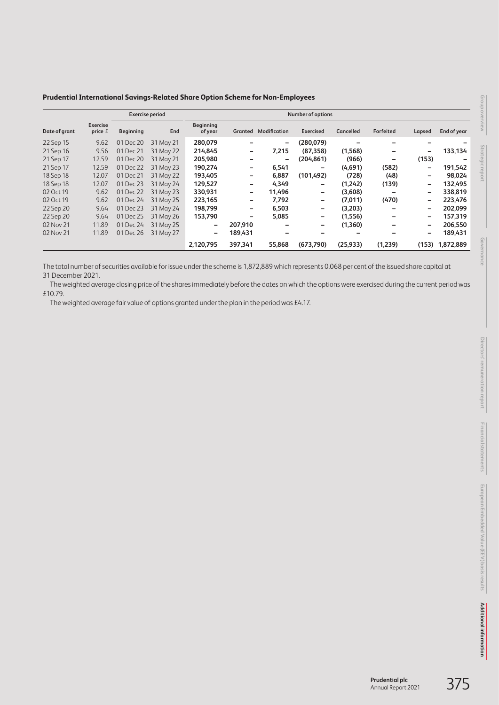| Prudential International Savings-Related Share Option Scheme for Non-Employees |  |  |
|--------------------------------------------------------------------------------|--|--|
|                                                                                |  |  |

|               |                            |                  | <b>Exercise period</b> | Number of options           |         |                     |                  |                  |                  |                          |             |
|---------------|----------------------------|------------------|------------------------|-----------------------------|---------|---------------------|------------------|------------------|------------------|--------------------------|-------------|
| Date of grant | <b>Exercise</b><br>price £ | <b>Beginning</b> | End                    | <b>Beginning</b><br>of year | Granted | <b>Modification</b> | <b>Exercised</b> | <b>Cancelled</b> | <b>Forfeited</b> | Lapsed                   | End of year |
| 22 Sep 15     | 9.62                       | 01 Dec 20        | 31 May 21              | 280,079                     |         | -                   | (280,079)        |                  |                  |                          |             |
| 21 Sep 16     | 9.56                       | 01 Dec 21        | 31 May 22              | 214,845                     |         | 7,215               | (87, 358)        | (1,568)          | -                | $\overline{\phantom{0}}$ | 133,134     |
| 21 Sep 17     | 12.59                      | 01 Dec 20        | 31 May 21              | 205,980                     |         | -                   | (204, 861)       | (966)            | -                | (153)                    |             |
| 21 Sep 17     | 12.59                      | 01 Dec 22        | 31 May 23              | 190,274                     | -       | 6,541               | -                | (4,691)          | (582)            | $\overline{\phantom{0}}$ | 191,542     |
| 18 Sep 18     | 12.07                      | 01 Dec 21        | 31 May 22              | 193,405                     | -       | 6,887               | (101, 492)       | (728)            | (48)             | -                        | 98,024      |
| 18 Sep 18     | 12.07                      | 01 Dec 23        | 31 May 24              | 129,527                     |         | 4,349               | -                | (1,242)          | (139)            | -                        | 132,495     |
| 02 Oct 19     | 9.62                       | 01 Dec 22        | 31 May 23              | 330,931                     | -       | 11,496              | -                | (3,608)          | -                | $\overline{\phantom{0}}$ | 338,819     |
| 02 Oct 19     | 9.62                       | 01 Dec 24        | 31 May 25              | 223,165                     | -       | 7,792               | -                | (7,011)          | (470)            | $\overline{\phantom{0}}$ | 223,476     |
| 22 Sep 20     | 9.64                       | 01 Dec 23        | 31 May 24              | 198,799                     | -       | 6,503               | -                | (3,203)          |                  | $\overline{\phantom{0}}$ | 202.099     |
| 22 Sep 20     | 9.64                       | 01 Dec 25        | 31 May 26              | 153,790                     | -       | 5,085               | -                | (1,556)          | -                | $\overline{\phantom{0}}$ | 157,319     |
| 02 Nov 21     | 11.89                      | 01 Dec 24        | 31 May 25              | -                           | 207,910 |                     | -                | (1,360)          |                  | -                        | 206,550     |
| 02 Nov 21     | 11.89                      | 01 Dec 26        | 31 May 27              | -                           | 189,431 |                     |                  | -                | -                | -                        | 189,431     |
|               |                            |                  |                        | 2,120,795                   | 397,341 | 55,868              | (673,790)        | (25, 933)        | (1,239)          | (153)                    | 1,872,889   |

The total number of securities available for issue under the scheme is 1,872,889 which represents 0.068 per cent of the issued share capital at 31 December 2021.

The weighted average closing price of the shares immediately before the dates on which the options were exercised during the current period was £10.79.

The weighted average fair value of options granted under the plan in the period was £4.17.

**Governance**

Governance

**Group overview**

Group overview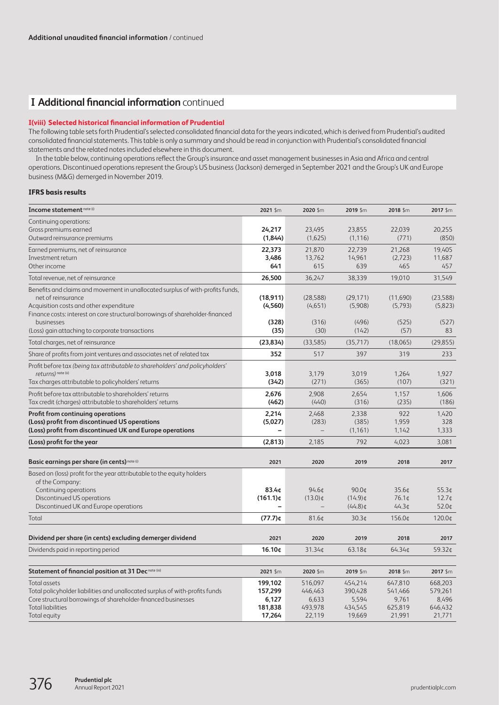# **I Additional financial information** continued

## **I(viii) Selected historical financial information of Prudential**

The following table sets forth Prudential's selected consolidated financial data for the years indicated, which is derived from Prudential's audited consolidated financial statements. This table is only a summary and should be read in conjunction with Prudential's consolidated financial statements and the related notes included elsewhere in this document.

In the table below, continuing operations reflect the Group's insurance and asset management businesses in Asia and Africa and central operations. Discontinued operations represent the Group's US business (Jackson) demerged in September 2021 and the Group's UK and Europe business (M&G) demerged in November 2019.

## **IFRS basis results**

| Income statement note (i)                                                                                                                                                                                                                                                                         | 2021 \$m                                         | 2020 \$m                                         | 2019 \$m                                         | 2018 \$m                                         | 2017 \$m                                           |
|---------------------------------------------------------------------------------------------------------------------------------------------------------------------------------------------------------------------------------------------------------------------------------------------------|--------------------------------------------------|--------------------------------------------------|--------------------------------------------------|--------------------------------------------------|----------------------------------------------------|
| Continuing operations:<br>Gross premiums earned<br>Outward reinsurance premiums                                                                                                                                                                                                                   | 24,217<br>(1,844)                                | 23,495<br>(1,625)                                | 23,855<br>(1, 116)                               | 22,039<br>(771)                                  | 20,255<br>(850)                                    |
| Earned premiums, net of reinsurance<br>Investment return<br>Other income                                                                                                                                                                                                                          | 22,373<br>3,486<br>641                           | 21,870<br>13.762<br>615                          | 22,739<br>14,961<br>639                          | 21,268<br>(2,723)<br>465                         | 19,405<br>11,687<br>457                            |
| Total revenue, net of reinsurance                                                                                                                                                                                                                                                                 | 26,500                                           | 36,247                                           | 38,339                                           | 19,010                                           | 31,549                                             |
| Benefits and claims and movement in unallocated surplus of with-profits funds,<br>net of reinsurance<br>Acquisition costs and other expenditure<br>Finance costs: interest on core structural borrowings of shareholder-financed<br>businesses<br>(Loss) gain attaching to corporate transactions | (18, 911)<br>(4, 560)<br>(328)<br>(35)           | (28,588)<br>(4,651)<br>(316)<br>(30)             | (29, 171)<br>(5,908)<br>(496)<br>(142)           | (11,690)<br>(5,793)<br>(525)<br>(57)             | (23,588)<br>(5,823)<br>(527)<br>83                 |
| Total charges, net of reinsurance                                                                                                                                                                                                                                                                 | (23, 834)                                        | (33,585)                                         | (35,717)                                         | (18,065)                                         | (29, 855)                                          |
| Share of profits from joint ventures and associates net of related tax                                                                                                                                                                                                                            | 352                                              | 517                                              | 397                                              | 319                                              | 233                                                |
| Profit before tax (being tax attributable to shareholders' and policyholders'<br>returns) note (ii)<br>Tax charges attributable to policyholders' returns                                                                                                                                         | 3,018<br>(342)                                   | 3,179<br>(271)                                   | 3.019<br>(365)                                   | 1,264<br>(107)                                   | 1,927<br>(321)                                     |
| Profit before tax attributable to shareholders' returns<br>Tax credit (charges) attributable to shareholders' returns                                                                                                                                                                             | 2,676<br>(462)                                   | 2,908<br>(440)                                   | 2,654<br>(316)                                   | 1,157<br>(235)                                   | 1,606<br>(186)                                     |
| <b>Profit from continuing operations</b><br>(Loss) profit from discontinued US operations<br>(Loss) profit from discontinued UK and Europe operations                                                                                                                                             | 2,214<br>(5,027)                                 | 2,468<br>(283)                                   | 2,338<br>(385)<br>(1, 161)                       | 922<br>1,959<br>1,142                            | 1,420<br>328<br>1,333                              |
| (Loss) profit for the year                                                                                                                                                                                                                                                                        | (2,813)                                          | 2,185                                            | 792                                              | 4,023                                            | 3,081                                              |
| Basic earnings per share (in cents) note (i)                                                                                                                                                                                                                                                      | 2021                                             | 2020                                             | 2019                                             | 2018                                             | 2017                                               |
| Based on (loss) profit for the year attributable to the equity holders<br>of the Company:<br>Continuing operations<br>Discontinued US operations<br>Discontinued UK and Europe operations                                                                                                         | 83.4¢<br>$(161.1)$ ¢                             | 94.6 <sub>0</sub><br>$(13.0)$ ¢                  | 90.0¢<br>$(14.9)$ ¢<br>$(44.8)$ ¢                | 35.6¢<br>76.1¢<br>44.3 <sub>¢</sub>              | 55.3 <sub>¢</sub><br>12.7 <sub>¢</sub><br>$52.0$ ¢ |
| Total                                                                                                                                                                                                                                                                                             | $(77.7)$ ¢                                       | 81.64                                            | 30.3 <sub>0</sub>                                | 156.0¢                                           | 120.0¢                                             |
| Dividend per share (in cents) excluding demerger dividend                                                                                                                                                                                                                                         | 2021                                             | 2020                                             | 2019                                             | 2018                                             | 2017                                               |
| Dividends paid in reporting period                                                                                                                                                                                                                                                                | 16.10¢                                           | 31.34¢                                           | 63.18¢                                           | 64.34¢                                           | 59.32¢                                             |
| Statement of financial position at 31 Decnote (iii)                                                                                                                                                                                                                                               | 2021 \$m                                         | 2020 \$m                                         | 2019 \$m                                         | 2018 \$m                                         | 2017 \$m                                           |
| Total assets<br>Total policyholder liabilities and unallocated surplus of with-profits funds<br>Core structural borrowings of shareholder-financed businesses<br><b>Total liabilities</b><br>Total equity                                                                                         | 199,102<br>157,299<br>6,127<br>181,838<br>17,264 | 516,097<br>446,463<br>6,633<br>493,978<br>22,119 | 454,214<br>390,428<br>5,594<br>434,545<br>19,669 | 647,810<br>541,466<br>9,761<br>625,819<br>21,991 | 668,203<br>579,261<br>8,496<br>646,432<br>21,771   |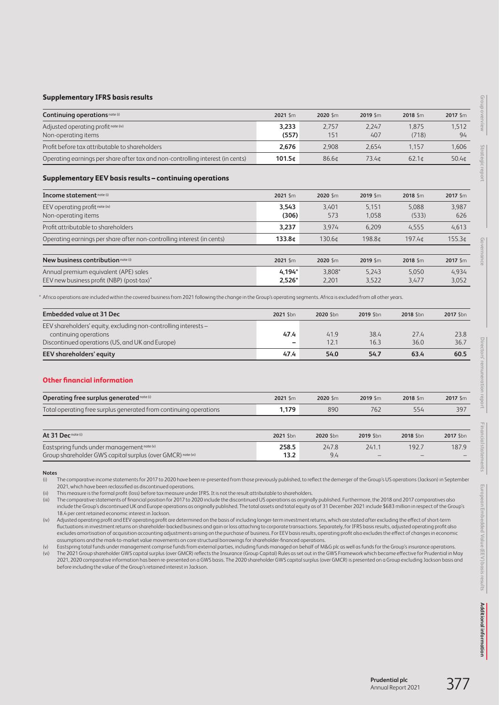#### **Supplementary IFRS basis results**

| Continuing operations note (i)                                                 | $2021$ \$m         | $2020$ \$m        | $2019$ Sm         | $2018$ Sm      | $2017$ \$m  |
|--------------------------------------------------------------------------------|--------------------|-------------------|-------------------|----------------|-------------|
| Adjusted operating profit note (iv)<br>Non-operating items                     | 3.233<br>(557)     | 2.757<br>151      | 2.247<br>407      | 1.875<br>(718) | 1,512<br>94 |
| Profit before tax attributable to shareholders                                 | 2.676              | 2.908             | 2.654             | 1.157          | 1.606       |
| Operating earnings per share after tax and non-controlling interest (in cents) | 101.5 <sub>0</sub> | 86.6 <sub>0</sub> | 73.4 <sub>0</sub> | $62.1$ d       | 50.4¢       |

#### **Supplementary EEV basis results – continuing operations**

| Income statement note (i)                                                          | $2021$ \$m           | 2020 Sm         | 2019 Sm        | 2018 Sm        | 2017 \$m       |
|------------------------------------------------------------------------------------|----------------------|-----------------|----------------|----------------|----------------|
| EEV operating profit note (iv)<br>Non-operating items                              | 3.543<br>(306)       | 3.401<br>573    | 5.151<br>1.058 | 5.088<br>(533) | 3.987<br>626   |
| Profit attributable to shareholders                                                | 3.237                | 3.974           | 6.209          | 4.555          | 4,613          |
| Operating earnings per share after non-controlling interest (in cents)             | 133.8 <sub>0</sub>   | 130.6¢          | 198.8¢         | 197.4¢         | 155.3¢         |
| New business contribution note (i)                                                 | 2021 Sm              | 2020 Sm         | 2019 \$m       | 2018 Sm        | 2017 \$m       |
| Annual premium equivalent (APE) sales<br>EEV new business profit (NBP) (post-tax)* | $4.194*$<br>$2.526*$ | 3.808*<br>2.201 | 5.243<br>3.522 | 5.050<br>3.477 | 4.934<br>3.052 |

\* Africa operations are included within the covered business from 2021 following the change in the Group's operating segments. Africa is excluded from all other years.

| <b>Embedded value at 31 Dec</b>                                 | 2021 \$bn | 2020 \$bn | 2019 Shn | 2018 \$bn | 2017 \$bn |
|-----------------------------------------------------------------|-----------|-----------|----------|-----------|-----------|
| EEV shareholders' equity, excluding non-controlling interests - |           |           |          |           |           |
| continuing operations                                           | 47.4      | 41.9      | 38.4     | 27.4      | 23.8      |
| Discontinued operations (US, and UK and Europe)                 | -         | 12.1      | 16.3     | 36.0      | 36.7      |
| <b>EEV</b> shareholders' equity                                 | 47.4      | 54.0      | 54.7     | 63.4      | 60.5      |

#### **Other financial information**

| <b>Operating free surplus generated note (i)</b>                  | $2021$ \$m | 2020 Sm | $2019$ Sm | $2018$ \$m | $2017$ \$m |
|-------------------------------------------------------------------|------------|---------|-----------|------------|------------|
| Total operating free surplus generated from continuing operations | 1.179      | 890     | 762       | 554        | 397        |
|                                                                   |            |         |           |            |            |

| At 31 Decnote (i)                                           | 2021 Shn | 2020 Shn | 2019 Shn | 2018 Shn | 2017 \$bn |
|-------------------------------------------------------------|----------|----------|----------|----------|-----------|
| Eastspring funds under management note (v)                  | 258.5    | 247.8    | 241.1    | 192.7    | 187.9     |
| Group shareholder GWS capital surplus (over GMCR) note (vi) | 13.2     | 9.4      |          |          |           |

**Notes**

(i) The comparative income statements for 2017 to 2020 have been re-presented from those previously published, to reflect the demerger of the Group's US operations (Jackson) in September 2021, which have been reclassified as discontinued operations.

(ii) This measure is the formal profit (loss) before tax measure under IFRS. It is not the result attributable to shareholders.<br>(iii) The comparative statements of financial position for 2017 to 2020 include the discontinu

The comparative statements of financial position for 2017 to 2020 include the discontinued US operations as originally published. Furthermore, the 2018 and 2017 comparatives also include the Group's discontinued UK and Europe operations as originally published. The total assets and total equity as of 31 December 2021 include \$683 million in respect of the Group's 18.4 per cent retained economic interest in Jackson.

(iv) Adjusted operating profit and EEV operating profit are determined on the basis of including longer-term investment returns, which are stated after excluding the effect of short-term fluctuations in investment returns on shareholder-backed business and gain or loss attaching to corporate transactions. Separately, for IFRS basis results, adjusted operating profit also excludes amortisation of acquisition accounting adjustments arising on the purchase of business. For EEV basis results, operating profit also excludes the effect of changes in economic assumptions and the mark-to-market value movements on core structural borrowings for shareholder-financed operations.

(v) Eastspring total funds under management comprise funds from external parties, including funds managed on behalf of M&G plc as well as funds for the Group's insurance operations.

(vi) The 2021 Group shareholder GWS capital surplus (over GMCR) reflects the Insurance (Group Capital) Rules as set out in the GWS Framework which became effective for Prudential in May 2021, 2020 comparative information has been re-presented on a GWS basis. The 2020 shareholder GWS capital surplus (over GMCR) is presented on a Group excluding Jackson basis and before including the value of the Group's retained interest in Jackson.

**Group overview**

Group overview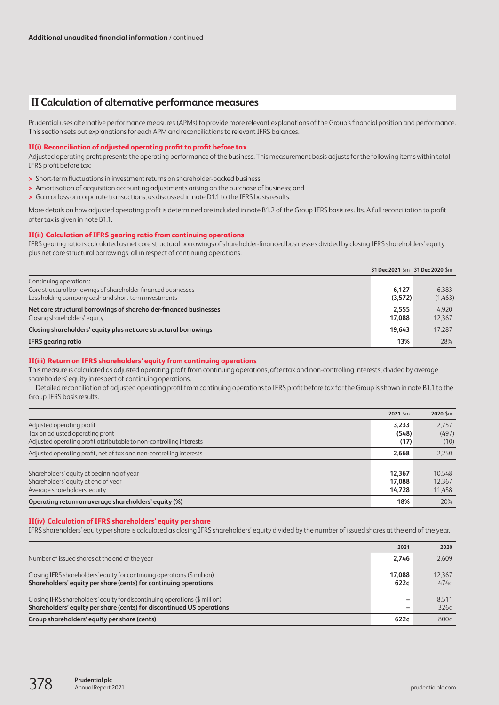# **II Calculation of alternative performance measures**

Prudential uses alternative performance measures (APMs) to provide more relevant explanations of the Group's financial position and performance. This section sets out explanations for each APM and reconciliations to relevant IFRS balances.

#### **II(i) Reconciliation of adjusted operating profit to profit before tax**

Adjusted operating profit presents the operating performance of the business. This measurement basis adjusts for the following items within total IFRS profit before tax:

- **>** Short-term fluctuations in investment returns on shareholder-backed business;
- **>** Amortisation of acquisition accounting adjustments arising on the purchase of business; and
- **>** Gain or loss on corporate transactions, as discussed in note D1.1 to the IFRS basis results.

More details on how adjusted operating profit is determined are included in note B1.2 of the Group IFRS basis results. A full reconciliation to profit after tax is given in note B1.1.

## **II(ii) Calculation of IFRS gearing ratio from continuing operations**

IFRS gearing ratio is calculated as net core structural borrowings of shareholder-financed businesses divided by closing IFRS shareholders' equity plus net core structural borrowings, all in respect of continuing operations.

|                                                                                                                                                 | 31 Dec 2021 \$m 31 Dec 2020 \$m |                  |
|-------------------------------------------------------------------------------------------------------------------------------------------------|---------------------------------|------------------|
| Continuing operations:<br>Core structural borrowings of shareholder-financed businesses<br>Less holding company cash and short-term investments | 6.127<br>(3,572)                | 6.383<br>(1,463) |
| Net core structural borrowings of shareholder-financed businesses<br>Closing shareholders' equity                                               | 2.555<br>17.088                 | 4.920<br>12.367  |
| Closing shareholders' equity plus net core structural borrowings                                                                                | 19.643                          | 17.287           |
| <b>IFRS</b> gearing ratio                                                                                                                       | 13%                             | 28%              |

## **II(iii) Return on IFRS shareholders' equity from continuing operations**

This measure is calculated as adjusted operating profit from continuing operations, after tax and non-controlling interests, divided by average shareholders' equity in respect of continuing operations.

Detailed reconciliation of adjusted operating profit from continuing operations to IFRS profit before tax for the Group is shown in note B1.1 to the Group IFRS basis results.

|                                                                     | 2021 Sm | 2020 Sm |
|---------------------------------------------------------------------|---------|---------|
| Adjusted operating profit                                           | 3.233   | 2.757   |
| Tax on adjusted operating profit                                    | (548)   | (497)   |
| Adjusted operating profit attributable to non-controlling interests | (17)    | (10)    |
| Adjusted operating profit, net of tax and non-controlling interests | 2.668   | 2.250   |
|                                                                     |         |         |
| Shareholders' equity at beginning of year                           | 12.367  | 10.548  |
| Shareholders' equity at end of year                                 | 17.088  | 12.367  |
| Average shareholders' equity                                        | 14.728  | 11,458  |
| Operating return on average shareholders' equity (%)                | 18%     | 20%     |

## **II(iv) Calculation of IFRS shareholders' equity per share**

IFRS shareholders' equity per share is calculated as closing IFRS shareholders' equity divided by the number of issued shares at the end of the year.

|                                                                                                                                                      | 2021           | 2020                      |
|------------------------------------------------------------------------------------------------------------------------------------------------------|----------------|---------------------------|
| Number of issued shares at the end of the year                                                                                                       | 2.746          | 2,609                     |
| Closing IFRS shareholders' equity for continuing operations (\$ million)<br>Shareholders' equity per share (cents) for continuing operations         | 17.088<br>622c | 12.367<br>474¢            |
| Closing IFRS shareholders' equity for discontinuing operations (\$ million)<br>Shareholders' equity per share (cents) for discontinued US operations | -<br>-         | 8.511<br>326 <sup>t</sup> |
| Group shareholders' equity per share (cents)                                                                                                         | 622c           | 800¢                      |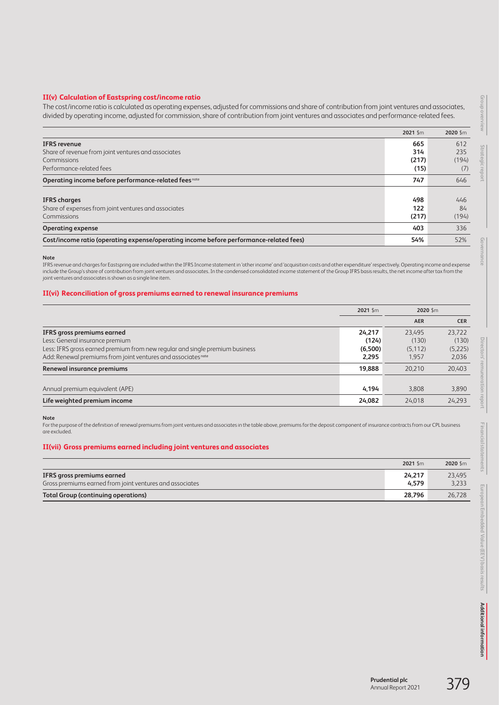## **II(v) Calculation of Eastspring cost/income ratio**

The cost/income ratio is calculated as operating expenses, adjusted for commissions and share of contribution from joint ventures and associates, divided by operating income, adjusted for commission, share of contribution from joint ventures and associates and performance-related fees.

|                                                                                        | 2021 Sm | 2020 \$m |
|----------------------------------------------------------------------------------------|---------|----------|
| <b>IFRS</b> revenue                                                                    | 665     | 612      |
| Share of revenue from joint ventures and associates                                    | 314     | 235      |
| Commissions                                                                            | (217)   | (194)    |
| Performance-related fees                                                               | (15)    | (7)      |
| Operating income before performance-related fees <sup>note</sup>                       | 747     | 646      |
|                                                                                        |         |          |
| <b>IFRS</b> charges                                                                    | 498     | 446      |
| Share of expenses from joint ventures and associates                                   | 122     | 84       |
| <b>Commissions</b>                                                                     | (217)   | (194)    |
| <b>Operating expense</b>                                                               | 403     | 336      |
| Cost/income ratio (operating expense/operating income before performance-related fees) | 54%     | 52%      |

**Note**

IFRS revenue and charges for Eastspring are included within the IFRS Income statement in 'other income' and 'acquisition costs and other expenditure' respectively. Operating income and expense include the Group's share of contribution from joint ventures and associates. In the condensed consolidated income statement of the Group IFRS basis results, the net income after tax from the joint ventures and associates is shown as a single line item.

#### **II(vi) Reconciliation of gross premiums earned to renewal insurance premiums**

|                                                                              | 2021 \$m | 2020 Sm    |            |
|------------------------------------------------------------------------------|----------|------------|------------|
|                                                                              |          | <b>AER</b> | <b>CER</b> |
| IFRS gross premiums earned                                                   | 24.217   | 23.495     | 23.722     |
| Less: General insurance premium                                              | (124)    | (130)      | (130)      |
| Less: IFRS gross earned premium from new regular and single premium business | (6,500)  | (5, 112)   | (5,225)    |
| Add: Renewal premiums from joint ventures and associates <sup>note</sup>     | 2.295    | 1.957      | 2,036      |
| Renewal insurance premiums                                                   | 19,888   | 20,210     | 20,403     |
| Annual premium equivalent (APE)                                              | 4.194    | 3.808      | 3,890      |
| Life weighted premium income                                                 | 24,082   | 24.018     | 24,293     |

**Note**

For the purpose of the definition of renewal premiums from joint ventures and associates in the table above, premiums for the deposit component of insurance contracts from our CPL business are excluded.

## **II(vii) Gross premiums earned including joint ventures and associates**

|                                                          | 2021 Sm | 2020 Sm |
|----------------------------------------------------------|---------|---------|
| IFRS gross premiums earned                               | 24.217  | 23,495  |
| Gross premiums earned from joint ventures and associates | 4.579   | 3,233   |
| <b>Total Group (continuing operations)</b>               | 28.796  | 26.728  |

**Group overview**

Group overview

**Strategic report**

**Governance**

Go)

**Directors' remuneration report**

Directors' remuneration report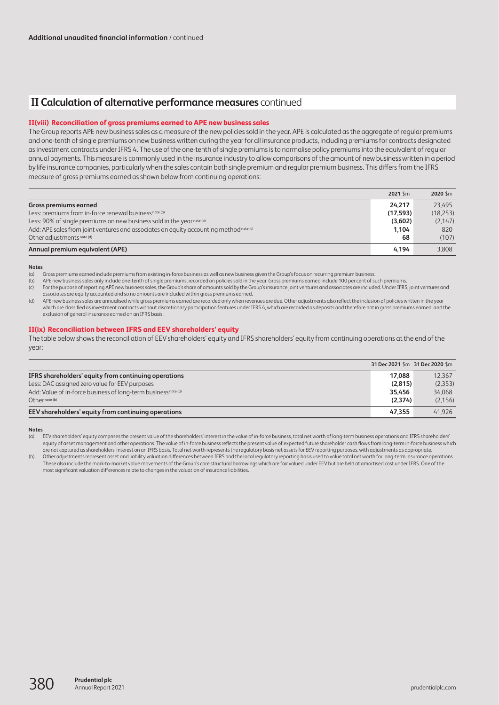# **II Calculation of alternative performance measures** continued

#### **II(viii) Reconciliation of gross premiums earned to APE new business sales**

The Group reports APE new business sales as a measure of the new policies sold in the year. APE is calculated as the aggregate of regular premiums and one-tenth of single premiums on new business written during the year for all insurance products, including premiums for contracts designated as investment contracts under IFRS 4. The use of the one-tenth of single premiums is to normalise policy premiums into the equivalent of regular annual payments. This measure is commonly used in the insurance industry to allow comparisons of the amount of new business written in a period by life insurance companies, particularly when the sales contain both single premium and regular premium business. This differs from the IFRS measure of gross premiums earned as shown below from continuing operations:

|                                                                                        | 2021 Sm  | 2020 Sm   |
|----------------------------------------------------------------------------------------|----------|-----------|
| Gross premiums earned                                                                  | 24.217   | 23.495    |
| Less: premiums from in-force renewal business <sup>note (a)</sup>                      | (17.593) | (18, 253) |
| Less: 90% of single premiums on new business sold in the yearnote (b)                  | (3,602)  | (2,147)   |
| Add: APE sales from joint ventures and associates on equity accounting method note (c) | 1.104    | 820       |
| Other adjustments note (d)                                                             | 68       | (107)     |
| Annual premium equivalent (APE)                                                        | 4.194    | 3.808     |

#### **Notes**

(a) Gross premiums earned include premiums from existing in-force business as well as new business given the Group's focus on recurring premium business.

(b) APE new business sales only include one-tenth of single premiums, recorded on policies sold in the year. Gross premiums earned include 100 per cent of such premiums.

(c) For the purpose of reporting APE new business sales, the Group's share of amounts sold by the Group's insurance joint ventures and associates are included. Under IFRS, joint ventures and associates are equity accounted and so no amounts are included within gross premiums earned.

(d) APE new business sales are annualised while gross premiums earned are recorded only when revenues are due. Other adjustments also reflect the inclusion of policies written in the year which are classified as investment contracts without discretionary participation features under IFRS 4, which are recorded as deposits and therefore not in gross premiums earned, and the exclusion of general insurance earned on an IFRS basis.

#### **II(ix) Reconciliation between IFRS and EEV shareholders' equity**

The table below shows the reconciliation of EEV shareholders' equity and IFRS shareholders' equity from continuing operations at the end of the year:

|                                                                           |         | 31 Dec 2021 \$m 31 Dec 2020 \$m |
|---------------------------------------------------------------------------|---------|---------------------------------|
| IFRS shareholders' equity from continuing operations                      | 17.088  | 12.367                          |
| Less: DAC assigned zero value for EEV purposes                            | (2,815) | (2,353)                         |
| Add: Value of in-force business of long-term business <sup>note (a)</sup> | 35.456  | 34.068                          |
| $Oth$ <sub>Pr</sub> note (b)                                              | (2.374) | (2, 156)                        |
| EEV shareholders' equity from continuing operations                       | 47.355  | 41.926                          |

#### **Notes**

(b) Other adjustments represent asset and liability valuation differences between IFRS and the local regulatory reporting basis used to value total net worth for long-term insurance operations. These also include the mark-to-market value movements of the Group's core structural borrowings which are fair valued under EEV but are held at amortised cost under IFRS. One of the most significant valuation differences relate to changes in the valuation of insurance liabilities.

<sup>(</sup>a) EEV shareholders' equity comprises the present value of the shareholders' interest in the value of in-force business, total net worth of long-term business operations and IFRS shareholders' equity of asset management and other operations. The value of in-force business reflects the present value of expected future shareholder cash flows from long-term in-force business which are not captured as shareholders' interest on an IFRS basis. Total net worth represents the regulatory basis net assets for EEV reporting purposes, with adjustments as appropriate.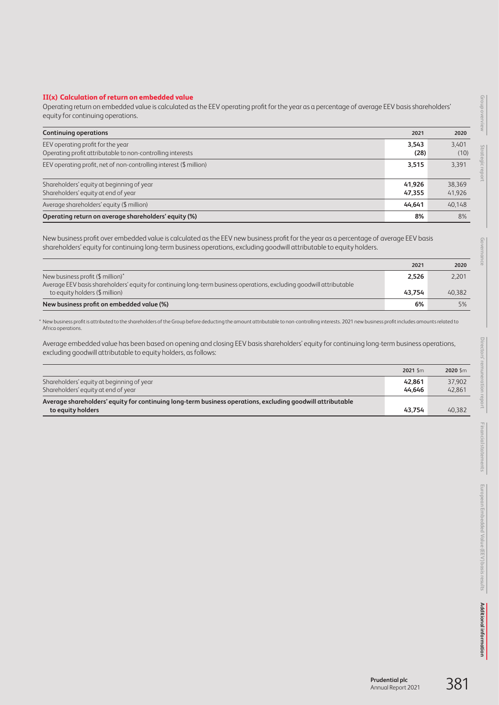## **II(x) Calculation of return on embedded value**

Operating return on embedded value is calculated as the EEV operating profit for the year as a percentage of average EEV basis shareholders' equity for continuing operations.

| <b>Continuing operations</b>                                                                    | 2021             | 2020             |
|-------------------------------------------------------------------------------------------------|------------------|------------------|
| EEV operating profit for the year<br>Operating profit attributable to non-controlling interests | 3.543<br>(28)    | 3.401<br>(10)    |
| EEV operating profit, net of non-controlling interest (\$ million)                              | 3,515            | 3,391            |
| Shareholders' equity at beginning of year<br>Shareholders' equity at end of year                | 41.926<br>47,355 | 38.369<br>41,926 |
| Average shareholders' equity (\$ million)                                                       | 44.641           | 40.148           |
| Operating return on average shareholders' equity (%)                                            | 8%               | 8%               |

New business profit over embedded value is calculated as the EEV new business profit for the year as a percentage of average EEV basis shareholders' equity for continuing long-term business operations, excluding goodwill attributable to equity holders.

|                                                                                                                                                           | 2021   | 2020   |
|-----------------------------------------------------------------------------------------------------------------------------------------------------------|--------|--------|
| New business profit (\$ million)*<br>Average EEV basis shareholders' equity for continuing long-term business operations, excluding goodwill attributable | 2,526  | 2,201  |
| to equity holders (\$ million)                                                                                                                            | 43.754 | 40,382 |
| New business profit on embedded value (%)                                                                                                                 | 6%     | 5%     |

\* New business profit is attributed to the shareholders of the Group before deducting the amount attributable to non-controlling interests. 2021 new business profit includes amounts related to Africa operations.

Average embedded value has been based on opening and closing EEV basis shareholders' equity for continuing long-term business operations, excluding goodwill attributable to equity holders, as follows:

|                                                                                                            | $2021$ \$m       | $2020$ \$m       |
|------------------------------------------------------------------------------------------------------------|------------------|------------------|
| Shareholders' equity at beginning of year<br>Shareholders' equity at end of year                           | 42.861<br>44.646 | 37,902<br>42.861 |
| Average shareholders' equity for continuing long-term business operations, excluding goodwill attributable | 43.754           |                  |
| to equity holders                                                                                          |                  | 40,382           |

**Group overview**

Group overview

Gov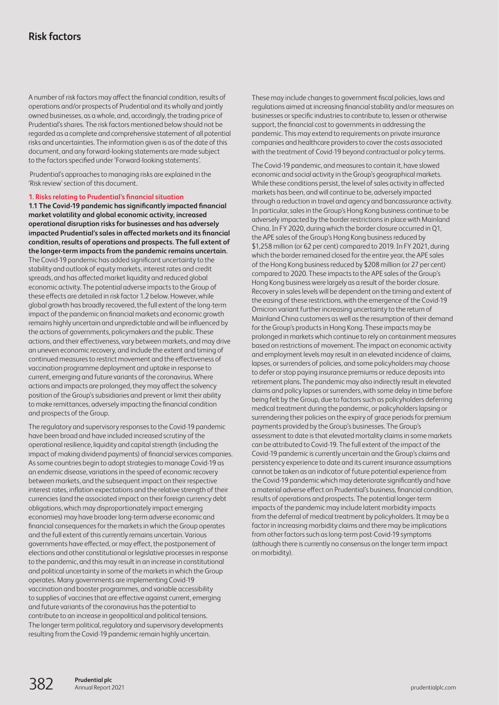<span id="page-22-0"></span>A number of risk factors may affect the financial condition, results of operations and/or prospects of Prudential and its wholly and jointly owned businesses, as a whole, and, accordingly, the trading price of Prudential's shares. The risk factors mentioned below should not be regarded as a complete and comprehensive statement of all potential risks and uncertainties. The information given is as of the date of this document, and any forward-looking statements are made subject to the factors specified under 'Forward-looking statements'.

 Prudential's approaches to managing risks are explained in the 'Risk review' section of this document.

## **1. Risks relating to Prudential's financial situation**

**1.1 The Covid-19 pandemic has significantly impacted financial market volatility and global economic activity, increased operational disruption risks for businesses and has adversely impacted Prudential's sales in affected markets and its financial condition, results of operations and prospects. The full extent of the longer-term impacts from the pandemic remains uncertain.** The Covid-19 pandemic has added significant uncertainty to the stability and outlook of equity markets, interest rates and credit spreads, and has affected market liquidity and reduced global economic activity. The potential adverse impacts to the Group of these effects are detailed in risk factor 1.2 below. However, while global growth has broadly recovered, the full extent of the long-term impact of the pandemic on financial markets and economic growth remains highly uncertain and unpredictable and will be influenced by the actions of governments, policymakers and the public. These actions, and their effectiveness, vary between markets, and may drive an uneven economic recovery, and include the extent and timing of continued measures to restrict movement and the effectiveness of vaccination programme deployment and uptake in response to current, emerging and future variants of the coronavirus. Where actions and impacts are prolonged, they may affect the solvency position of the Group's subsidiaries and prevent or limit their ability to make remittances, adversely impacting the financial condition and prospects of the Group.

The regulatory and supervisory responses to the Covid-19 pandemic have been broad and have included increased scrutiny of the operational resilience, liquidity and capital strength (including the impact of making dividend payments) of financial services companies. As some countries begin to adopt strategies to manage Covid-19 as an endemic disease, variations in the speed of economic recovery between markets, and the subsequent impact on their respective interest rates, inflation expectations and the relative strength of their currencies (and the associated impact on their foreign currency debt obligations, which may disproportionately impact emerging economies) may have broader long-term adverse economic and financial consequences for the markets in which the Group operates and the full extent of this currently remains uncertain. Various governments have effected, or may effect, the postponement of elections and other constitutional or legislative processes in response to the pandemic, and this may result in an increase in constitutional and political uncertainty in some of the markets in which the Group operates. Many governments are implementing Covid-19 vaccination and booster programmes, and variable accessibility to supplies of vaccines that are effective against current, emerging and future variants of the coronavirus has the potential to contribute to an increase in geopolitical and political tensions. The longer term political, regulatory and supervisory developments resulting from the Covid-19 pandemic remain highly uncertain.

These may include changes to government fiscal policies, laws and regulations aimed at increasing financial stability and/or measures on businesses or specific industries to contribute to, lessen or otherwise support, the financial cost to governments in addressing the pandemic. This may extend to requirements on private insurance companies and healthcare providers to cover the costs associated with the treatment of Covid-19 beyond contractual or policy terms.

The Covid-19 pandemic, and measures to contain it, have slowed economic and social activity in the Group's geographical markets. While these conditions persist, the level of sales activity in affected markets has been, and will continue to be, adversely impacted through a reduction in travel and agency and bancassurance activity. In particular, sales in the Group's Hong Kong business continue to be adversely impacted by the border restrictions in place with Mainland China. In FY 2020, during which the border closure occurred in Q1, the APE sales of the Group's Hong Kong business reduced by \$1,258 million (or 62 per cent) compared to 2019. In FY 2021, during which the border remained closed for the entire year, the APE sales of the Hong Kong business reduced by \$208 million (or 27 per cent) compared to 2020. These impacts to the APE sales of the Group's Hong Kong business were largely as a result of the border closure. Recovery in sales levels will be dependent on the timing and extent of the easing of these restrictions, with the emergence of the Covid-19 Omicron variant further increasing uncertainty to the return of Mainland China customers as well as the resumption of their demand for the Group's products in Hong Kong. These impacts may be prolonged in markets which continue to rely on containment measures based on restrictions of movement. The impact on economic activity and employment levels may result in an elevated incidence of claims, lapses, or surrenders of policies, and some policyholders may choose to defer or stop paying insurance premiums or reduce deposits into retirement plans. The pandemic may also indirectly result in elevated claims and policy lapses or surrenders, with some delay in time before being felt by the Group, due to factors such as policyholders deferring medical treatment during the pandemic, or policyholders lapsing or surrendering their policies on the expiry of grace periods for premium payments provided by the Group's businesses. The Group's assessment to date is that elevated mortality claims in some markets can be attributed to Covid-19. The full extent of the impact of the Covid-19 pandemic is currently uncertain and the Group's claims and persistency experience to date and its current insurance assumptions cannot be taken as an indicator of future potential experience from the Covid-19 pandemic which may deteriorate significantly and have a material adverse effect on Prudential's business, financial condition, results of operations and prospects. The potential longer-term impacts of the pandemic may include latent morbidity impacts from the deferral of medical treatment by policyholders. It may be a factor in increasing morbidity claims and there may be implications from other factors such as long-term post-Covid-19 symptoms (although there is currently no consensus on the longer term impact on morbidity).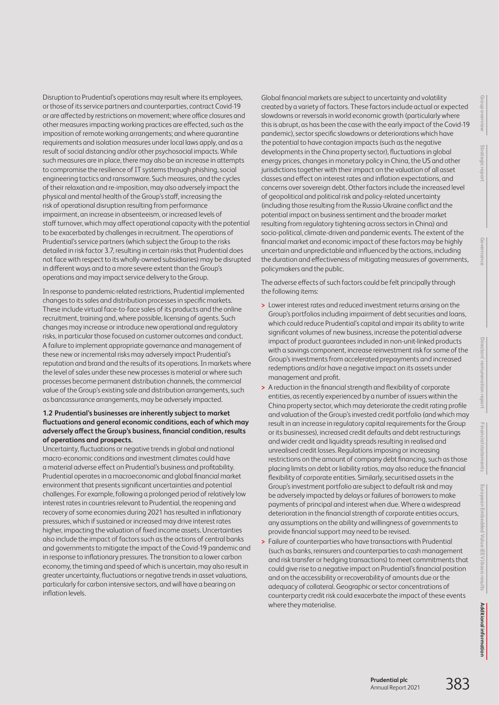**Financial statements European Embedded Value (EEV) basis results** opean Embedded Value (EEV) basis results

Disruption to Prudential's operations may result where its employees, or those of its service partners and counterparties, contract Covid-19 or are affected by restrictions on movement; where office closures and other measures impacting working practices are effected, such as the imposition of remote working arrangements; and where quarantine requirements and isolation measures under local laws apply, and as a result of social distancing and/or other psychosocial impacts. While such measures are in place, there may also be an increase in attempts to compromise the resilience of IT systems through phishing, social engineering tactics and ransomware. Such measures, and the cycles of their relaxation and re-imposition, may also adversely impact the physical and mental health of the Group's staff, increasing the risk of operational disruption resulting from performance impairment, an increase in absenteeism, or increased levels of staff turnover, which may affect operational capacity with the potential to be exacerbated by challenges in recruitment. The operations of Prudential's service partners (which subject the Group to the risks detailed in risk factor 3.7, resulting in certain risks that Prudential does not face with respect to its wholly-owned subsidiaries) may be disrupted in different ways and to a more severe extent than the Group's operations and may impact service delivery to the Group.

In response to pandemic-related restrictions, Prudential implemented changes to its sales and distribution processes in specific markets. These include virtual face-to-face sales of its products and the online recruitment, training and, where possible, licensing of agents. Such changes may increase or introduce new operational and regulatory risks, in particular those focused on customer outcomes and conduct. A failure to implement appropriate governance and management of these new or incremental risks may adversely impact Prudential's reputation and brand and the results of its operations. In markets where the level of sales under these new processes is material or where such processes become permanent distribution channels, the commercial value of the Group's existing sale and distribution arrangements, such as bancassurance arrangements, may be adversely impacted.

## **1.2 Prudential's businesses are inherently subject to market fluctuations and general economic conditions, each of which may adversely affect the Group's business, financial condition, results of operations and prospects.**

Uncertainty, fluctuations or negative trends in global and national macro-economic conditions and investment climates could have a material adverse effect on Prudential's business and profitability. Prudential operates in a macroeconomic and global financial market environment that presents significant uncertainties and potential challenges. For example, following a prolonged period of relatively low interest rates in countries relevant to Prudential, the reopening and recovery of some economies during 2021 has resulted in inflationary pressures, which if sustained or increased may drive interest rates higher, impacting the valuation of fixed income assets. Uncertainties also include the impact of factors such as the actions of central banks and governments to mitigate the impact of the Covid-19 pandemic and in response to inflationary pressures. The transition to a lower carbon economy, the timing and speed of which is uncertain, may also result in greater uncertainty, fluctuations or negative trends in asset valuations, particularly for carbon intensive sectors, and will have a bearing on inflation levels.

Global financial markets are subject to uncertainty and volatility created by a variety of factors. These factors include actual or expected slowdowns or reversals in world economic growth (particularly where this is abrupt, as has been the case with the early impact of the Covid-19 pandemic), sector specific slowdowns or deteriorations which have the potential to have contagion impacts (such as the negative developments in the China property sector), fluctuations in global energy prices, changes in monetary policy in China, the US and other jurisdictions together with their impact on the valuation of all asset classes and effect on interest rates and inflation expectations, and concerns over sovereign debt. Other factors include the increased level of geopolitical and political risk and policy-related uncertainty (including those resulting from the Russia-Ukraine conflict and the potential impact on business sentiment and the broader market resulting from regulatory tightening across sectors in China) and socio-political, climate-driven and pandemic events. The extent of the financial market and economic impact of these factors may be highly uncertain and unpredictable and influenced by the actions, including the duration and effectiveness of mitigating measures of governments, policymakers and the public.

The adverse effects of such factors could be felt principally through the following items:

- **>** Lower interest rates and reduced investment returns arising on the Group's portfolios including impairment of debt securities and loans, which could reduce Prudential's capital and impair its ability to write significant volumes of new business, increase the potential adverse impact of product guarantees included in non-unit-linked products with a savings component, increase reinvestment risk for some of the Group's investments from accelerated prepayments and increased redemptions and/or have a negative impact on its assets under management and profit.
- **>** A reduction in the financial strength and flexibility of corporate entities, as recently experienced by a number of issuers within the China property sector, which may deteriorate the credit rating profile and valuation of the Group's invested credit portfolio (and which may result in an increase in regulatory capital requirements for the Group or its businesses), increased credit defaults and debt restructurings and wider credit and liquidity spreads resulting in realised and unrealised credit losses. Regulations imposing or increasing restrictions on the amount of company debt financing, such as those placing limits on debt or liability ratios, may also reduce the financial flexibility of corporate entities. Similarly, securitised assets in the Group's investment portfolio are subject to default risk and may be adversely impacted by delays or failures of borrowers to make payments of principal and interest when due. Where a widespread deterioration in the financial strength of corporate entities occurs, any assumptions on the ability and willingness of governments to provide financial support may need to be revised.
- **>** Failure of counterparties who have transactions with Prudential (such as banks, reinsurers and counterparties to cash management and risk transfer or hedging transactions) to meet commitments that could give rise to a negative impact on Prudential's financial position and on the accessibility or recoverability of amounts due or the adequacy of collateral. Geographic or sector concentrations of counterparty credit risk could exacerbate the impact of these events where they materialise.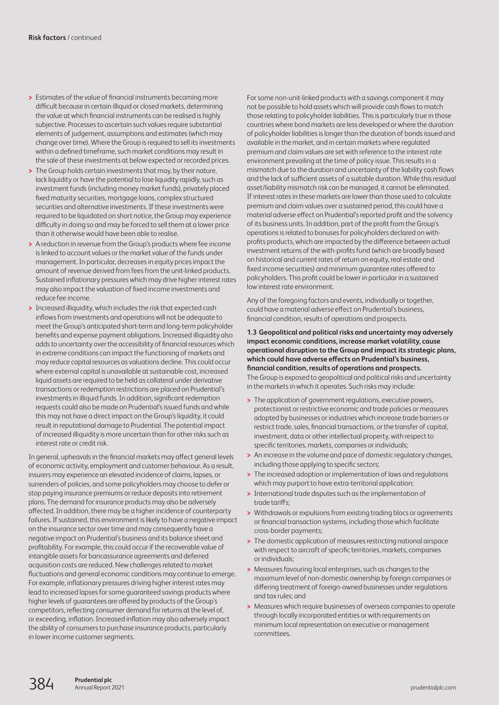- **>** Estimates of the value of financial instruments becoming more difficult because in certain illiquid or closed markets, determining the value at which financial instruments can be realised is highly subjective. Processes to ascertain such values require substantial elements of judgement, assumptions and estimates (which may change over time). Where the Group is required to sell its investments within a defined timeframe, such market conditions may result in the sale of these investments at below expected or recorded prices.
- **>** The Group holds certain investments that may, by their nature, lack liquidity or have the potential to lose liquidity rapidly, such as investment funds (including money market funds), privately placed fixed maturity securities, mortgage loans, complex structured securities and alternative investments. If these investments were required to be liquidated on short notice, the Group may experience difficulty in doing so and may be forced to sell them at a lower price than it otherwise would have been able to realise.
- **>** A reduction in revenue from the Group's products where fee income islinked to account values or the market value of the funds under management. In particular, decreases in equity prices impact the amount of revenue derived from fees from the unit-linked products. Sustained inflationary pressures which may drive higher interest rates may also impact the valuation of fixed income investments and reduce fee income.
- **>** Increased illiquidity, which includes the risk that expected cash inflows from investments and operations will not be adequate to meet the Group's anticipated short-term and long-term policyholder benefits and expense payment obligations. Increased illiquidity also adds to uncertainty over the accessibility of financial resources which in extreme conditions can impact the functioning of markets and may reduce capital resources as valuations decline. This could occur where external capital is unavailable at sustainable cost, increased liquid assets are required to be held as collateral under derivative transactions or redemption restrictions are placed on Prudential's investments in illiquid funds. In addition, significant redemption requests could also be made on Prudential's issued funds and while this may not have a direct impact on the Group's liquidity, it could result in reputational damage to Prudential. The potential impact of increased illiquidity is more uncertain than for other risks such as interest rate or credit risk.

In general, upheavals in the financial markets may affect general levels of economic activity, employment and customer behaviour. As a result, insurers may experience an elevated incidence of claims, lapses, or surrenders of policies, and some policyholders may choose to defer or stop paying insurance premiums or reduce deposits into retirement plans. The demand for insurance products may also be adversely affected. In addition, there may be a higher incidence of counterparty failures. If sustained, this environment is likely to have a negative impact on the insurance sector over time and may consequently have a negative impact on Prudential's business and its balance sheet and profitability. For example, this could occur if the recoverable value of intangible assets for bancassurance agreements and deferred acquisition costs are reduced. New challenges related to market fluctuations and general economic conditions may continue to emerge. For example, inflationary pressures driving higher interest rates may lead to increased lapses for some guaranteed savings products where higher levels of guarantees are offered by products of the Group's competitors, reflecting consumer demand for returns at the level of, or exceeding, inflation. Increased inflation may also adversely impact the ability of consumers to purchase insurance products, particularly in lower income customer segments.

For some non-unit-linked products with a savings component it may not be possible to hold assets which will provide cash flows to match those relating to policyholder liabilities. This is particularly true in those countries where bond markets are less developed or where the duration of policyholder liabilities is longer than the duration of bonds issued and available in the market, and in certain markets where regulated premium and claim values are set with reference to the interest rate environment prevailing at the time of policy issue. This results in a mismatch due to the duration and uncertainty of the liability cash flows and the lack of sufficient assets of a suitable duration. While this residual asset/liability mismatch risk can be managed, it cannot be eliminated. If interest rates in these markets are lower than those used to calculate premium and claim values over a sustained period, this could have a material adverse effect on Prudential's reported profit and the solvency of its business units. In addition, part of the profit from the Group's operations is related to bonuses for policyholders declared on withprofits products, which are impacted by the difference between actual investment returns of the with-profits fund (which are broadly based on historical and current rates of return on equity, real estate and fixed income securities) and minimum guarantee rates offered to policyholders. This profit could be lower in particular in a sustained low interest rate environment.

Any of the foregoing factors and events, individually or together, could have a material adverse effect on Prudential's business, financial condition, results of operations and prospects.

**1.3 Geopolitical and political risks and uncertainty may adversely impact economic conditions, increase market volatility, cause operational disruption to the Group and impact its strategic plans, which could have adverse effects on Prudential's business, financial condition, results of operations and prospects.** The Group is exposed to geopolitical and political risks and uncertainty in the markets in which it operates. Such risks may include:

- **>** The application of government regulations, executive powers, protectionist or restrictive economic and trade policies or measures adopted by businesses or industries which increase trade barriers or restrict trade, sales, financial transactions, or the transfer of capital, investment, data or other intellectual property, with respect to specific territories, markets, companies or individuals;
- **>** An increase in the volume and pace of domestic regulatory changes, including those applying to specific sectors;
- **>** The increased adoption or implementation of laws and regulations which may purport to have extra-territorial application;
- **>** International trade disputes such as the implementation of trade tariffs;
- **>** Withdrawals or expulsions from existing trading blocs or agreements or financial transaction systems, including those which facilitate cross-border payments;
- **>** The domestic application of measures restricting national airspace with respect to aircraft of specific territories, markets, companies or individuals;
- **>** Measures favouring local enterprises, such as changes to the maximum level of non-domestic ownership by foreign companies or differing treatment of foreign-owned businesses under regulations and tax rules; and
- **>** Measures which require businesses of overseas companies to operate through locally incorporated entities or with requirements on minimum local representation on executive or management committees.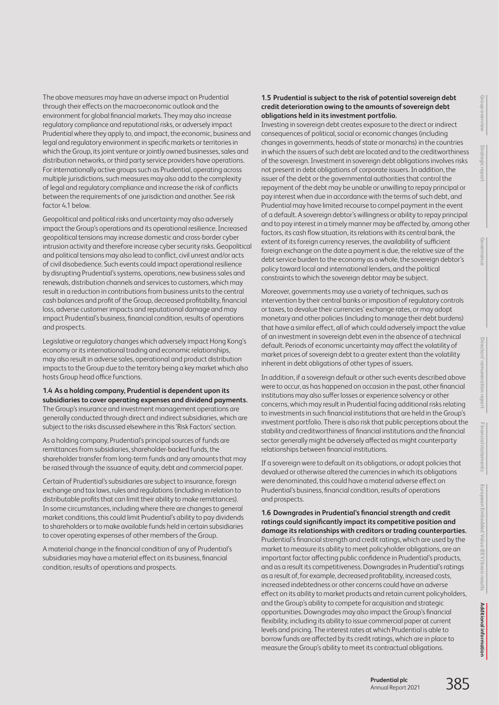Financial statem **Financial statements** European Embedded Value (EEV) basis results **European Embedded Value (EEV) basis results**

The above measures may have an adverse impact on Prudential through their effects on the macroeconomic outlook and the environment for global financial markets. They may also increase regulatory compliance and reputational risks, or adversely impact Prudential where they apply to, and impact, the economic, business and legal and regulatory environment in specific markets or territories in which the Group, its joint venture or jointly owned businesses, sales and distribution networks, or third party service providers have operations. For internationally active groups such as Prudential, operating across multiple jurisdictions, such measures may also add to the complexity of legal and regulatory compliance and increase the risk of conflicts between the requirements of one jurisdiction and another. See risk factor 4.1 below.

Geopolitical and political risks and uncertainty may also adversely impact the Group's operations and its operational resilience. Increased geopolitical tensions may increase domestic and cross-border cyber intrusion activity and therefore increase cyber security risks. Geopolitical and political tensions may also lead to conflict, civil unrest and/or acts of civil disobedience. Such events could impact operational resilience by disrupting Prudential's systems, operations, new business sales and renewals, distribution channels and services to customers, which may result in a reduction in contributions from business units to the central cash balances and profit of the Group, decreased profitability, financial loss, adverse customer impacts and reputational damage and may impact Prudential's business, financial condition, results of operations and prospects.

Legislative or regulatory changes which adversely impact Hong Kong's economy or its international trading and economic relationships, may also result in adverse sales, operational and product distribution impacts to the Group due to the territory being a key market which also hosts Group head office functions.

**1.4 As a holding company, Prudential is dependent upon its subsidiaries to cover operating expenses and dividend payments.** The Group's insurance and investment management operations are generally conducted through direct and indirect subsidiaries, which are subject to the risks discussed elsewhere in this 'Risk Factors' section.

As a holding company, Prudential's principal sources of funds are remittances from subsidiaries, shareholder-backed funds, the shareholder transfer from long-term funds and any amounts that may be raised through the issuance of equity, debt and commercial paper.

Certain of Prudential's subsidiaries are subject to insurance, foreign exchange and tax laws, rules and regulations (including in relation to distributable profits that can limit their ability to make remittances). In some circumstances, including where there are changes to general market conditions, this could limit Prudential's ability to pay dividends to shareholders or to make available funds held in certain subsidiaries to cover operating expenses of other members of the Group.

A material change in the financial condition of any of Prudential's subsidiaries may have a material effect on its business, financial condition, results of operations and prospects.

## **1.5 Prudential is subject to the risk of potential sovereign debt credit deterioration owing to the amounts of sovereign debt obligations held in its investment portfolio.**

Investing in sovereign debt creates exposure to the direct or indirect consequences of political, social or economic changes (including changes in governments, heads of state or monarchs) in the countries in which the issuers of such debt are located and to the creditworthiness of the sovereign. Investment in sovereign debt obligations involves risks not present in debt obligations of corporate issuers. In addition, the issuer of the debt or the governmental authorities that control the repayment of the debt may be unable or unwilling to repay principal or pay interest when due in accordance with the terms of such debt, and Prudential may have limited recourse to compel payment in the event of a default. A sovereign debtor's willingness or ability to repay principal and to pay interest in a timely manner may be affected by, among other factors, its cash flow situation, its relations with its central bank, the extent of its foreign currency reserves, the availability of sufficient foreign exchange on the date a payment is due, the relative size of the debt service burden to the economy as a whole, the sovereign debtor's policy toward local and international lenders, and the political constraints to which the sovereign debtor may be subject.

Moreover, governments may use a variety of techniques, such as intervention by their central banks or imposition of regulatory controls or taxes, to devalue their currencies' exchange rates, or may adopt monetary and other policies (including to manage their debt burdens) that have a similar effect, all of which could adversely impact the value of an investment in sovereign debt even in the absence of a technical default. Periods of economic uncertainty may affect the volatility of market prices of sovereign debt to a greater extent than the volatility inherent in debt obligations of other types of issuers.

In addition, if a sovereign default or other such events described above were to occur, as has happened on occasion in the past, other financial institutions may also suffer losses or experience solvency or other concerns, which may result in Prudential facing additional risks relating to investments in such financial institutions that are held in the Group's investment portfolio. There is also risk that public perceptions about the stability and creditworthiness of financial institutions and the financial sector generally might be adversely affected as might counterparty relationships between financial institutions.

If a sovereign were to default on its obligations, or adopt policies that devalued or otherwise altered the currencies in which its obligations were denominated, this could have a material adverse effect on Prudential's business, financial condition, results of operations and prospects.

**1.6 Downgrades in Prudential's financial strength and credit ratings could significantly impact its competitive position and damage its relationships with creditors or trading counterparties.** Prudential's financial strength and credit ratings, which are used by the market to measure its ability to meet policyholder obligations, are an important factor affecting public confidence in Prudential's products, and as a result its competitiveness. Downgrades in Prudential's ratings as a result of, for example, decreased profitability, increased costs, increased indebtedness or other concerns could have an adverse effect on its ability to market products and retain current policyholders, and the Group's ability to compete for acquisition and strategic opportunities. Downgrades may also impact the Group's financial flexibility, including its ability to issue commercial paper at current levels and pricing. The interest rates at which Prudential is able to borrow funds are affected by its credit ratings, which are in place to measure the Group's ability to meet its contractual obligations.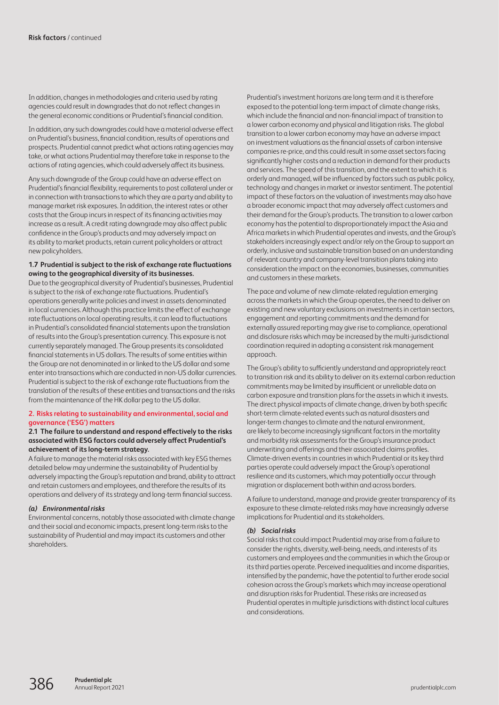In addition, changes in methodologies and criteria used by rating agencies could result in downgrades that do not reflect changes in the general economic conditions or Prudential's financial condition.

In addition, any such downgrades could have a material adverse effect on Prudential's business, financial condition, results of operations and prospects. Prudential cannot predict what actions rating agencies may take, or what actions Prudential may therefore take in response to the actions of rating agencies, which could adversely affect its business.

Any such downgrade of the Group could have an adverse effect on Prudential's financial flexibility, requirements to post collateral under or in connection with transactions to which they are a party and ability to manage market risk exposures. In addition, the interest rates or other costs that the Group incurs in respect of its financing activities may increase as a result. A credit rating downgrade may also affect public confidence in the Group's products and may adversely impact on its ability to market products, retain current policyholders or attract new policyholders.

#### **1.7 Prudential is subject to the risk of exchange rate fluctuations owing to the geographical diversity of its businesses.**

Due to the geographical diversity of Prudential's businesses, Prudential is subject to the risk of exchange rate fluctuations. Prudential's operations generally write policies and invest in assets denominated in local currencies. Although this practice limits the effect of exchange rate fluctuations on local operating results, it can lead to fluctuations in Prudential's consolidated financial statements upon the translation of results into the Group's presentation currency. This exposure is not currently separately managed. The Group presents its consolidated financial statements in US dollars. The results of some entities within the Group are not denominated in or linked to the US dollar and some enter into transactions which are conducted in non-US dollar currencies. Prudential is subject to the risk of exchange rate fluctuations from the translation of the results of these entities and transactions and the risks from the maintenance of the HK dollar peg to the US dollar.

#### **2. Risks relating to sustainability and environmental, social and governance ('ESG') matters**

#### **2.1 The failure to understand and respond effectively to the risks associated with ESG factors could adversely affect Prudential's achievement of its long-term strategy.**

A failure to manage the material risks associated with key ESG themes detailed below may undermine the sustainability of Prudential by adversely impacting the Group's reputation and brand, ability to attract and retain customers and employees, and therefore the results of its operations and delivery of its strategy and long-term financial success.

#### *(a) Environmental risks*

Environmental concerns, notably those associated with climate change and their social and economic impacts, present long-term risks to the sustainability of Prudential and may impact its customers and other shareholders.

Prudential's investment horizons are long term and it is therefore exposed to the potential long-term impact of climate change risks, which include the financial and non-financial impact of transition to a lower carbon economy and physical and litigation risks. The global transition to a lower carbon economy may have an adverse impact on investment valuations as the financial assets of carbon intensive companies re-price, and this could result in some asset sectors facing significantly higher costs and a reduction in demand for their products and services. The speed of this transition, and the extent to which it is orderly and managed, will be influenced by factors such as public policy, technology and changes in market or investor sentiment. The potential impact of these factors on the valuation of investments may also have a broader economic impact that may adversely affect customers and their demand for the Group's products. The transition to a lower carbon economy has the potential to disproportionately impact the Asia and Africa markets in which Prudential operates and invests, and the Group's stakeholders increasingly expect and/or rely on the Group to support an orderly, inclusive and sustainable transition based on an understanding of relevant country and company-level transition plans taking into consideration the impact on the economies, businesses, communities and customers in these markets.

The pace and volume of new climate-related regulation emerging across the markets in which the Group operates, the need to deliver on existing and new voluntary exclusions on investments in certain sectors, engagement and reporting commitments and the demand for externally assured reporting may give rise to compliance, operational and disclosure risks which may be increased by the multi-jurisdictional coordination required in adopting a consistent risk management approach.

The Group's ability to sufficiently understand and appropriately react to transition risk and its ability to deliver on its external carbon reduction commitments may be limited by insufficient or unreliable data on carbon exposure and transition plans for the assets in which it invests. The direct physical impacts of climate change, driven by both specific short-term climate-related events such as natural disasters and longer-term changes to climate and the natural environment, are likely to become increasingly significant factors in the mortality and morbidity risk assessments for the Group's insurance product underwriting and offerings and their associated claims profiles. Climate-driven events in countries in which Prudential or its key third parties operate could adversely impact the Group's operational resilience and its customers, which may potentially occur through migration or displacement both within and across borders.

A failure to understand, manage and provide greater transparency of its exposure to these climate-related risks may have increasingly adverse implications for Prudential and its stakeholders.

#### *(b) Social risks*

Social risks that could impact Prudential may arise from a failure to consider the rights, diversity, well-being, needs, and interests of its customers and employees and the communities in which the Group or its third parties operate. Perceived inequalities and income disparities, intensified by the pandemic, have the potential to further erode social cohesion across the Group's markets which may increase operational and disruption risks for Prudential. These risks are increased as Prudential operates in multiple jurisdictions with distinct local cultures and considerations.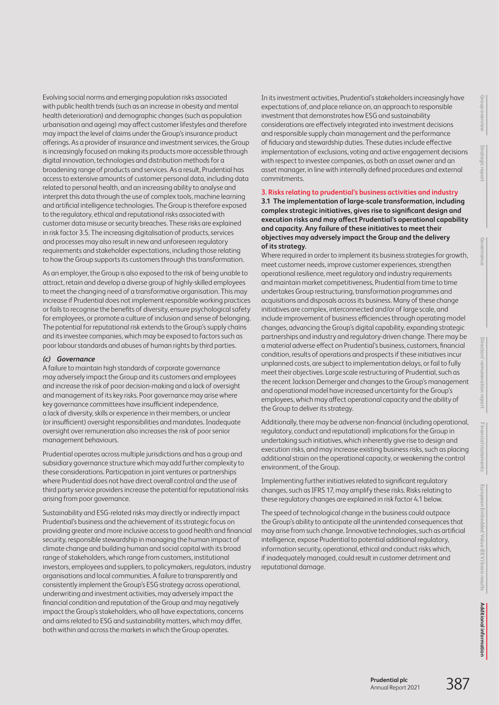**Strategic report**

Evolving social norms and emerging population risks associated with public health trends (such as an increase in obesity and mental health deterioration) and demographic changes (such as population urbanisation and ageing) may affect customer lifestyles and therefore may impact the level of claims under the Group's insurance product offerings. As a provider of insurance and investment services, the Group is increasingly focused on making its products more accessible through digital innovation, technologies and distribution methods for a broadening range of products and services. As a result, Prudential has access to extensive amounts of customer personal data, including data related to personal health, and an increasing ability to analyse and interpret this data through the use of complex tools, machine learning and artificial intelligence technologies. The Group is therefore exposed to the regulatory, ethical and reputational risks associated with customer data misuse or security breaches. These risks are explained in risk factor 3.5. The increasing digitalisation of products, services and processes may also result in new and unforeseen regulatory requirements and stakeholder expectations, including those relating to how the Group supports its customers through this transformation.

As an employer, the Group is also exposed to the risk of being unable to attract, retain and develop a diverse group of highly-skilled employees to meet the changing need of a transformative organisation. This may increase if Prudential does not implement responsible working practices or fails to recognise the benefits of diversity, ensure psychological safety for employees, or promote a culture of inclusion and sense of belonging. The potential for reputational risk extends to the Group's supply chains and its investee companies, which may be exposed to factors such as poor labour standards and abuses of human rights by third parties.

## *(c) Governance*

A failure to maintain high standards of corporate governance may adversely impact the Group and its customers and employees and increase the risk of poor decision-making and a lack of oversight and management of its key risks. Poor governance may arise where key governance committees have insufficient independence, a lack of diversity, skills or experience in their members, or unclear (or insufficient) oversight responsibilities and mandates. Inadequate oversight over remuneration also increases the risk of poor senior management behaviours.

Prudential operates across multiple jurisdictions and has a group and subsidiary governance structure which may add further complexity to these considerations. Participation in joint ventures or partnerships where Prudential does not have direct overall control and the use of third party service providers increase the potential for reputational risks arising from poor governance.

Sustainability and ESG-related risks may directly or indirectly impact Prudential's business and the achievement of its strategic focus on providing greater and more inclusive access to good health and financial security, responsible stewardship in managing the human impact of climate change and building human and social capital with its broad range of stakeholders, which range from customers, institutional investors, employees and suppliers, to policymakers, regulators, industry organisations and local communities. A failure to transparently and consistently implement the Group's ESG strategy across operational, underwriting and investment activities, may adversely impact the financial condition and reputation of the Group and may negatively impact the Group's stakeholders, who all have expectations, concerns and aims related to ESG and sustainability matters, which may differ, both within and across the markets in which the Group operates.

In its investment activities, Prudential's stakeholders increasingly have expectations of, and place reliance on, an approach to responsible investment that demonstrates how ESG and sustainability considerations are effectively integrated into investment decisions and responsible supply chain management and the performance of fiduciary and stewardship duties. These duties include effective implementation of exclusions, voting and active engagement decisions with respect to investee companies, as both an asset owner and an asset manager, in line with internally defined procedures and external commitments.

## **3. Risks relating to prudential's business activities and industry**

**3.1 The implementation of large-scale transformation, including complex strategic initiatives, gives rise to significant design and execution risks and may affect Prudential's operational capability and capacity. Any failure of these initiatives to meet their objectives may adversely impact the Group and the delivery of its strategy.** 

Where required in order to implement its business strategies for growth, meet customer needs, improve customer experiences, strengthen operational resilience, meet regulatory and industry requirements and maintain market competitiveness, Prudential from time to time undertakes Group restructuring, transformation programmes and acquisitions and disposals across its business. Many of these change initiatives are complex, interconnected and/or of large scale, and include improvement of business efficiencies through operating model changes, advancing the Group's digital capability, expanding strategic partnerships and industry and regulatory-driven change. There may be a material adverse effect on Prudential's business, customers, financial condition, results of operations and prospects if these initiatives incur unplanned costs, are subject to implementation delays, or fail to fully meet their objectives. Large scale restructuring of Prudential, such as the recent Jackson Demerger and changes to the Group's management and operational model have increased uncertainty for the Group's employees, which may affect operational capacity and the ability of the Group to deliver its strategy.

Additionally, there may be adverse non-financial (including operational, regulatory, conduct and reputational) implications for the Group in undertaking such initiatives, which inherently give rise to design and execution risks, and may increase existing business risks, such as placing additional strain on the operational capacity, or weakening the control environment, of the Group.

Implementing further initiatives related to significant regulatory changes, such as IFRS 17, may amplify these risks. Risks relating to these regulatory changes are explained in risk factor 4.1 below.

The speed of technological change in the business could outpace the Group's ability to anticipate all the unintended consequences that may arise from such change. Innovative technologies, such as artificial intelligence, expose Prudential to potential additional regulatory, information security, operational, ethical and conduct risks which, if inadequately managed, could result in customer detriment and reputational damage.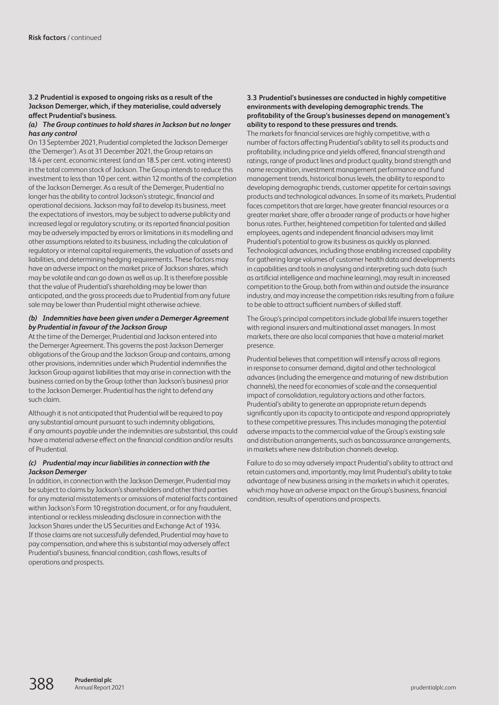## **3.2 Prudential is exposed to ongoing risks as a result of the Jackson Demerger, which, if they materialise, could adversely affect Prudential's business.**

#### *(a) The Group continues to hold shares in Jackson but no longer has any control*

On 13 September 2021, Prudential completed the Jackson Demerger (the 'Demerger'). As at 31 December 2021, the Group retains an 18.4 per cent. economic interest (and an 18.5 per cent. voting interest) in the total common stock of Jackson. The Group intends to reduce this investment to less than 10 per cent. within 12 months of the completion of the Jackson Demerger. As a result of the Demerger, Prudential no longer has the ability to control Jackson's strategic, financial and operational decisions. Jackson may fail to develop its business, meet the expectations of investors, may be subject to adverse publicity and increased legal or regulatory scrutiny, or its reported financial position may be adversely impacted by errors or limitations in its modelling and other assumptions related to its business, including the calculation of regulatory or internal capital requirements, the valuation of assets and liabilities, and determining hedging requirements. These factors may have an adverse impact on the market price of Jackson shares, which may be volatile and can go down as well as up. It is therefore possible that the value of Prudential's shareholding may be lower than anticipated, and the gross proceeds due to Prudential from any future sale may be lower than Prudential might otherwise achieve.

## *(b) Indemnities have been given under a Demerger Agreement by Prudential in favour of the Jackson Group*

At the time of the Demerger, Prudential and Jackson entered into the Demerger Agreement. This governs the post-Jackson Demerger obligations of the Group and the Jackson Group and contains, among other provisions, indemnities under which Prudential indemnifies the Jackson Group against liabilities that may arise in connection with the business carried on by the Group (other than Jackson's business) prior to the Jackson Demerger. Prudential has the right to defend any such claim.

Although it is not anticipated that Prudential will be required to pay any substantial amount pursuant to such indemnity obligations, if any amounts payable under the indemnities are substantial, this could have a material adverse effect on the financial condition and/or results of Prudential.

## *(c) Prudential may incur liabilities in connection with the Jackson Demerger*

In addition, in connection with the Jackson Demerger, Prudential may be subject to claims by Jackson's shareholders and other third parties for any material misstatements or omissions of material facts contained within Jackson's Form 10 registration document, or for any fraudulent, intentional or reckless misleading disclosure in connection with the Jackson Shares under the US Securities and Exchange Act of 1934. If those claims are not successfully defended, Prudential may have to pay compensation, and where this is substantial may adversely affect Prudential's business, financial condition, cash flows, results of operations and prospects.

#### **3.3 Prudential's businesses are conducted in highly competitive environments with developing demographic trends. The profitability of the Group's businesses depend on management's ability to respond to these pressures and trends.**

The markets for financial services are highly competitive, with a number of factors affecting Prudential's ability to sell its products and profitability, including price and yields offered, financial strength and ratings, range of product lines and product quality, brand strength and name recognition, investment management performance and fund management trends, historical bonus levels, the ability to respond to developing demographic trends, customer appetite for certain savings products and technological advances. In some of its markets, Prudential faces competitors that are larger, have greater financial resources or a greater market share, offer a broader range of products or have higher bonus rates. Further, heightened competition for talented and skilled employees, agents and independent financial advisers may limit Prudential's potential to grow its business as quickly as planned. Technological advances, including those enabling increased capability for gathering large volumes of customer health data and developments in capabilities and tools in analysing and interpreting such data (such as artificial intelligence and machine learning), may result in increased competition to the Group, both from within and outside the insurance industry, and may increase the competition risks resulting from a failure to be able to attract sufficient numbers of skilled staff.

The Group's principal competitors include global life insurers together with regional insurers and multinational asset managers. In most markets, there are also local companies that have a material market presence.

Prudential believes that competition will intensify across all regions in response to consumer demand, digital and other technological advances (including the emergence and maturing of new distribution channels), the need for economies of scale and the consequential impact of consolidation, regulatory actions and other factors. Prudential's ability to generate an appropriate return depends significantly upon its capacity to anticipate and respond appropriately to these competitive pressures. This includes managing the potential adverse impacts to the commercial value of the Group's existing sale and distribution arrangements, such as bancassurance arrangements, in markets where new distribution channels develop.

Failure to do so may adversely impact Prudential's ability to attract and retain customers and, importantly, may limit Prudential's ability to take advantage of new business arising in the markets in which it operates, which may have an adverse impact on the Group's business, financial condition, results of operations and prospects.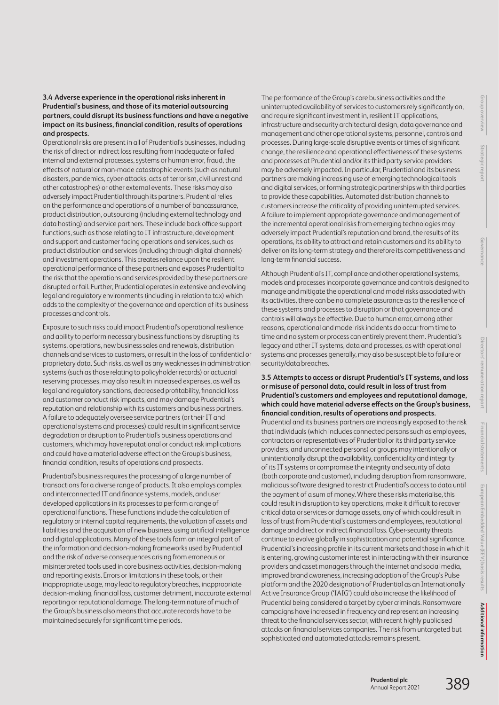#### **3.4 Adverse experience in the operational risks inherent in Prudential's business, and those of its material outsourcing partners, could disrupt its business functions and have a negative impact on its business, financial condition, results of operations and prospects.**

Operational risks are present in all of Prudential's businesses, including the risk of direct or indirect loss resulting from inadequate or failed internal and external processes, systems or human error, fraud, the effects of natural or man-made catastrophic events (such as natural disasters, pandemics, cyber-attacks, acts of terrorism, civil unrest and other catastrophes) or other external events. These risks may also adversely impact Prudential through its partners. Prudential relies on the performance and operations of a number of bancassurance, product distribution, outsourcing (including external technology and data hosting) and service partners. These include back office support functions, such as those relating to IT infrastructure, development and support and customer facing operations and services, such as product distribution and services (including through digital channels) and investment operations. This creates reliance upon the resilient operational performance of these partners and exposes Prudential to the risk that the operations and services provided by these partners are disrupted or fail. Further, Prudential operates in extensive and evolving legal and regulatory environments (including in relation to tax) which adds to the complexity of the governance and operation of its business processes and controls.

Exposure to such risks could impact Prudential's operational resilience and ability to perform necessary business functions by disrupting its systems, operations, new business sales and renewals, distribution channels and services to customers, or result in the loss of confidential or proprietary data. Such risks, as well as any weaknesses in administration systems (such as those relating to policyholder records) or actuarial reserving processes, may also result in increased expenses, as well as legal and regulatory sanctions, decreased profitability, financial loss and customer conduct risk impacts, and may damage Prudential's reputation and relationship with its customers and business partners. A failure to adequately oversee service partners (or their IT and operational systems and processes) could result in significant service degradation or disruption to Prudential's business operations and customers, which may have reputational or conduct risk implications and could have a material adverse effect on the Group's business, financial condition, results of operations and prospects.

Prudential's business requires the processing of a large number of transactions for a diverse range of products. It also employs complex and interconnected IT and finance systems, models, and user developed applications in its processes to perform a range of operational functions. These functions include the calculation of regulatory or internal capital requirements, the valuation of assets and liabilities and the acquisition of new business using artificial intelligence and digital applications. Many of these tools form an integral part of the information and decision-making frameworks used by Prudential and the risk of adverse consequences arising from erroneous or misinterpreted tools used in core business activities, decision-making and reporting exists. Errors or limitations in these tools, or their inappropriate usage, may lead to regulatory breaches, inappropriate decision-making, financial loss, customer detriment, inaccurate external reporting or reputational damage. The long-term nature of much of the Group's business also means that accurate records have to be maintained securely for significant time periods.

The performance of the Group's core business activities and the uninterrupted availability of services to customers rely significantly on, and require significant investment in, resilient IT applications, infrastructure and security architectural design, data governance and management and other operational systems, personnel, controls and processes. During large-scale disruptive events or times of significant change, the resilience and operational effectiveness of these systems and processes at Prudential and/or its third party service providers may be adversely impacted. In particular, Prudential and its business partners are making increasing use of emerging technological tools and digital services, or forming strategic partnerships with third parties to provide these capabilities. Automated distribution channels to customers increase the criticality of providing uninterrupted services. A failure to implement appropriate governance and management of the incremental operational risks from emerging technologies may adversely impact Prudential's reputation and brand, the results of its operations, its ability to attract and retain customers and its ability to deliver on its long-term strategy and therefore its competitiveness and long-term financial success.

Although Prudential's IT, compliance and other operational systems, models and processes incorporate governance and controls designed to manage and mitigate the operational and model risks associated with its activities, there can be no complete assurance as to the resilience of these systems and processes to disruption or that governance and controls will always be effective. Due to human error, among other reasons, operational and model risk incidents do occur from time to time and no system or process can entirely prevent them. Prudential's legacy and other IT systems, data and processes, as with operational systems and processes generally, may also be susceptible to failure or security/data breaches.

## **3.5 Attempts to access or disrupt Prudential's IT systems, and loss or misuse of personal data, could result in loss of trust from Prudential's customers and employees and reputational damage, which could have material adverse effects on the Group's business, financial condition, results of operations and prospects.**

Prudential and its business partners are increasingly exposed to the risk that individuals (which includes connected persons such as employees, contractors or representatives of Prudential or its third party service providers, and unconnected persons) or groups may intentionally or unintentionally disrupt the availability, confidentiality and integrity of its IT systems or compromise the integrity and security of data (both corporate and customer), including disruption from ransomware, malicious software designed to restrict Prudential's access to data until the payment of a sum of money. Where these risks materialise, this could result in disruption to key operations, make it difficult to recover critical data or services or damage assets, any of which could result in loss of trust from Prudential's customers and employees, reputational damage and direct or indirect financial loss. Cyber-security threats continue to evolve globally in sophistication and potential significance. Prudential's increasing profile in its current markets and those in which it is entering, growing customer interest in interacting with their insurance providers and asset managers through the internet and social media, improved brand awareness, increasing adoption of the Group's Pulse platform and the 2020 designation of Prudential as an Internationally Active Insurance Group ('IAIG') could also increase the likelihood of Prudential being considered a target by cyber criminals. Ransomware campaigns have increased in frequency and represent an increasing threat to the financial services sector, with recent highly publicised attacks on financial services companies. The risk from untargeted but sophisticated and automated attacks remains present.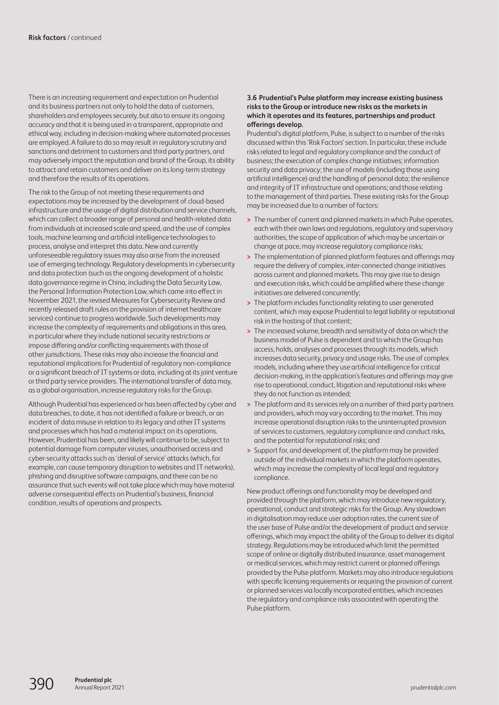There is an increasing requirement and expectation on Prudential and its business partners not only to hold the data of customers, shareholders and employees securely, but also to ensure its ongoing accuracy and that it is being used in a transparent, appropriate and ethical way, including in decision-making where automated processes are employed. A failure to do so may result in regulatory scrutiny and sanctions and detriment to customers and third party partners, and may adversely impact the reputation and brand of the Group, its ability to attract and retain customers and deliver on its long-term strategy and therefore the results of its operations.

The risk to the Group of not meeting these requirements and expectations may be increased by the development of cloud-based infrastructure and the usage of digital distribution and service channels, which can collect a broader range of personal and health-related data from individuals at increased scale and speed, and the use of complex tools, machine learning and artificial intelligence technologies to process, analyse and interpret this data. New and currently unforeseeable regulatory issues may also arise from the increased use of emerging technology. Regulatory developments in cybersecurity and data protection (such as the ongoing development of a holistic data governance regime in China, including the Data Security Law, the Personal Information Protection Law, which came into effect in November 2021, the revised Measures for Cybersecurity Review and recently released draft rules on the provision of internet healthcare services) continue to progress worldwide. Such developments may increase the complexity of requirements and obligations in this area, in particular where they include national security restrictions or impose differing and/or conflicting requirements with those of other jurisdictions. These risks may also increase the financial and reputational implications for Prudential of regulatory non-compliance or a significant breach of IT systems or data, including at its joint venture or third party service providers. The international transfer of data may, as a global organisation, increase regulatory risks for the Group.

Although Prudential has experienced or has been affected by cyber and data breaches, to date, it has not identified a failure or breach, or an incident of data misuse in relation to its legacy and other IT systems and processes which has had a material impact on its operations. However, Prudential has been, and likely will continue to be, subject to potential damage from computer viruses, unauthorised access and cyber-security attacks such as 'denial of service' attacks (which, for example, can cause temporary disruption to websites and IT networks), phishing and disruptive software campaigns, and there can be no assurance that such events will not take place which may have material adverse consequential effects on Prudential's business, financial condition, results of operations and prospects.

#### **3.6 Prudential's Pulse platform may increase existing business risks to the Group or introduce new risks as the markets in which it operates and its features, partnerships and product offerings develop.**

Prudential's digital platform, Pulse, is subject to a number of the risks discussed within this 'Risk Factors' section. In particular, these include risks related to legal and regulatory compliance and the conduct of business; the execution of complex change initiatives; information security and data privacy; the use of models (including those using artificial intelligence) and the handling of personal data; the resilience and integrity of IT infrastructure and operations; and those relating to the management of third parties. These existing risks for the Group may be increased due to a number of factors:

- **>** The number of current and planned markets in which Pulse operates, each with their own laws and regulations, regulatory and supervisory authorities, the scope of application of which may be uncertain or change at pace, may increase regulatory compliance risks;
- **>** The implementation of planned platform features and offerings may require the delivery of complex, inter-connected change initiatives across current and planned markets. This may give rise to design and execution risks, which could be amplified where these change initiatives are delivered concurrently;
- **>** The platform includes functionality relating to user generated content, which may expose Prudential to legal liability or reputational risk in the hosting of that content;
- **>** The increased volume, breadth and sensitivity of data on which the business model of Pulse is dependent and to which the Group has access, holds, analyses and processes through its models, which increases data security, privacy and usage risks. The use of complex models, including where they use artificial intelligence for critical decision-making, in the application's features and offerings may give rise to operational, conduct, litigation and reputational risks where they do not function as intended;
- **>** The platform and its services rely on a number of third party partners and providers, which may vary according to the market. This may increase operational disruption risks to the uninterrupted provision of services to customers, regulatory compliance and conduct risks, and the potential for reputational risks; and
- **>** Support for, and development of, the platform may be provided outside of the individual markets in which the platform operates, which may increase the complexity of local legal and regulatory compliance.

New product offerings and functionality may be developed and provided through the platform, which may introduce new regulatory, operational, conduct and strategic risks for the Group. Any slowdown in digitalisation may reduce user adoption rates, the current size of the user base of Pulse and/or the development of product and service offerings, which may impact the ability of the Group to deliver its digital strategy. Regulations may be introduced which limit the permitted scope of online or digitally distributed insurance, asset management or medical services, which may restrict current or planned offerings provided by the Pulse platform. Markets may also introduce regulations with specific licensing requirements or requiring the provision of current or planned services via locally incorporated entities, which increases the regulatory and compliance risks associated with operating the Pulse platform.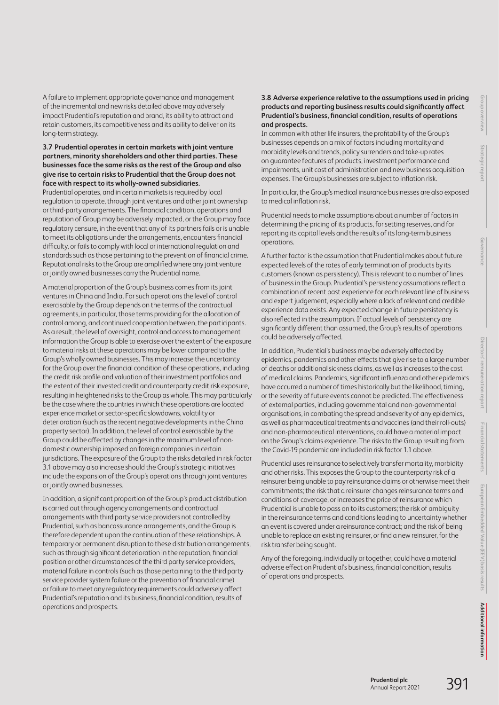A failure to implement appropriate governance and management of the incremental and new risks detailed above may adversely impact Prudential's reputation and brand, its ability to attract and retain customers, its competitiveness and its ability to deliver on its long-term strategy.

#### **3.7 Prudential operates in certain markets with joint venture partners, minority shareholders and other third parties. These businesses face the same risks as the rest of the Group and also give rise to certain risks to Prudential that the Group does not face with respect to its wholly-owned subsidiaries.**

Prudential operates, and in certain markets is required by local regulation to operate, through joint ventures and other joint ownership or third-party arrangements. The financial condition, operations and reputation of Group may be adversely impacted, or the Group may face regulatory censure, in the event that any of its partners fails or is unable to meet its obligations under the arrangements, encounters financial difficulty, or fails to comply with local or international regulation and standards such as those pertaining to the prevention of financial crime. Reputational risks to the Group are amplified where any joint venture or jointly owned businesses carry the Prudential name.

A material proportion of the Group's business comes from its joint ventures in China and India. For such operations the level of control exercisable by the Group depends on the terms of the contractual agreements, in particular, those terms providing for the allocation of control among, and continued cooperation between, the participants. As a result, the level of oversight, control and access to management information the Group is able to exercise over the extent of the exposure to material risks at these operations may be lower compared to the Group's wholly owned businesses. This may increase the uncertainty for the Group over the financial condition of these operations, including the credit risk profile and valuation of their investment portfolios and the extent of their invested credit and counterparty credit risk exposure, resulting in heightened risks to the Group as whole. This may particularly be the case where the countries in which these operations are located experience market or sector-specific slowdowns, volatility or deterioration (such as the recent negative developments in the China property sector). In addition, the level of control exercisable by the Group could be affected by changes in the maximum level of nondomestic ownership imposed on foreign companies in certain jurisdictions. The exposure of the Group to the risks detailed in risk factor 3.1 above may also increase should the Group's strategic initiatives include the expansion of the Group's operations through joint ventures or jointly owned businesses.

In addition, a significant proportion of the Group's product distribution is carried out through agency arrangements and contractual arrangements with third party service providers not controlled by Prudential, such as bancassurance arrangements, and the Group is therefore dependent upon the continuation of these relationships. A temporary or permanent disruption to these distribution arrangements, such as through significant deterioration in the reputation, financial position or other circumstances of the third party service providers, material failure in controls (such as those pertaining to the third party service provider system failure or the prevention of financial crime) orfailure to meet any regulatory requirements could adversely affect Prudential's reputation and its business, financial condition, results of operations and prospects.

## **3.8 Adverse experience relative to the assumptions used in pricing products and reporting business results could significantly affect Prudential's business, financial condition, results of operations and prospects.**

In common with other life insurers, the profitability of the Group's businesses depends on a mix of factors including mortality and morbidity levels and trends, policy surrenders and take-up rates on guarantee features of products, investment performance and impairments, unit cost of administration and new business acquisition expenses. The Group's businesses are subject to inflation risk.

In particular, the Group's medical insurance businesses are also exposed to medical inflation risk.

Prudential needs to make assumptions about a number of factors in determining the pricing of its products, for setting reserves, and for reporting its capital levels and the results of its long-term business operations.

A further factor is the assumption that Prudential makes about future expected levels of the rates of early termination of products by its customers (known as persistency). This is relevant to a number of lines of business in the Group. Prudential's persistency assumptions reflect a combination of recent past experience for each relevant line of business and expert judgement, especially where a lack of relevant and credible experience data exists. Any expected change in future persistency is also reflected in the assumption. If actual levels of persistency are significantly different than assumed, the Group's results of operations could be adversely affected.

In addition, Prudential's business may be adversely affected by epidemics, pandemics and other effects that give rise to a large number of deaths or additional sickness claims, as well as increases to the cost of medical claims. Pandemics, significant influenza and other epidemics have occurred a number of times historically but the likelihood, timing, or the severity of future events cannot be predicted. The effectiveness of external parties, including governmental and non-governmental organisations, in combating the spread and severity of any epidemics, as well as pharmaceutical treatments and vaccines (and their roll-outs) and non-pharmaceutical interventions, could have a material impact on the Group's claims experience. The risks to the Group resulting from the Covid-19 pandemic are included in risk factor 1.1 above.

Prudential uses reinsurance to selectively transfer mortality, morbidity and other risks. This exposes the Group to the counterparty risk of a reinsurer being unable to pay reinsurance claims or otherwise meet their commitments; the risk that a reinsurer changes reinsurance terms and conditions of coverage, or increases the price of reinsurance which Prudential is unable to pass on to its customers; the risk of ambiguity in the reinsurance terms and conditions leading to uncertainty whether an event is covered under a reinsurance contract; and the risk of being unable to replace an existing reinsurer, or find a new reinsurer, for the risk transfer being sought.

Any of the foregoing, individually or together, could have a material adverse effect on Prudential's business, financial condition, results of operations and prospects.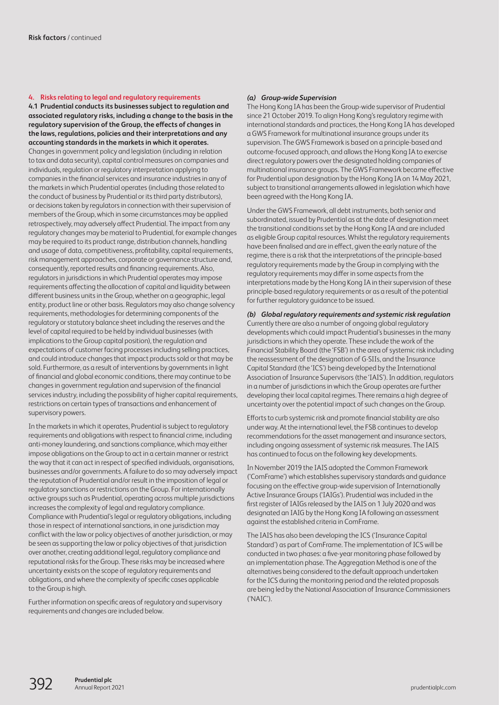#### **4. Risks relating to legal and regulatory requirements**

**4.1 Prudential conducts its businesses subject to regulation and associated regulatory risks, including a change to the basis in the regulatory supervision of the Group, the effects of changes in the laws, regulations, policies and their interpretations and any accounting standards in the markets in which it operates.** Changes in government policy and legislation (including in relation to tax and data security), capital control measures on companies and individuals, regulation or regulatory interpretation applying to companies in the financial services and insurance industries in any of the markets in which Prudential operates (including those related to the conduct of business by Prudential or its third party distributors), or decisions taken by regulators in connection with their supervision of members of the Group, which in some circumstances may be applied retrospectively, may adversely affect Prudential. The impact from any regulatory changes may be material to Prudential, for example changes may be required to its product range, distribution channels, handling and usage of data, competitiveness, profitability, capital requirements, risk management approaches, corporate or governance structure and, consequently, reported results and financing requirements. Also, regulators in jurisdictions in which Prudential operates may impose requirements affecting the allocation of capital and liquidity between different business units in the Group, whether on a geographic, legal entity, product line or other basis. Regulators may also change solvency requirements, methodologies for determining components of the regulatory or statutory balance sheet including the reserves and the level of capital required to be held by individual businesses (with implications to the Group capital position), the regulation and expectations of customer facing processes including selling practices, and could introduce changes that impact products sold or that may be sold. Furthermore, as a result of interventions by governments in light of financial and global economic conditions, there may continue to be changes in government regulation and supervision of the financial services industry, including the possibility of higher capital requirements, restrictions on certain types of transactions and enhancement of supervisory powers.

In the markets in which it operates, Prudential is subject to regulatory requirements and obligations with respect to financial crime, including anti-money laundering, and sanctions compliance, which may either impose obligations on the Group to act in a certain manner or restrict the way that it can act in respect of specified individuals, organisations, businesses and/or governments. A failure to do so may adversely impact the reputation of Prudential and/or result in the imposition of legal or regulatory sanctions or restrictions on the Group. For internationally active groups such as Prudential, operating across multiple jurisdictions increases the complexity of legal and regulatory compliance. Compliance with Prudential's legal or regulatory obligations, including those in respect of international sanctions, in one jurisdiction may conflict with the law or policy objectives of another jurisdiction, or may be seen as supporting the law or policy objectives of that jurisdiction over another, creating additional legal, regulatory compliance and reputational risks for the Group. These risks may be increased where uncertainty exists on the scope of regulatory requirements and obligations, and where the complexity of specific cases applicable to the Group is high.

Further information on specific areas of regulatory and supervisory requirements and changes are included below.

#### *(a) Group-wide Supervision*

The Hong Kong IA has been the Group-wide supervisor of Prudential since 21 October 2019. To align Hong Kong's regulatory regime with international standards and practices, the Hong Kong IA has developed a GWS Framework for multinational insurance groups under its supervision. The GWS Framework is based on a principle-based and outcome-focused approach, and allows the Hong Kong IA to exercise direct regulatory powers over the designated holding companies of multinational insurance groups. The GWS Framework became effective for Prudential upon designation by the Hong Kong IA on 14 May 2021, subject to transitional arrangements allowed in legislation which have been agreed with the Hong Kong IA.

Under the GWS Framework, all debt instruments, both senior and subordinated, issued by Prudential as at the date of designation meet the transitional conditions set by the Hong Kong IA and are included as eligible Group capital resources. Whilst the regulatory requirements have been finalised and are in effect, given the early nature of the regime, there is a risk that the interpretations of the principle-based regulatory requirements made by the Group in complying with the regulatory requirements may differ in some aspects from the interpretations made by the Hong Kong IA in their supervision of these principle-based regulatory requirements or as a result of the potential for further regulatory guidance to be issued.

*(b) Global regulatory requirements and systemic risk regulation* Currently there are also a number of ongoing global regulatory developments which could impact Prudential's businesses in the many jurisdictions in which they operate. These include the work of the Financial Stability Board (the 'FSB') in the area of systemic risk including the reassessment of the designation of G-SIIs, and the Insurance Capital Standard (the 'ICS') being developed by the International Association of Insurance Supervisors (the 'IAIS'). In addition, regulators in a number of jurisdictions in which the Group operates are further developing their local capital regimes. There remains a high degree of uncertainty over the potential impact of such changes on the Group.

Efforts to curb systemic risk and promote financial stability are also under way. At the international level, the FSB continues to develop recommendations for the asset management and insurance sectors, including ongoing assessment of systemic risk measures. The IAIS has continued to focus on the following key developments.

In November 2019 the IAIS adopted the Common Framework ('ComFrame') which establishes supervisory standards and guidance focusing on the effective group-wide supervision of Internationally Active Insurance Groups ('IAIGs'). Prudential was included in the first register of IAIGs released by the IAIS on 1 July 2020 and was designated an IAIG by the Hong Kong IA following an assessment against the established criteria in ComFrame.

The IAIS has also been developing the ICS ('Insurance Capital Standard') as part of ComFrame. The implementation of ICS will be conducted in two phases: a five-year monitoring phase followed by an implementation phase. The Aggregation Method is one of the alternatives being considered to the default approach undertaken for the ICS during the monitoring period and the related proposals are being led by the National Association of Insurance Commissioners ('NAIC').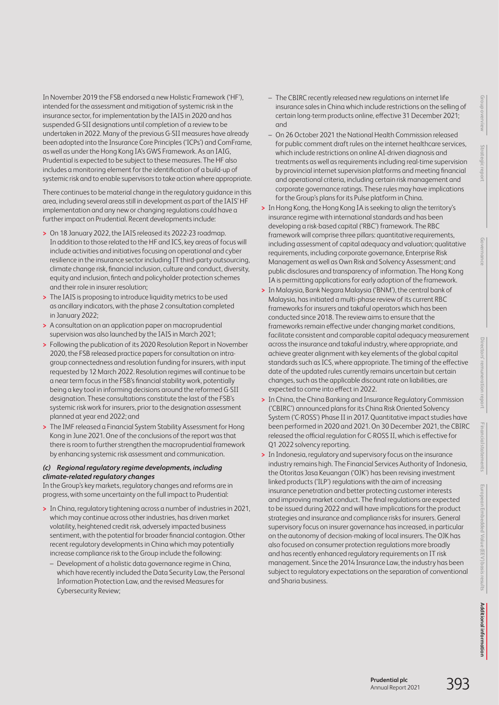**Financial statements** staten **European Embedded Value (EEV) basis results** pean Embedded Value (EEV) basis results

In November 2019 the FSB endorsed a new Holistic Framework ('HF'), intended for the assessment and mitigation of systemic risk in the insurance sector, for implementation by the IAIS in 2020 and has suspended G-SII designations until completion of a review to be undertaken in 2022. Many of the previous G-SII measures have already been adopted into the Insurance Core Principles ('ICPs') and ComFrame, as well as under the Hong Kong IA's GWS Framework. As an IAIG, Prudential is expected to be subject to these measures. The HF also includes a monitoring element for the identification of a build-up of systemic risk and to enable supervisors to take action where appropriate.

There continues to be material change in the regulatory guidance in this area, including several areas still in development as part of the IAIS' HF implementation and any new or changing regulations could have a further impact on Prudential. Recent developments include:

- **>** On 18 January 2022, the IAIS released its 2022-23 roadmap. In addition to those related to the HF and ICS, key areas of focus will include activities and initiatives focusing on operational and cyber resilience in the insurance sector including IT third-party outsourcing, climate change risk, financial inclusion, culture and conduct, diversity, equity and inclusion, fintech and policyholder protection schemes and their role in insurer resolution;
- **>** The IAIS is proposing to introduce liquidity metrics to be used as ancillary indicators, with the phase 2 consultation completed in January 2022;
- **>** A consultation on an application paper on macroprudential supervision was also launched by the IAIS in March 2021;
- **>** Following the publication of its 2020 Resolution Report in November 2020, the FSB released practice papers for consultation on intragroup connectedness and resolution funding for insurers, with input requested by 12 March 2022. Resolution regimes will continue to be a near term focus in the FSB's financial stability work, potentially being a key tool in informing decisions around the reformed G-SII designation. These consultations constitute the last of the FSB's systemic risk work for insurers, prior to the designation assessment planned at year end 2022; and
- **>** The IMF released a Financial System Stability Assessment for Hong Kong in June 2021. One of the conclusions of the report was that there is room to further strengthen the macroprudential framework by enhancing systemic risk assessment and communication.

## *(c) Regional regulatory regime developments, including climate-related regulatory changes*

In the Group's key markets, regulatory changes and reforms are in progress, with some uncertainty on the full impact to Prudential:

- **>** In China, regulatory tightening across a number of industries in 2021, which may continue across other industries, has driven market volatility, heightened credit risk, adversely impacted business sentiment, with the potential for broader financial contagion. Other recent regulatory developments in China which may potentially increase compliance risk to the Group include the following:
	- Development of a holistic data governance regime in China, which have recently included the Data Security Law, the Personal Information Protection Law, and the revised Measures for Cybersecurity Review;
- The CBIRC recently released new regulations on internet life insurance sales in China which include restrictions on the selling of certain long-term products online, effective 31 December 2021; and
- On 26 October 2021 the National Health Commission released for public comment draft rules on the internet healthcare services, which include restrictions on online AI-driven diagnosis and treatments as well as requirements including real-time supervision by provincial internet supervision platforms and meeting financial and operational criteria, including certain risk management and corporate governance ratings. These rules may have implications for the Group's plans for its Pulse platform in China.
- **>** In Hong Kong, the Hong Kong IA is seeking to align the territory's insurance regime with international standards and has been developing a risk-based capital ('RBC') framework. The RBC framework will comprise three pillars: quantitative requirements, including assessment of capital adequacy and valuation; qualitative requirements, including corporate governance, Enterprise Risk Management as well as Own Risk and Solvency Assessment; and public disclosures and transparency of information. The Hong Kong IA is permitting applications for early adoption of the framework.
- **>** In Malaysia, Bank Negara Malaysia ('BNM'), the central bank of Malaysia, has initiated a multi-phase review of its current RBC frameworks for insurers and takaful operators which has been conducted since 2018. The review aims to ensure that the frameworks remain effective under changing market conditions, facilitate consistent and comparable capital adequacy measurement across the insurance and takaful industry, where appropriate, and achieve greater alignment with key elements of the global capital standards such as ICS, where appropriate. The timing of the effective date of the updated rules currently remains uncertain but certain changes, such as the applicable discount rate on liabilities, are expected to come into effect in 2022.
- **>** In China, the China Banking and Insurance Regulatory Commission ('CBIRC') announced plans for its China Risk Oriented Solvency System ('C-ROSS') Phase II in 2017. Quantitative impact studies have been performed in 2020 and 2021. On 30 December 2021, the CBIRC released the official regulation for C-ROSS II, which is effective for Q1 2022 solvency reporting.
- **>** In Indonesia, regulatory and supervisory focus on the insurance industry remains high. The Financial Services Authority of Indonesia, the Otoritas Jasa Keuangan ('OJK') has been revising investment linked products ('ILP') regulations with the aim of increasing insurance penetration and better protecting customer interests and improving market conduct. The final regulations are expected to be issued during 2022 and will have implications for the product strategies and insurance and compliance risks for insurers. General supervisory focus on insurer governance has increased, in particular on the autonomy of decision-making of local insurers. The OJK has also focused on consumer protection regulations more broadly and has recently enhanced regulatory requirements on IT risk management. Since the 2014 Insurance Law, the industry has been subject to regulatory expectations on the separation of conventional and Sharia business.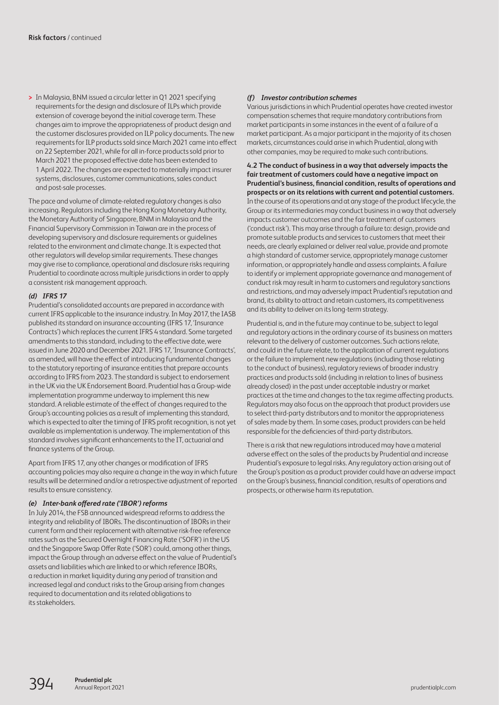**>** In Malaysia, BNM issued a circular letter in Q1 2021 specifying requirements for the design and disclosure of ILPs which provide extension of coverage beyond the initial coverage term. These changes aim to improve the appropriateness of product design and the customer disclosures provided on ILP policy documents. The new requirements for ILP products sold since March 2021 came into effect on 22 September 2021, while for all in-force products sold prior to March 2021 the proposed effective date has been extended to 1 April 2022. The changes are expected to materially impact insurer systems, disclosures, customer communications, sales conduct and post-sale processes.

The pace and volume of climate-related regulatory changes is also increasing. Regulators including the Hong Kong Monetary Authority, the Monetary Authority of Singapore, BNM in Malaysia and the Financial Supervisory Commission in Taiwan are in the process of developing supervisory and disclosure requirements or guidelines related to the environment and climate change. It is expected that other regulators will develop similar requirements. These changes may give rise to compliance, operational and disclosure risks requiring Prudential to coordinate across multiple jurisdictions in order to apply a consistent risk management approach.

#### *(d) IFRS 17*

Prudential's consolidated accounts are prepared in accordance with current IFRS applicable to the insurance industry. In May 2017, the IASB published its standard on insurance accounting (IFRS 17, 'Insurance Contracts') which replaces the current IFRS 4 standard. Some targeted amendments to this standard, including to the effective date, were issued in June 2020 and December 2021. IFRS 17, 'Insurance Contracts', as amended, will have the effect of introducing fundamental changes to the statutory reporting of insurance entities that prepare accounts according to IFRS from 2023. The standard is subject to endorsement in the UK via the UK Endorsement Board. Prudential has a Group-wide implementation programme underway to implement this new standard. A reliable estimate of the effect of changes required to the Group's accounting policies as a result of implementing this standard, which is expected to alter the timing of IFRS profit recognition, is not yet available as implementation is underway. The implementation of this standard involves significant enhancements to the IT, actuarial and finance systems of the Group.

Apart from IFRS 17, any other changes or modification of IFRS accounting policies may also require a change in the way in which future results will be determined and/or a retrospective adjustment of reported results to ensure consistency.

#### *(e) Inter-bank offered rate ('IBOR') reforms*

In July 2014, the FSB announced widespread reforms to address the integrity and reliability of IBORs. The discontinuation of IBORs in their current form and their replacement with alternative risk-free reference rates such as the Secured Overnight Financing Rate ('SOFR') in the US and the Singapore Swap Offer Rate ('SOR') could, among other things, impact the Group through an adverse effect on the value of Prudential's assets and liabilities which are linked to or which reference IBORs, a reduction in market liquidity during any period of transition and increased legal and conduct risks to the Group arising from changes required to documentation and its related obligations to its stakeholders.

#### *(f) Investor contribution schemes*

Various jurisdictions in which Prudential operates have created investor compensation schemes that require mandatory contributions from market participants in some instances in the event of a failure of a market participant. As a major participant in the majority of its chosen markets, circumstances could arise in which Prudential, along with other companies, may be required to make such contributions.

**4.2 The conduct of business in a way that adversely impacts the fair treatment of customers could have a negative impact on Prudential's business, financial condition, results of operations and prospects or on its relations with current and potential customers.** In the course of its operations and at any stage of the product lifecycle, the Group or its intermediaries may conduct business in a way that adversely impacts customer outcomes and the fair treatment of customers ('conduct risk'). This may arise through a failure to: design, provide and promote suitable products and services to customers that meet their needs, are clearly explained or deliver real value, provide and promote a high standard of customer service, appropriately manage customer information, or appropriately handle and assess complaints. A failure to identify or implement appropriate governance and management of conduct risk may result in harm to customers and regulatory sanctions and restrictions, and may adversely impact Prudential's reputation and brand, its ability to attract and retain customers, its competitiveness and its ability to deliver on its long-term strategy.

Prudential is, and in the future may continue to be, subject to legal and regulatory actions in the ordinary course of its business on matters relevant to the delivery of customer outcomes. Such actions relate, and could in the future relate, to the application of current regulations or the failure to implement new regulations (including those relating to the conduct of business), regulatory reviews of broader industry practices and products sold (including in relation to lines of business already closed) in the past under acceptable industry or market practices at the time and changes to the tax regime affecting products. Regulators may also focus on the approach that product providers use to select third-party distributors and to monitor the appropriateness of sales made by them. In some cases, product providers can be held responsible for the deficiencies of third-party distributors.

There is a risk that new regulations introduced may have a material adverse effect on the sales of the products by Prudential and increase Prudential's exposure to legal risks. Any regulatory action arising out of the Group's position as a product provider could have an adverse impact on the Group's business, financial condition, results of operations and prospects, or otherwise harm its reputation.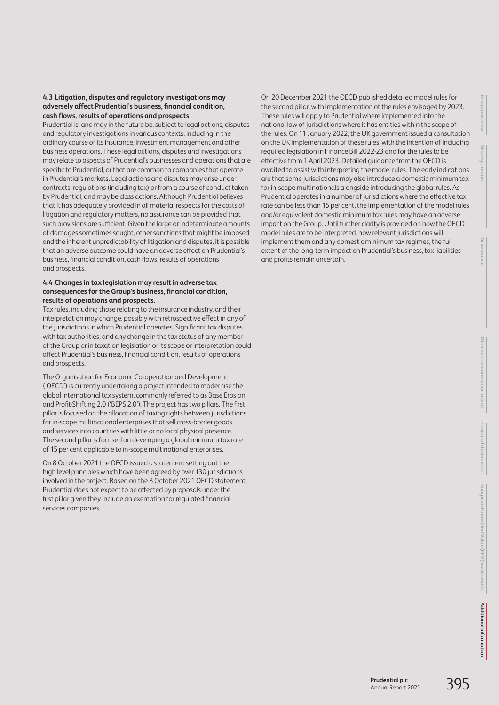## **4.3 Litigation, disputes and regulatory investigations may adversely affect Prudential's business, financial condition, cash flows, results of operations and prospects.**

Prudential is, and may in the future be, subject to legal actions, disputes and regulatory investigations in various contexts, including in the ordinary course of its insurance, investment management and other business operations. These legal actions, disputes and investigations may relate to aspects of Prudential's businesses and operations that are specific to Prudential, or that are common to companies that operate in Prudential's markets. Legal actions and disputes may arise under contracts, regulations (including tax) or from a course of conduct taken by Prudential, and may be class actions. Although Prudential believes that it has adequately provided in all material respects for the costs of litigation and regulatory matters, no assurance can be provided that such provisions are sufficient. Given the large or indeterminate amounts of damages sometimes sought, other sanctions that might be imposed and the inherent unpredictability of litigation and disputes, it is possible that an adverse outcome could have an adverse effect on Prudential's business, financial condition, cash flows, results of operations and prospects.

#### **4.4 Changes in tax legislation may result in adverse tax consequences for the Group's business, financial condition, results of operations and prospects.**

Tax rules, including those relating to the insurance industry, and their interpretation may change, possibly with retrospective effect in any of the jurisdictions in which Prudential operates. Significant tax disputes with tax authorities, and any change in the tax status of any member of the Group or in taxation legislation or its scope or interpretation could affect Prudential's business, financial condition, results of operations and prospects.

The Organisation for Economic Co-operation and Development ('OECD') is currently undertaking a project intended to modernise the global international tax system, commonly referred to as Base Erosion and Profit-Shifting 2.0 ('BEPS 2.0'). The project has two pillars. The first pillar is focused on the allocation of taxing rights between jurisdictions for in-scope multinational enterprises that sell cross-border goods and services into countries with little or no local physical presence. The second pillar is focused on developing a global minimum tax rate of 15 per cent applicable to in-scope multinational enterprises.

On 8 October 2021 the OECD issued a statement setting out the high level principles which have been agreed by over 130 jurisdictions involved in the project. Based on the 8 October 2021 OECD statement, Prudential does not expect to be affected by proposals under the first pillar given they include an exemption for regulated financial services companies.

On 20 December 2021 the OECD published detailed model rules for the second pillar, with implementation of the rules envisaged by 2023. These rules will apply to Prudential where implemented into the national law of jurisdictions where it has entities within the scope of the rules. On 11 January 2022, the UK government issued a consultation on the UK implementation of these rules, with the intention of including required legislation in Finance Bill 2022-23 and for the rules to be effective from 1 April 2023. Detailed guidance from the OECD is awaited to assist with interpreting the model rules. The early indications are that some jurisdictions may also introduce a domestic minimum tax for in-scope multinationals alongside introducing the global rules. As Prudential operates in a number of jurisdictions where the effective tax rate can be less than 15 per cent, the implementation of the model rules and/or equivalent domestic minimum tax rules may have an adverse impact on the Group. Until further clarity is provided on how the OECD model rules are to be interpreted, how relevant jurisdictions will implement them and any domestic minimum tax regimes, the full extent of the long-term impact on Prudential's business, tax liabilities and profits remain uncertain.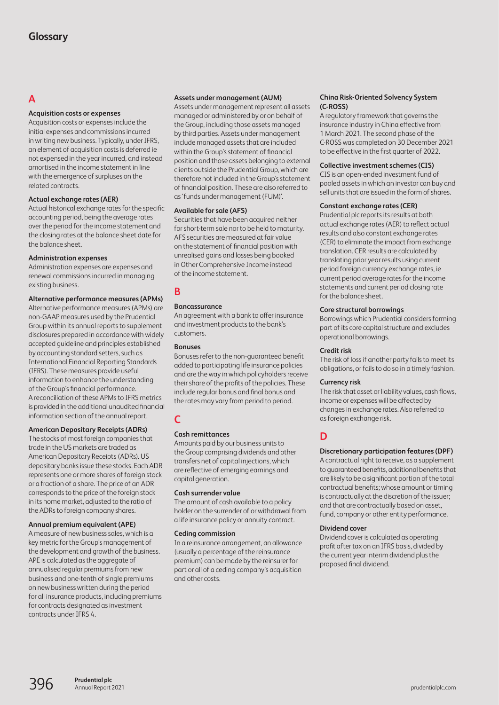# <span id="page-36-0"></span>**A**

## **Acquisition costs or expenses**

Acquisition costs or expenses include the initial expenses and commissions incurred in writing new business. Typically, under IFRS, an element of acquisition costs is deferred ie not expensed in the year incurred, and instead amortised in the income statement in line with the emergence of surpluses on the related contracts.

## **Actual exchange rates (AER)**

Actual historical exchange rates for the specific accounting period, being the average rates over the period for the income statement and the closing rates at the balance sheet date for the balance sheet.

## **Administration expenses**

Administration expenses are expenses and renewal commissions incurred in managing existing business.

#### **Alternative performance measures (APMs)** Alternative performance measures (APMs) are

non-GAAP measures used by the Prudential Group within its annual reports to supplement disclosures prepared in accordance with widely accepted guideline and principles established by accounting standard setters, such as International Financial Reporting Standards (IFRS). These measures provide useful information to enhance the understanding of the Group's financial performance. A reconciliation of these APMs to IFRS metrics is provided in the additional unaudited financial information section of the annual report.

## **American Depositary Receipts (ADRs)**

The stocks of most foreign companies that trade in the US markets are traded as American Depositary Receipts (ADRs). US depositary banks issue these stocks. Each ADR represents one or more shares of foreign stock or a fraction of a share. The price of an ADR corresponds to the price of the foreign stock in its home market, adjusted to the ratio of the ADRs to foreign company shares.

## **Annual premium equivalent (APE)**

A measure of new business sales, which is a key metric for the Group's management of the development and growth of the business. APE is calculated as the aggregate of annualised regular premiums from new business and one-tenth of single premiums on new business written during the period for all insurance products, including premiums for contracts designated as investment contracts under IFRS 4.

## **Assets under management (AUM)**

Assets under management represent all assets managed or administered by or on behalf of the Group, including those assets managed by third parties. Assets under management include managed assets that are included within the Group's statement of financial position and those assets belonging to external clients outside the Prudential Group, which are therefore not included in the Group's statement of financial position. These are also referred to as 'funds under management (FUM)'.

## **Available for sale (AFS)**

Securities that have been acquired neither forshort-term sale nor to be held to maturity. AFS securities are measured at fair value on the statement of financial position with unrealised gains and losses being booked in Other Comprehensive Income instead of the income statement.

# **B**

## **Bancassurance**

An agreement with a bank to offer insurance and investment products to the bank's customers.

## **Bonuses**

Bonuses refer to the non-guaranteed benefit added to participating life insurance policies and are the way in which policyholders receive their share of the profits of the policies. These include regular bonus and final bonus and the rates may vary from period to period.

## **C**

## **Cash remittances**

Amounts paid by our business units to the Group comprising dividends and other transfers net of capital injections, which are reflective of emerging earnings and capital generation.

## **Cash surrender value**

The amount of cash available to a policy holder on the surrender of or withdrawal from a life insurance policy or annuity contract.

## **Ceding commission**

In a reinsurance arrangement, an allowance (usually a percentage of the reinsurance premium) can be made by the reinsurer for part or all of a ceding company's acquisition and other costs.

#### **China Risk-Oriented Solvency System (C-ROSS)**

A regulatory framework that governs the insurance industry in China effective from 1 March 2021. The second phase of the C-ROSS was completed on 30 December 2021 to be effective in the first quarter of 2022.

## **Collective investment schemes (CIS)**

CIS is an open-ended investment fund of pooled assets in which an investor can buy and sell units that are issued in the form of shares.

## **Constant exchange rates (CER)**

Prudential plc reports its results at both actual exchange rates (AER) to reflect actual results and also constant exchange rates (CER) to eliminate the impact from exchange translation. CER results are calculated by translating prior year results using current period foreign currency exchange rates, ie current period average rates for the income statements and current period closing rate for the balance sheet.

## **Core structural borrowings**

Borrowings which Prudential considers forming part of its core capital structure and excludes operational borrowings.

## **Credit risk**

The risk of loss if another party fails to meet its obligations, or fails to do so in a timely fashion.

## **Currency risk**

The risk that asset or liability values, cash flows, income or expenses will be affected by changes in exchange rates. Also referred to asforeign exchange risk.

# **D**

## **Discretionary participation features (DPF)**

A contractual right to receive, as a supplement to guaranteed benefits, additional benefits that are likely to be a significant portion of the total contractual benefits; whose amount or timing is contractually at the discretion of the issuer; and that are contractually based on asset, fund, company or other entity performance.

## **Dividend cover**

Dividend cover is calculated as operating profit after tax on an IFRS basis, divided by the current year interim dividend plus the proposed final dividend.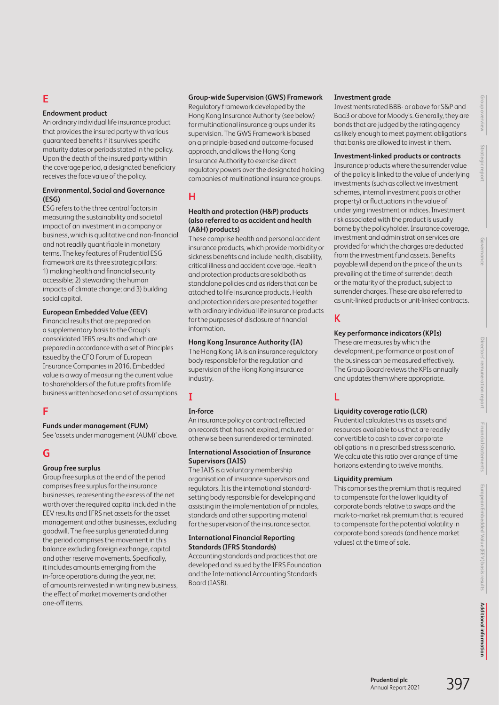# **E**

## **Endowment product**

An ordinary individual life insurance product that provides the insured party with various guaranteed benefits if it survives specific maturity dates or periods stated in the policy. Upon the death of the insured party within the coverage period, a designated beneficiary receives the face value of the policy.

## **Environmental, Social and Governance (ESG)**

ESG refers to the three central factors in measuring the sustainability and societal impact of an investment in a company or business, which is qualitative and non-financial and not readily quantifiable in monetary terms. The key features of Prudential ESG framework are its three strategic pillars: 1) making health and financial security accessible; 2) stewarding the human impacts of climate change; and 3) building social capital.

## **European Embedded Value (EEV)**

Financial results that are prepared on a supplementary basis to the Group's consolidated IFRS results and which are prepared in accordance with a set of Principles issued by the CFO Forum of European Insurance Companies in 2016. Embedded value is a way of measuring the current value to shareholders of the future profits from life business written based on a set of assumptions.

## **F**

## **Funds under management (FUM)**

See 'assets under management (AUM)' above.

# **G**

## **Group free surplus**

Group free surplus at the end of the period comprises free surplus for the insurance businesses, representing the excess of the net worth over the required capital included in the EEV results and IFRS net assets for the asset management and other businesses, excluding goodwill. The free surplus generated during the period comprises the movement in this balance excluding foreign exchange, capital and other reserve movements. Specifically, it includes amounts emerging from the in-force operations during the year, net of amounts reinvested in writing new business, the effect of market movements and other one-off items.

## **Group-wide Supervision (GWS) Framework**

Regulatory framework developed by the Hong Kong Insurance Authority (see below) for multinational insurance groups under its supervision. The GWS Framework is based on a principle-based and outcome-focused approach, and allows the Hong Kong Insurance Authority to exercise direct regulatory powers over the designated holding companies of multinational insurance groups.

# **H**

## **Health and protection (H&P) products (also referred to as accident and health (A&H) products)**

These comprise health and personal accident insurance products, which provide morbidity or sickness benefits and include health, disability, critical illness and accident coverage. Health and protection products are sold both as standalone policies and as riders that can be attached to life insurance products. Health and protection riders are presented together with ordinary individual life insurance products for the purposes of disclosure of financial information.

## **Hong Kong Insurance Authority (IA)**

The Hong Kong IA is an insurance regulatory body responsible for the regulation and supervision of the Hong Kong insurance industry.

# **I**

## **In-force**

An insurance policy or contract reflected on records that has not expired, matured or otherwise been surrendered or terminated.

## **International Association of Insurance Supervisors (IAIS)**

The IAIS is a voluntary membership organisation of insurance supervisors and regulators. It is the international standardsetting body responsible for developing and assisting in the implementation of principles, standards and other supporting material for the supervision of the insurance sector.

## **International Financial Reporting Standards (IFRS Standards)**

Accounting standards and practices that are developed and issued by the IFRS Foundation and the International Accounting Standards Board (IASB).

## **Investment grade**

Investments rated BBB- or above for S&P and Baa3 or above for Moody's. Generally, they are bonds that are judged by the rating agency as likely enough to meet payment obligations that banks are allowed to invest in them.

## **Investment-linked products or contracts**

Insurance products where the surrender value of the policy is linked to the value of underlying investments (such as collective investment schemes, internal investment pools or other property) or fluctuations in the value of underlying investment or indices. Investment risk associated with the product is usually borne by the policyholder. Insurance coverage, investment and administration services are provided for which the charges are deducted from the investment fund assets. Benefits payable will depend on the price of the units prevailing at the time of surrender, death or the maturity of the product, subject to surrender charges. These are also referred to as unit-linked products or unit-linked contracts.

# **K**

## **Key performance indicators (KPIs)**

These are measures by which the development, performance or position of the business can be measured effectively. The Group Board reviews the KPIs annually and updates them where appropriate.

# **L**

## **Liquidity coverage ratio (LCR)**

Prudential calculates this as assets and resources available to us that are readily convertible to cash to cover corporate obligations in a prescribed stress scenario. We calculate this ratio over a range of time horizons extending to twelve months.

## **Liquidity premium**

This comprises the premium that is required to compensate for the lower liquidity of corporate bonds relative to swaps and the mark-to-market risk premium that is required to compensate for the potential volatility in corporate bond spreads (and hence market values) at the time of sale.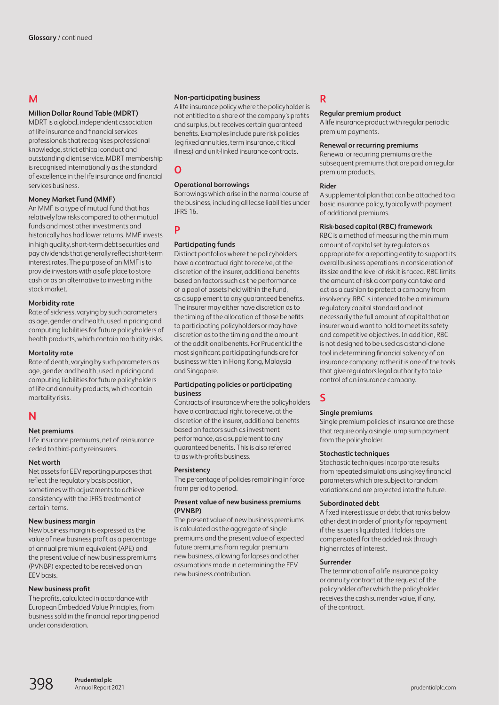# **M**

## **Million Dollar Round Table (MDRT)**

MDRT is a global, independent association of life insurance and financial services professionals that recognises professional knowledge, strict ethical conduct and outstanding client service. MDRT membership is recognised internationally as the standard of excellence in the life insurance and financial services business.

## **Money Market Fund (MMF)**

An MMF is a type of mutual fund that has relatively low risks compared to other mutual funds and most other investments and historically has had lower returns. MMF invests in high quality, short-term debt securities and pay dividends that generally reflect short-term interest rates. The purpose of an MMF is to provide investors with a safe place to store cash or as an alternative to investing in the stock market.

## **Morbidity rate**

Rate of sickness, varying by such parameters as age, gender and health, used in pricing and computing liabilities for future policyholders of health products, which contain morbidity risks.

## **Mortality rate**

Rate of death, varying by such parameters as age, gender and health, used in pricing and computing liabilities for future policyholders of life and annuity products, which contain mortality risks.

## **N**

## **Net premiums**

Life insurance premiums, net of reinsurance ceded to third-party reinsurers.

## **Net worth**

Net assets for EEV reporting purposes that reflect the regulatory basis position, sometimes with adjustments to achieve consistency with the IFRS treatment of certain items.

#### **New business margin**

New business margin is expressed as the value of new business profit as a percentage of annual premium equivalent (APE) and the present value of new business premiums (PVNBP) expected to be received on an EEV basis.

## **New business profit**

The profits, calculated in accordance with European Embedded Value Principles, from business sold in the financial reporting period under consideration.

#### **Non-participating business**

A life insurance policy where the policyholder is not entitled to a share of the company's profits and surplus, but receives certain guaranteed benefits. Examples include pure risk policies (eg fixed annuities, term insurance, critical illness) and unit-linked insurance contracts.

# **O**

## **Operational borrowings**

Borrowings which arise in the normal course of the business, including all lease liabilities under IFRS 16.

## **P**

## **Participating funds**

Distinct portfolios where the policyholders have a contractual right to receive, at the discretion of the insurer, additional benefits based on factors such as the performance of a pool of assets held within the fund, as a supplement to any guaranteed benefits. The insurer may either have discretion as to the timing of the allocation of those benefits to participating policyholders or may have discretion as to the timing and the amount of the additional benefits. For Prudential the most significant participating funds are for business written in Hong Kong, Malaysia and Singapore.

#### **Participating policies or participating business**

Contracts of insurance where the policyholders have a contractual right to receive, at the discretion of the insurer, additional benefits based on factors such as investment performance, as a supplement to any guaranteed benefits. This is also referred to as with-profits business.

## **Persistency**

The percentage of policies remaining in force from period to period.

## **Present value of new business premiums (PVNBP)**

The present value of new business premiums is calculated as the aggregate of single premiums and the present value of expected future premiums from regular premium new business, allowing for lapses and other assumptions made in determining the EEV new business contribution.

# **R**

## **Regular premium product**

A life insurance product with regular periodic premium payments.

#### **Renewal or recurring premiums**

Renewal or recurring premiums are the subsequent premiums that are paid on regular premium products.

## **Rider**

A supplemental plan that can be attached to a basic insurance policy, typically with payment of additional premiums.

## **Risk-based capital (RBC) framework**

RBC is a method of measuring the minimum amount of capital set by regulators as appropriate for a reporting entity to support its overall business operations in consideration of its size and the level of risk it is faced. RBC limits the amount of risk a company can take and act as a cushion to protect a company from insolvency. RBC is intended to be a minimum regulatory capital standard and not necessarily the full amount of capital that an insurer would want to hold to meet its safety and competitive objectives. In addition, RBC is not designed to be used as a stand-alone tool in determining financial solvency of an insurance company; rather it is one of the tools that give regulators legal authority to take control of an insurance company.

# **S**

## **Single premiums**

Single premium policies of insurance are those that require only a single lump sum payment from the policyholder.

## **Stochastic techniques**

Stochastic techniques incorporate results from repeated simulations using key financial parameters which are subject to random variations and are projected into the future.

## **Subordinated debt**

A fixed interest issue or debt that ranks below other debt in order of priority for repayment if the issuer is liquidated. Holders are compensated for the added risk through higher rates of interest.

## **Surrender**

The termination of a life insurance policy or annuity contract at the request of the policyholder after which the policyholder receives the cash surrender value, if any, ofthe contract.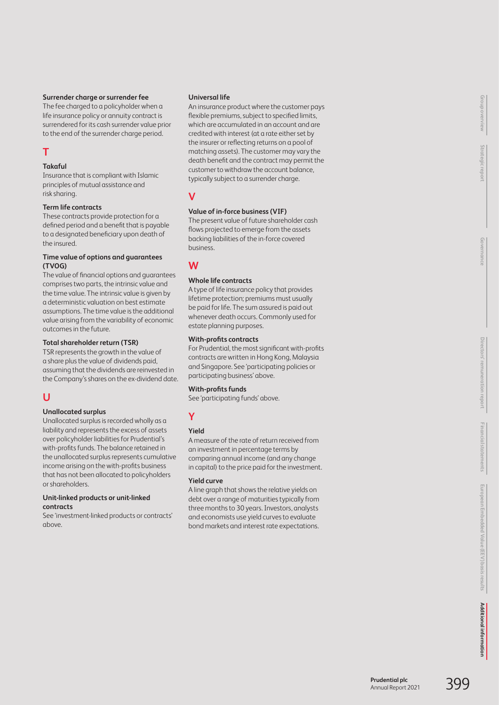## **Surrender charge or surrender fee**

The fee charged to a policyholder when a life insurance policy or annuity contract is surrendered for its cash surrender value prior to the end of the surrender charge period.

# **T**

## **Takaful**

Insurance that is compliant with Islamic principles of mutual assistance and risk sharing.

## **Term life contracts**

These contracts provide protection for a defined period and a benefit that is payable to a designated beneficiary upon death of the insured.

## **Time value of options and guarantees (TVOG)**

The value of financial options and guarantees comprises two parts, the intrinsic value and the time value. The intrinsic value is given by a deterministic valuation on best estimate assumptions. The time value is the additional value arising from the variability of economic outcomes in the future.

## **Total shareholder return (TSR)**

TSR represents the growth in the value of a share plus the value of dividends paid, assuming that the dividends are reinvested in the Company's shares on the ex-dividend date.

# **U**

## **Unallocated surplus**

Unallocated surplus is recorded wholly as a liability and represents the excess of assets over policyholder liabilities for Prudential's with-profits funds. The balance retained in the unallocated surplus represents cumulative income arising on the with-profits business that has not been allocated to policyholders orshareholders.

## **Unit-linked products or unit-linked contracts**

See 'investment-linked products or contracts' above.

## **Universal life**

An insurance product where the customer pays flexible premiums, subject to specified limits, which are accumulated in an account and are credited with interest (at a rate either set by the insurer or reflecting returns on a pool of matching assets). The customer may vary the death benefit and the contract may permit the customer to withdraw the account balance, typically subject to a surrender charge.

# **V**

## **Value of in-force business (VIF)**

The present value of future shareholder cash flows projected to emerge from the assets backing liabilities of the in-force covered business.

# **W**

## **Whole life contracts**

A type of life insurance policy that provides lifetime protection; premiums must usually be paid for life. The sum assured is paid out whenever death occurs. Commonly used for estate planning purposes.

## **With-profits contracts**

For Prudential, the most significant with-profits contracts are written in Hong Kong, Malaysia and Singapore. See 'participating policies or participating business' above.

## **With-profits funds**

See 'participating funds' above.

# **Y**

## **Yield**

A measure of the rate of return received from an investment in percentage terms by comparing annual income (and any change in capital) to the price paid for the investment.

## **Yield curve**

A line graph that shows the relative yields on debt over a range of maturities typically from three months to 30 years. Investors, analysts and economists use yield curves to evaluate bond markets and interest rate expectations.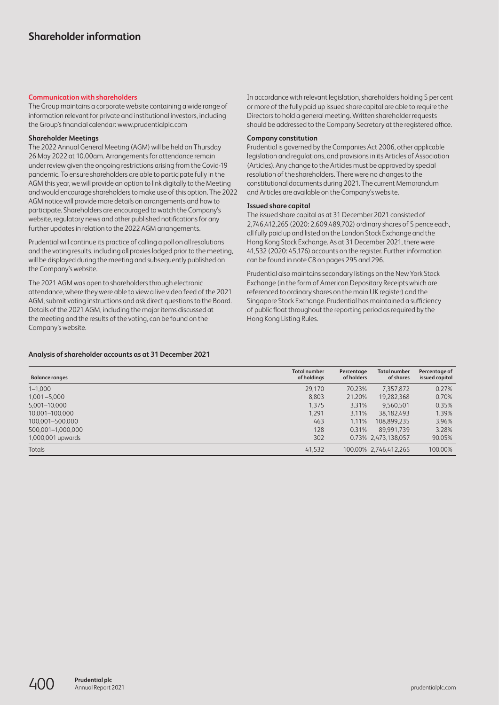## <span id="page-40-0"></span>**Communication with shareholders**

The Group maintains a corporate website containing a wide range of information relevant for private and institutional investors, including the Group's financial calendar: [www.prudentialplc.com](http://www.prudentialplc.com)

#### **Shareholder Meetings**

The 2022 Annual General Meeting (AGM) will be held on Thursday 26 May 2022 at 10.00am. Arrangements for attendance remain under review given the ongoing restrictions arising from the Covid-19 pandemic. To ensure shareholders are able to participate fully in the AGM this year, we will provide an option to link digitally to the Meeting and would encourage shareholders to make use of this option. The 2022 AGM notice will provide more details on arrangements and how to participate. Shareholders are encouraged to watch the Company's website, regulatory news and other published notifications for any further updates in relation to the 2022 AGM arrangements.

Prudential will continue its practice of calling a poll on all resolutions and the voting results, including all proxies lodged prior to the meeting, will be displayed during the meeting and subsequently published on the Company's website.

The 2021 AGM was open to shareholders through electronic attendance, where they were able to view a live video feed of the 2021 AGM, submit voting instructions and ask direct questions to the Board. Details of the 2021 AGM, including the major items discussed at the meeting and the results of the voting, can be found on the Company's website.

In accordance with relevant legislation, shareholders holding 5 per cent or more of the fully paid up issued share capital are able to require the Directors to hold a general meeting. Written shareholder requests should be addressed to the Company Secretary at the registered office.

#### **Company constitution**

Prudential is governed by the Companies Act 2006, other applicable legislation and regulations, and provisions in its Articles of Association (Articles). Any change to the Articles must be approved by special resolution of the shareholders. There were no changes to the constitutional documents during 2021. The current Memorandum and Articles are available on the Company's website.

#### **Issued share capital**

The issued share capital as at 31 December 2021 consisted of 2,746,412,265 (2020: 2,609,489,702) ordinary shares of 5 pence each, all fully paid up and listed on the London Stock Exchange and the Hong Kong Stock Exchange. As at 31 December 2021, there were 41,532 (2020: 45,176) accounts on the register. Further information can be found in note C8 on pages 295 and 296.

Prudential also maintains secondary listings on the New York Stock Exchange (in the form of American Depositary Receipts which are referenced to ordinary shares on the main UK register) and the Singapore Stock Exchange. Prudential has maintained a sufficiency of public float throughout the reporting period as required by the Hong Kong Listing Rules.

## **Analysis of shareholder accounts as at 31 December 2021**

| <b>Balance ranges</b> | <b>Total number</b><br>of holdings | Percentage<br>of holders | <b>Total number</b><br>of shares | Percentage of<br>issued capital |
|-----------------------|------------------------------------|--------------------------|----------------------------------|---------------------------------|
| $1 - 1,000$           | 29,170                             | 70.23%                   | 7.357.872                        | 0.27%                           |
| $1.001 - 5.000$       | 8.803                              | 21.20%                   | 19.282.368                       | 0.70%                           |
| 5,001-10,000          | 1.375                              | 3.31%                    | 9.560.501                        | 0.35%                           |
| 10.001-100.000        | 1,291                              | 3.11%                    | 38.182.493                       | 1.39%                           |
| 100.001-500.000       | 463                                | 1.11%                    | 108.899.235                      | 3.96%                           |
| 500,001-1,000,000     | 128                                | 0.31%                    | 89.991.739                       | 3.28%                           |
| 1,000,001 upwards     | 302                                |                          | 0.73% 2.473.138.057              | 90.05%                          |
| <b>Totals</b>         | 41,532                             |                          | 100.00% 2,746,412,265            | 100.00%                         |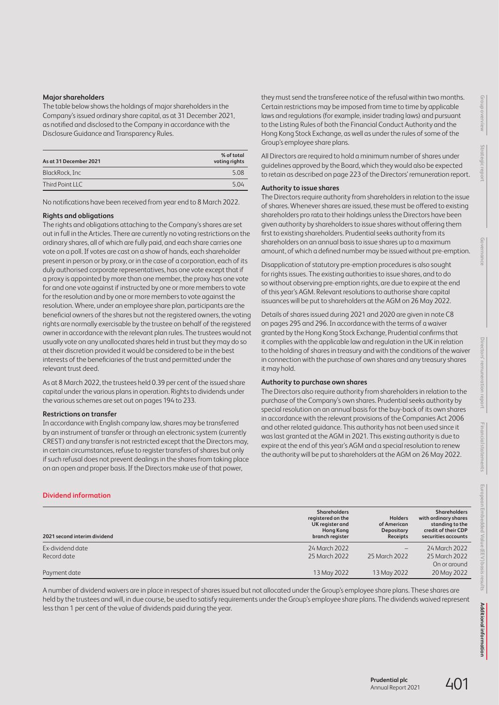#### **Major shareholders**

The table below shows the holdings of major shareholders in the Company's issued ordinary share capital, as at 31 December 2021, as notified and disclosed to the Company in accordance with the Disclosure Guidance and Transparency Rules.

| As at 31 December 2021 | % of total<br>voting rights |
|------------------------|-----------------------------|
| BlackRock, Inc         | 5.08                        |
| Third Point LLC        | 5.04                        |

No notifications have been received from year end to 8 March 2022.

#### **Rights and obligations**

The rights and obligations attaching to the Company's shares are set out in full in the Articles. There are currently no voting restrictions on the ordinary shares, all of which are fully paid, and each share carries one vote on a poll. If votes are cast on a show of hands, each shareholder present in person or by proxy, or in the case of a corporation, each of its duly authorised corporate representatives, has one vote except that if a proxy is appointed by more than one member, the proxy has one vote for and one vote against if instructed by one or more members to vote for the resolution and by one or more members to vote against the resolution. Where, under an employee share plan, participants are the beneficial owners of the shares but not the registered owners, the voting rights are normally exercisable by the trustee on behalf of the registered owner in accordance with the relevant plan rules. The trustees would not usually vote on any unallocated shares held in trust but they may do so at their discretion provided it would be considered to be in the best interests of the beneficiaries of the trust and permitted under the relevant trust deed.

As at 8 March 2022, the trustees held 0.39 per cent of the issued share capital under the various plans in operation. Rights to dividends under the various schemes are set out on pages 194 to 233.

#### **Restrictions on transfer**

In accordance with English company law, shares may be transferred by an instrument of transfer or through an electronic system (currently CREST) and any transfer is not restricted except that the Directors may, in certain circumstances, refuse to register transfers of shares but only if such refusal does not prevent dealings in the shares from taking place on an open and proper basis. If the Directors make use of that power,

**Dividend information**

they must send the transferee notice of the refusal within two months. Certain restrictions may be imposed from time to time by applicable laws and regulations (for example, insider trading laws) and pursuant to the Listing Rules of both the Financial Conduct Authority and the Hong Kong Stock Exchange, as well as under the rules of some of the Group's employee share plans.

All Directors are required to hold a minimum number of shares under guidelines approved by the Board, which they would also be expected to retain as described on page 223 of the Directors' remuneration report.

#### **Authority to issue shares**

The Directors require authority from shareholders in relation to the issue of shares. Whenever shares are issued, these must be offered to existing shareholders pro rata to their holdings unless the Directors have been given authority by shareholders to issue shares without offering them first to existing shareholders. Prudential seeks authority from its shareholders on an annual basis to issue shares up to a maximum amount, of which a defined number may be issued without pre-emption.

Disapplication of statutory pre-emption procedures is also sought for rights issues. The existing authorities to issue shares, and to do so without observing pre-emption rights, are due to expire at the end of this year's AGM. Relevant resolutions to authorise share capital issuances will be put to shareholders at the AGM on 26 May 2022.

Details of shares issued during 2021 and 2020 are given in note C8 on pages 295 and 296. In accordance with the terms of a waiver granted by the Hong Kong Stock Exchange, Prudential confirms that it complies with the applicable law and regulation in the UK in relation to the holding of shares in treasury and with the conditions of the waiver in connection with the purchase of own shares and any treasury shares it may hold.

#### **Authority to purchase own shares**

The Directors also require authority from shareholders in relation to the purchase of the Company's own shares. Prudential seeks authority by special resolution on an annual basis for the buy-back of its own shares in accordance with the relevant provisions of the Companies Act 2006 and other related guidance. This authority has not been used since it was last granted at the AGM in 2021. This existing authority is due to expire at the end of this year's AGM and a special resolution to renew the authority will be put to shareholders at the AGM on 26 May 2022.

| 2021 second interim dividend | <b>Shareholders</b><br>registered on the<br>UK register and<br><b>Hong Kong</b><br>branch register | <b>Holders</b><br>of American<br>Depositary<br>Receipts | <b>Shareholders</b><br>with ordinary shares<br>standing to the<br>credit of their CDP<br>securities accounts |
|------------------------------|----------------------------------------------------------------------------------------------------|---------------------------------------------------------|--------------------------------------------------------------------------------------------------------------|
| Ex-dividend date             | 24 March 2022                                                                                      | -                                                       | 24 March 2022                                                                                                |
| Record date                  | 25 March 2022                                                                                      | 25 March 2022                                           | 25 March 2022                                                                                                |
|                              |                                                                                                    |                                                         | On or around                                                                                                 |
| Payment date                 | 13 May 2022                                                                                        | 13 May 2022                                             | 20 May 2022                                                                                                  |
|                              |                                                                                                    |                                                         |                                                                                                              |

A number of dividend waivers are in place in respect of shares issued but not allocated under the Group's employee share plans. These shares are held by the trustees and will, in due course, be used to satisfy requirements under the Group's employee share plans. The dividends waived represent less than 1 per cent of the value of dividends paid during the year.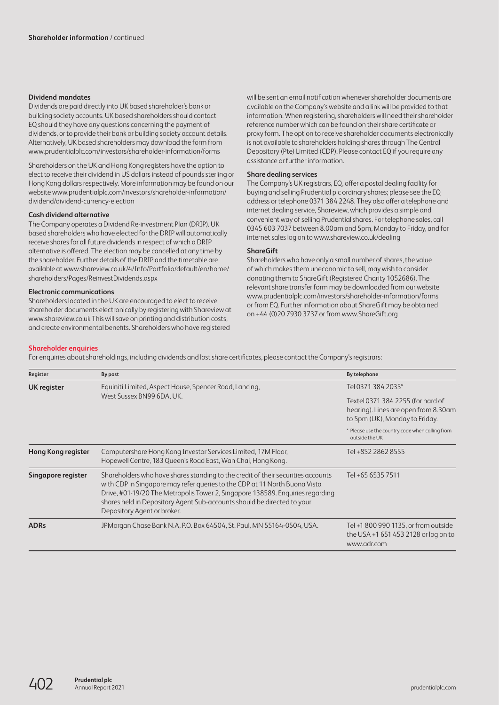## **Dividend mandates**

Dividends are paid directly into UK based shareholder's bank or building society accounts. UK based shareholders should contact EQ should they have any questions concerning the payment of dividends, or to provide their bank or building society account details. Alternatively, UK based shareholders may download the form from [www.prudentialplc.com/investors/shareholder-information/forms](http://www.prudentialplc.com/investors/shareholder-information/forms)

Shareholders on the UK and Hong Kong registers have the option to elect to receive their dividend in US dollars instead of pounds sterling or Hong Kong dollars respectively. More information may be found on our website [www.prudentialplc.com/investors/shareholder-information/](http://www.prudentialplc.com/investors/shareholder-information/dividend/dividend-currency-election) [dividend/dividend-currency-election](http://www.prudentialplc.com/investors/shareholder-information/dividend/dividend-currency-election)

#### **Cash dividend alternative**

The Company operates a Dividend Re-investment Plan (DRIP). UK based shareholders who have elected for the DRIP will automatically receive shares for all future dividends in respect of which a DRIP alternative is offered. The election may be cancelled at any time by the shareholder. Further details of the DRIP and the timetable are available at [www.shareview.co.uk/4/Info/Portfolio/default/en/home/](http://www.shareview.co.uk/4/Info/Portfolio/default/en/home/shareholders/Pages/ReinvestDividends.aspx) [shareholders/Pages/ReinvestDividends.aspx](http://www.shareview.co.uk/4/Info/Portfolio/default/en/home/shareholders/Pages/ReinvestDividends.aspx) 

#### **Electronic communications**

Shareholders located in the UK are encouraged to elect to receive shareholder documents electronically by registering with Shareview at [www.shareview.co.uk](http://www.shareview.co.uk) This will save on printing and distribution costs, and create environmental benefits. Shareholders who have registered

will be sent an email notification whenever shareholder documents are available on the Company's website and a link will be provided to that information. When registering, shareholders will need their shareholder reference number which can be found on their share certificate or proxy form. The option to receive shareholder documents electronically is not available to shareholders holding shares through The Central Depository (Pte) Limited (CDP). Please contact EQ if you require any assistance or further information.

#### **Share dealing services**

The Company's UK registrars, EQ, offer a postal dealing facility for buying and selling Prudential plc ordinary shares; please see the EQ address or telephone 0371 384 2248. They also offer a telephone and internet dealing service, Shareview, which provides a simple and convenient way of selling Prudential shares. For telephone sales, call 0345 603 7037 between 8.00am and 5pm, Monday to Friday, and for internet sales log on to [www.shareview.co.uk/dealing](http://www.shareview.co.uk/dealing) 

#### **ShareGift**

Shareholders who have only a small number of shares, the value of which makes them uneconomic to sell, may wish to consider donating them to ShareGift (Registered Charity 1052686). The relevant share transfer form may be downloaded from our website [www.prudentialplc.com/investors/shareholder-information/forms](http://www.prudentialplc.com/investors/shareholder-information/forms) or from EQ. Further information about ShareGift may be obtained on +44 (0)20 7930 3737 or from [www.ShareGift.org](http://www.ShareGift.org)

#### **Shareholder enquiries**

For enquiries about shareholdings, including dividends and lost share certificates, please contact the Company's registrars:

| Register           | By post                                                                                                                                                                                                                                                                                                                                                    | By telephone                                                                                                |
|--------------------|------------------------------------------------------------------------------------------------------------------------------------------------------------------------------------------------------------------------------------------------------------------------------------------------------------------------------------------------------------|-------------------------------------------------------------------------------------------------------------|
| UK register        | Equiniti Limited, Aspect House, Spencer Road, Lancing,                                                                                                                                                                                                                                                                                                     | Tel 0371 384 2035*                                                                                          |
|                    | West Sussex BN99 6DA, UK.                                                                                                                                                                                                                                                                                                                                  | Textel 0371 384 2255 (for hard of<br>hearing). Lines are open from 8.30am<br>to 5pm (UK), Monday to Friday. |
|                    |                                                                                                                                                                                                                                                                                                                                                            | * Please use the country code when calling from<br>outside the UK                                           |
| Hong Kong register | Computershare Hong Kong Investor Services Limited, 17M Floor,<br>Hopewell Centre, 183 Queen's Road East, Wan Chai, Hong Kong.                                                                                                                                                                                                                              | Tel +852 2862 8555                                                                                          |
| Singapore register | Shareholders who have shares standing to the credit of their securities accounts<br>with CDP in Singapore may refer queries to the CDP at 11 North Buona Vista<br>Drive, #01-19/20 The Metropolis Tower 2, Singapore 138589. Enquiries regarding<br>shares held in Depository Agent Sub-accounts should be directed to your<br>Depository Agent or broker. | Tel +65 6535 7511                                                                                           |
| <b>ADRs</b>        | JPMorgan Chase Bank N.A, P.O. Box 64504, St. Paul, MN 55164-0504, USA.                                                                                                                                                                                                                                                                                     | Tel +1 800 990 1135, or from outside<br>the USA +1 651 453 2128 or log on to<br>www.adr.com                 |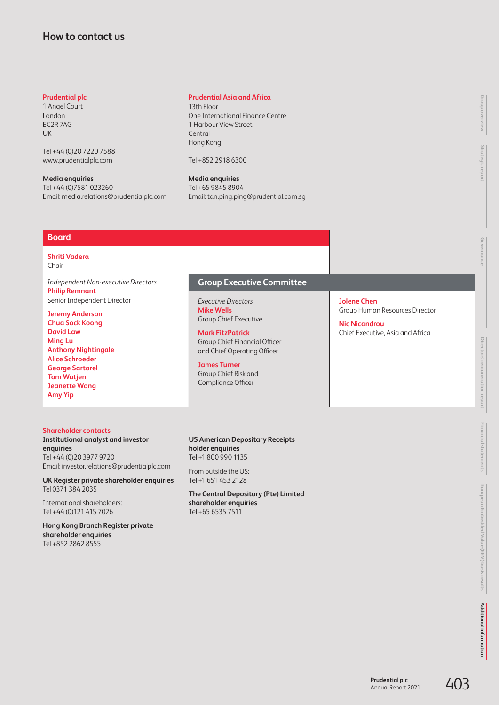# <span id="page-43-0"></span>**How to contact us**

## **Prudential plc**

1 Angel Court London EC2R 7AG UK

Tel +44 (0)20 7220 7588 [www.prudentialplc.com](http://www.prudentialplc.com)

**Media enquiries** Tel +44 (0)7581 023260 Email: [media.relations@prudentialplc.com](mailto:media.relations%40prudentialplc.com?subject=)

## **Prudential Asia and Africa**

13th Floor One International Finance Centre 1 Harbour View Street Central Hong Kong

Tel +852 2918 6300

**Media enquiries** Tel +65 9845 8904 Email: [tan.ping.ping@prudential.com.sg](mailto:tan.ping.ping%40prudential.com.sg?subject=)

## **Board**

#### **Shriti Vadera**  Chair

*Independent Non-executive Directors* **Philip Remnant**  Senior Independent Director

**Jeremy Anderson Chua Sock Koong David Law Ming Lu Anthony Nightingale Alice Schroeder George Sartorel Tom Watjen Jeanette Wong Amy Yip**

## **Group Executive Committee**

*Executive Directors* **Mike Wells** Group Chief Executive

#### **Mark FitzPatrick**

Group Chief Financial Officer and Chief Operating Officer

#### **James Turner**

Group Chief Risk and Compliance Officer

## **Jolene Chen** Group Human Resources Director

**Nic Nicandrou** Chief Executive, Asia and Africa

## **Shareholder contacts**

**Institutional analyst and investor enquiries** Tel +44 (0)20 3977 9720 Email: [investor.relations@prudentialplc.com](mailto:investor.relations%40prudentialplc.com?subject=)

**UK Register private shareholder enquiries** Tel 0371 384 2035

International shareholders: Tel +44 (0)121 415 7026

**Hong Kong Branch Register private shareholder enquiries** Tel +852 2862 8555

#### **US American Depositary Receipts holder enquiries** Tel +1 800 990 1135

From outside the US:

Tel +1 651 453 2128

**The Central Depository (Pte) Limited shareholder enquiries** Tel +65 6535 7511

**Strategic report**

**Governance**

**Directors' remuneration report**

Directors' remuneration report